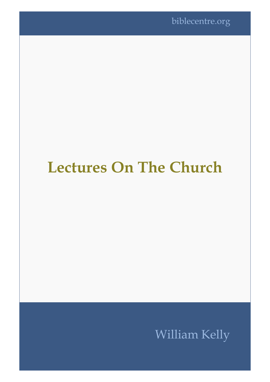# **Lectures On The Church**

## William Kelly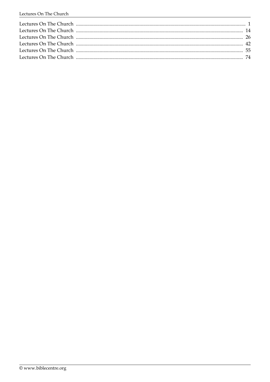| Lectures On The Church (1990) 2000 120 million and the Church (2000) 242 |  |
|--------------------------------------------------------------------------|--|
|                                                                          |  |
|                                                                          |  |
|                                                                          |  |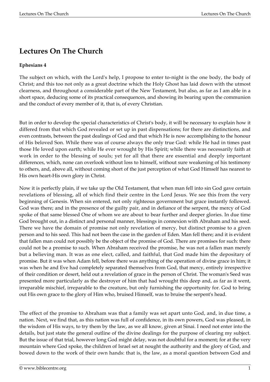## **Lectures On The Church**

#### **Ephesians 4**

The subject on which, with the Lord's help, I propose to enter to-night is the one body, the body of Christ; and this too not only as a great doctrine which the Holy Ghost has laid down with the utmost clearness, and throughout a considerable part of the New Testament, but also, as far as I am able in a short space, deducing some of its practical consequences, and showing its bearing upon the communion and the conduct of every member of it, that is, of every Christian.

But in order to develop the special characteristics of Christ's body, it will be necessary to explain how it differed from that which God revealed or set up in past dispensations; for there are distinctions, and even contrasts, between the past dealings of God and that which He is now accomplishing to the honour of His beloved Son. While there was of course always the only true God: while He had in times past those He loved upon earth; while He ever wrought by His Spirit; while there was necessarily faith at work in order to the blessing of souls; yet for all that there are essential and deeply important differences, which, none can overlook without loss to himself, without sure weakening of his testimony to others, and, above all, without coming short of the just perception of what God Himself has nearest to His own heart-His own glory in Christ.

Now it is perfectly plain, if we take up the Old Testament, that when man fell into sin God gave certain revelations of blessing, all of which find their centre in the Lord Jesus. We see this from the very beginning of Genesis. When sin entered, not only righteous government but grace instantly followed. God was there; and in the presence of the guilty pair, and in defiance of the serpent, the mercy of God spoke of that same blessed One of whom we are about to bear further and deeper glories. In due time God brought out, in a distinct and personal manner, blessings in connexion with Abraham and his seed. There we have the domain of promise not only revelation of mercy, but distinct promise to a given person and to his seed. This had not been the case in the garden of Eden. Man fell there; and it is evident that fallen man could not possibly be the object of the promise of God. There are promises for such: there could not be a promise to such. When Abraham received the promise, he was not a fallen man merely but a believing man. It was as one elect, called, and faithful, that God made him the depositary of promise. But it was when Adam fell, before there was anything of the operation of divine grace in him; it was when he and Eve had completely separated themselves from God, that mercy, entirely irrespective of their condition or desert, held out a revelation of grace in the person of Christ. The woman's Seed was presented more particularly as the destroyer of him that had wrought this deep and, as far as it went, irreparable mischief, irreparable to the creature, but only furnishing the opportunity for. God to bring out His own grace to the glory of Him who, bruised Himself, was to bruise the serpent's head.

The effect of the promise to Abraham was that a family was set apart unto God, and, in due time, a nation. Next, we find that, as this nation was full of confidence, in its own powers, God was pleased, in the wisdom of His ways, to try them by the law, as we all know, given at Sinai. I need not enter into the details, but just state the general outline of the divine dealings for the purpose of clearing my subject. But the issue of that trial, however long God might delay, was not doubtful for a moment; for at the very mountain where God spoke, the children of Israel set at nought the authority and the glory of God, and bowed down to the work of their own hands: that is, the law, as a moral question between God and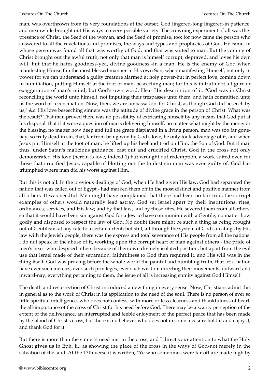man, was overthrown from its very foundations at the outset. God lingered-long lingered-in patience, and meanwhile brought out His ways in every possible variety. The crowning experiment of all was thepresence of Christ, the Seed of the woman, and the Seed of promise, too; for now came the person who answered to all the revelations and promises, the ways and types and prophecies of God. He came, in whose person was found all that was worthy of God, and that was suited to man. But the coming of Christ brought out the awful truth, not only that man is himself corrupt, depraved, and loves his own will, but that he hates goodness-yea, divine goodness -in a man. He is the enemy of God when manifesting Himself in the most blessed manner-in His own Son; when manifesting Himself, not only in power for we can understand a guilty creature alarmed at holy power-but in perfect love, coming down in humiliation, putting Himself at the foot of man, beseeching man; for this is in truth not a figure or exaggeration of man's mind, but God's own word. Hear His description of it: "God was in Christ reconciling the world unto himself, not imputing their trespasses unto them, and hath committed unto us the word of reconciliation. Now, then, we are ambassadors for Christ, as though God did beseech by us," &c. His love beseeching sinners was the attitude of divine grace in the person of Christ. What was the result? That man proved there was no possibility of extricating himself by any means that God put at his disposal: that if it were a question of man's delivering himself, no matter what might be the mercy or the blessing, no matter how deep and full the grace displayed in a living person, man was too far gonenay, so truly dead in sin, that, far from being won by God's love, he only took advantage of it, and when Jesus put Himself at the foot of man, he lifted up his heel and trod on Him, the Son of God. But if man thus, under Satan's malicious guidance, cast out and crucified Christ, God in the cross not only demonstrated His love (herein is love, indeed 1) but wrought out redemption, a work suited even for those that crucified Jesus, capable of blotting out the foulest sin man was ever guilty of. God has triumphed where man did his worst against Him.

But this is not all. In the previous dealings of God, when He had given His law, God had separated the nation that was called out of Egypt - had marked them off in the most distinct and positive manner from all others. It was needful. Men might have complained that there had been no fair trial; the corrupt examples of others would naturally lead astray. God set Israel apart by their institutions, rites, ordinances, services, and His law; and by that law, and by those rites, He severed them from all others; so that it would have been sin against God for a Jew to have communion with a Gentile, no matter how godly and disposed to respect the law of God. No doubt there might be such a thing as being brought out of Gentilism, at any rate to a certain extent; but still, all through the system of God's dealings by His law with the Jewish people, there was the express and total severance of His people from all the nations. I do not speak of the abuse of it, working upon the corrupt heart of man against others - the pride of men's heart who despised others because of their own divinely isolated position; but apart from the evil use that Israel made of their separation, faithfulness to God then required it, and His will was in the thing itself. God was proving before the whole world the painful and humbling truth, that let a nation have ever such mercies, ever such privileges, ever such wisdom directing their movements, outward and inward-nay, everything pertaining to them, the issue of all is increasing enmity against God Himself

The death and resurrection of Christ introduced a new thing in every sense. Now, Christians admit this in general as to the work of Christ in its application to the need of the soul. There is no person of ever so little spiritual intelligence, who does not confess, with more or less clearness and thankfulness of heart, the all-importance of the cross of Christ for his need before God. There may be a scanty perception of the extent of the deliverance, an interrupted and feeble enjoyment of the perfect peace that has been made by the blood of Christ's cross; but there is no believer who does not in some measure hold it and enjoy it, and thank God for it.

But there is more than the sinner's need met in the cross; and I direct your attention to what the Holy Ghost gives us in Eph. ii., as showing the place of the cross in the ways of God-not merely in the salvation of the soul. At the 13th verse it is written, "Ye who sometimes were far off are made nigh by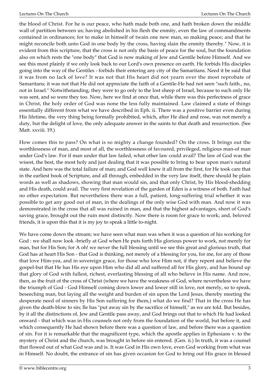the blood of Christ. For he is our peace, who hath made both one, and hath broken down the middle wall of partition between us; having abolished in his flesh the enmity, even the law of commandments contained in ordinances; for to make in himself of twain one new man, so making peace; and that he might reconcile both unto God in one body by the cross, having slain the enmity thereby." Now, it is evident from this scripture, that the cross is not only the basis of peace for the soul, but the foundation also on which rests the "one body" that God is now making of Jew and Gentile before Himself. And we see this most plainly if we only look back to our Lord's own presence on earth. He forbids His disciples going into the way of the Gentiles - forbids their entering any city of the Samaritans. Need it be said that it was from no lack of love? It was not that His heart did not yearn over the most reprobate of Samaritans; it was not that He did not appreciate the faith of a Gentile-He had not seen "such faith., no, not in Israel." Notwithstanding, they were to go only to the lost sheep of Israel, because to such only He was sent, and so were they too. Now, here we find at once that, while there was this perfectness of grace in Christ, the holy order of God was none the less fully maintained. Law claimed a state of things essentially different from what we have described in Eph. ii. There was a positive barrier even during His lifetime, the very thing being formally prohibited, which, after He died and rose, was not merely a duty, but the delight of love, the only adequate answer in the saints to that death and resurrection. (See Matt. xxviii. 19.)

How comes this to pass? On what is so mighty a change founded? On the cross. It brings out the worthlessness of man, and most of all, the worthlessness of favoured, privileged, religious man-of man under God's law. For if man under that law failed, what other law could avail? The law of God was the wisest, the best, the most holy and just dealing that it was possible to bring to bear upon man's natural state. And here was the total failure of man; and God well knew it all from the first, for He took care that in the earliest book of Scripture, and all through, embedded in the very law itself, there should be plain words as well as shadows, showing that man would sin, and that only Christ, by His blood-shedding and His death, could avail. The very first revelation of the garden of Eden is a witness of both. Faith had no other expectation. But nevertheless there was a full, patient, long-suffering trial whether it was possible to get any good out of man, in the dealings of the only wise God with man. And now it was demonstrated in the cross that all was ruined in man, and that the highest advantages, short of God's saving grace, brought out the ruin most distinctly. Now there is room for grace to work; and, beloved friends, it is upon this that it is my joy to speak a little to-night.

We have come down the stream; we have seen what man was when it was a question of his working for God : we shall now look -briefly at God when He puts forth His glorious power to work, not merely for man, but for His Son; for A oh! we never the full blessing until we see this great and glorious truth, that God has at heart His Son - that God is thinking, not merely of a blessing for you, for me, for any of those that love Him-yea, and in sovereign grace, for those who love Him not, if they repent and believe the gospel-but that He has His eye upon Him who did all and suffered all for His glory, and has bound up that glory of God with fullest, richest, everlasting blessing of all who believe in His name. And now, then, as the fruit of the cross of Christ (where we have the weakness of God, where nevertheless we have the triumph of God - God Himself coming down lower and lower still in love, not merely, so to speak, beseeching man, but laying all the weight and burden of sin upon the Lord Jesus, thereby meeting the desperate need of sinners by His Son suffering for them,) what do we find? That in the cross He has given the death-blow to sin; Ile has "put away sin by the sacrifice of himself," as we are told. But besides, by it all the distinctions of, Jew and Gentile pass away, and God brings out that to which He had looked onward - that which was in His counsels not only from the foundation of the world, but before it, and which consequently He had shown before there was a question of law, and before there was a question of sin. For it is remarkable that the magnificent type, which the apostle applies in Ephesians v. to the mystery of Christ and the church, was brought in before sin entered. (Gen. ii.) In truth, it was a counsel that flowed out of what God was and is. It was God in His own love, even God working from what was in Himself. No doubt, the entrance of sin has given occasion for God to bring out His grace in blessed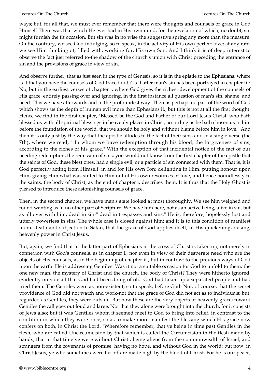ways; but, for all that, we must ever remember that there were thoughts and counsels of grace in God Himself There was that which He ever had in His own mind, for the revelation of which, no doubt, sin might furnish the fit occasion. But sin was in no wise the suggestive spring any more than the measure. On the contrary, we see God indulging, so to speak, in the activity of His own perfect love; at any rate, we see Him thinking of, filled with, working for, His own Son. And I think it is of deep interest to observe the fact just referred to-the shadow of the church's union with Christ preceding the entrance of sin and the provisions of grace in view of sin.

And observe further, that as just seen in the type of Genesis, so it is in the epistle to the Ephesians. where is it that you have the counsels of God traced out ? Is it after man's sin has been portrayed in chapter ii.? No; but in the earliest verses of chapter i, where God gives the richest development of the counsels of His grace, entirely passing over and ignoring, in the first instance all question of man's sin, shame, and need. This we have afterwards and in the profoundest way. There is perhaps no part of the word of God which shows us the depth of human evil more than Ephesians ii.; but this is not at all the first thought. Hence we find in the first chapter, "Blessed be the God and Father of our Lord Jesus Christ, who bath blessed us with all spiritual blessings in heavenly places in Christ, according as he bath chosen us in him before the foundation of the world, that we should be holy and without blame before him in love." And then it is only just by the way that the apostle alludes to the fact of their sins, and in a single verse (the 7th), where we read, " In whom we have redemption through his blood, the forgiveness of sins, according to the riches of his grace." With the exception of that incidental notice of the fact of our needing redemption, the remission of sins, you would not know from the first chapter of the epistle that the saints of God, these blest ones, had a single evil, or a particle of sin connected with them. That is, it is God perfectly acting from Himself, in and for His own Son; delighting in Him, putting honour upon Him, giving Him what was suited to Him out of His own resources of love, and hence boundlessly to the saints, the body of Christ, as the end of chapter i. describes them. It is thus that the Holy Ghost is pleased to introduce these astonishing counsels of grace.

Then, in the second chapter, we have man's state looked at most thoroughly. We see him weighed and found wanting as in no other part of Scripture. We have him here, not as an active being, alive in sin, but as all over with him, dead in sin-" dead in trespasses and sins." He is, therefore, hopelessly lost and utterly powerless in sins. The whole case is closed against him; and it is to this condition of manifest moral death and subjection to Satan, that the grace of God applies itself, in His quickening, raising, heavenly power in Christ Jesus.

But, again, we find that in the latter part of Ephesians ii. the cross of Christ is taken up, not merely in connexion with God's counsels, as in chapter i., nor even in view of their desperate need who are the objects of His counsels, as in the beginning of chapter ii., but in contrast to the previous ways of God upon the earth. He is addressing Gentiles. Was it not a suitable occasion for God to unfold to them. the one new man, the mystery of Christ and the church, the body of Christ? They were hitherto ignored, evidently outside all that God had been doing of old. God had taken up a separated people and had tried them. The Gentiles were as non-existent, so to speak, before God. Not, of course, that the secret providence of God did not watch and work-not that the grace of God did not act as to individuals; but, regarded as Gentiles, they were outside. But now these are the very objects of heavenly grace; toward Gentiles the call goes out loud and large. Not that they alone were brought into the church, for it consists of Jews also; but it was Gentiles whom it seemed meet to God to bring into relief, in contrast to the condition in which they were once, so as to make more manifest the blessing which His grace now confers on both, in Christ the Lord. "Wherefore remember, that ye being in time past Gentiles in the flesh, who are called Uncircumcision by that which is called the Circumcision in the flesh made by hands; that at that time ye were without Christ , being aliens from the commonwealth of Israel, and strangers from the covenants of promise, having no hope, and without God in the world: but now, in Christ Jesus, ye who sometimes were far off are made nigh by the blood of Christ. For he is our peace,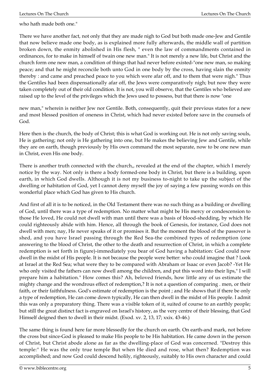who hath made both one."

There we have another fact, not only that they are made nigh to God but both made one-Jew and Gentile that now believe made one body, as is explained more fully afterwards, the middle wall of partition broken down, the enmity abolished in His flesh, " even the law of commandments contained in ordinances, for to make in himself of twain one new man." It is not merely a new life, but Christ and the church form one new man, a condition of things that had never before existed-"one new man, so making peace; and that he might reconcile both unto God in one body by the cross, having slain the enmity thereby : and came and preached peace to you which were afar off, and to them that were nigh." Thus the Gentiles had been dispensationally afar off, the Jews were comparatively nigh; but now they were taken completely out of their old condition. It is not, you will observe, that the Gentiles who believed are raised up to the level of the privileges which the Jews used to possess, but that there is now "one

new man," wherein is neither Jew nor Gentile. Both, consequently, quit their previous states for a new and most blessed position of oneness in Christ, which had never existed before save in the counsels of God.

Here then is the church, the body of Christ; this is what God is working out. He is not only saving souls, He is gathering; not only is He gathering into one, but He makes the believing Jew and Gentile, while they are on earth, though previously by His own command the most separate, now to be one new man in Christ, even His one body.

There is another truth connected with the church,, revealed at the end of the chapter, which I merely notice by the way. Not only is there a body formed-one body in Christ, but there is a building, upon earth, in which God dwells. Although it is not my business to-night to take up the subject of the dwelling or habitation of God, yet I cannot deny myself the joy of saying a few passing words on this wonderful place which God has given to His church.

And first of all it is to be noticed, in the Old Testament there was no such thing as a building or dwelling of God, until there was a type of redemption. No matter what might be His mercy or condescension to those He loved, He could not dwell with man until there was a basis of blood-shedding, by which He could righteously abide with him. Hence, all through the book of Genesis, for instance, God does not dwell with men; nay, He never speaks of it or promises it. But the moment the blood of the passover is shed, and you have Israel passing through the Red Sea-the combined types of redemption (one answering to the blood of Christ, the other to the death and resurrection of Christ, in which a complete redemption is set forth in figure)-immediately you bear of God having a habitation: God could now dwell in the midst of His people. It is not because the people were better: who could imagine that ? Look at Israel at the Red Sea; what were they to be compared with Abraham or Isaac or even Jacob? -Yet He who only visited the fathers can now dwell among the children, and put this word into their lips," I will prepare him a habitation." How comes this? Ah, beloved friends, how little any of us estimate the mighty change and the wondrous effect of redemption,? It is not a question of comparing . men, or their faith, or their faithfulness. God's estimate of redemption is the point ; and He shows that if there be only a type of redemption, He can come down typically, He can then dwell in the midst of His people. I admit this was only a preparatory thing. There was a visible token of it, suited of course to an earthly people; but still the great distinct fact is engraved on Israel's history, as the very centre of their blessing, that God Himself deigned then to dwell in their midst. (Exod. xv. 2, 13, 17; xxix. 43-46.)

The same thing is found here far more blessedly for the church on earth. On earth-and mark, not before the cross but since-God is pleased to make His people to be His habitation. He came down in the person of Christ, but Christ abode alone as far as the dwelling-place of God was concerned. "Destroy this temple:" He was the only true temple But when He died and rose, what then? Redemption was accomplished; and now God could descend holily, righteously, suitably to His own character and could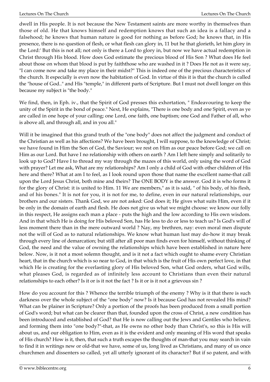dwell in His people. It is not because the New Testament saints are more worthy in themselves than those of old. He that knows himself and redemption knows that such an idea is a fallacy and a falsehood; he knows that human nature is good for nothing as before God; he knows that, in His presence, there is no question of flesh, or what flesh can glory in, 11 but he that glorieth, let him glory in the Lord:' But this is not all; not only is there a Lord to glory in, but now we have actual redemption in Christ through His blood. How does God estimate the precious blood of His Son ? What does He feel about those on whom that blood is put by faiththose who are washed in it ? Does He not as it were say, "I can come now and take my place in their midst?" This is indeed one of the precious characteristics of the church. It especially is even now the habitation of God. In virtue of this it is that the church is called the "house of God.." and His "temple," in different parts of Scripture. But I must not dwell longer on this because my subject is "the body."

We find, then, in Eph. iv., that the Spirit of God presses this exhortation, " Endeavouring to keep the unity of the Spirit in the bond of peace." Next, He explains, "There is one body and one Spirit, even as ye are called in one hope of your calling; one Lord, one faith, one baptism; one God and Father of all, who is above all, and through all, and in you all."

Will it be imagined that this grand truth of the "one body" does not affect the judgment and conduct of the Christian as well as his affections? We have been brought, I will suppose, to the knowledge of Christ; we have found in Him the Son of God, the Saviour; we rest on Him as our peace before God; we call on Him as our Lord. But have I no relationship with others on earth ? Am I left here simply and solitarily to look up to God? Have I to thread my way through the mazes of this world, only using the word of God with prayer? Let me ask, What are my relationships? Am I only a child of God with other children of His here and there? What at am I to feel, as I look round upon those that name the excellent name-that call upon the Lord Jesus Christ, both mine and theirs? The ONE BODY is the answer. God it is who forms it for the glory of Christ: it is united to Him. 11 We are members," as it is said, " of his body, of his flesh, and of his bones." It is not for you, it is not for me, to define, even in our natural relationships, our brothers and our sisters. Thank God, we are not asked: God does it; He gives what suits Him, even if it be only in the domain of earth and flesh. He does not give us what we might choose: we know our folly in this respect, He assigns each man a place - puts the high and the low according to His own wisdom. And in that which He is doing for His beloved Son, has He less to do or less to teach us? Is God's will of less moment there than in the mere outward world ? Nay, my brethren, nay: even moral men dispute not the will of God as to natural relationships. We know what human lust may do-how it may break through every line of demarcation; but still after all poor man finds even for himself, without thinking of God, the need and the value of owning the relationships which have been established in nature here below. Now, is it not a most solemn thought, and is it not a fact which ought to shame every Christian heart, that in the church which is so near to God, in that which is the fruit of His own perfect love, in that which He is creating for the everlasting glory of His beloved Son, what God orders, what God wills, what pleases God, is regarded as of infinitely less account to Christians than even their natural relationships to each other? Is it or is it not the fact ? Is it or is it not a grievous sin ?

How do you account for this ? Whence the terrible triumph of the enemy ? Why is it that there is such darkness over the whole subject of the "one body" now? Is it because God has not revealed His mind? What can be plainer in Scripture? Only a portion of the proofs has been produced from a small portion of God's word; but what can be clearer than that, founded upon the cross of Christ, a new condition has been introduced and established of God? that He is now calling out the Jews and Gentiles who believe, and forming them into "one body?"-that, as He owns no other body than Christ's, so this is His will about us, and our obligation to Him, even as it is the evident and only meaning of His word that speaks of His church? How is it, then, that such a truth escapes the thoughts of man-that you may search in vain to find it in writings new or old-that we have, some of us, long lived as Christians, and many of us once churchmen and dissenters so called, yet all utterly ignorant of its character? But if so patent, and with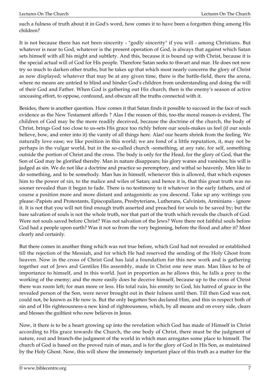such a fulness of truth about it in God's word, how comes it to have been a forgotten thing among His children?

It is not because there has not been sincerity - "godly sincerity" if you will - among Christians. But whatever is near to God, whatever is the present operation of God, is always that against which Satan sets himself with all his might and subtlety. And this, because it is bound up with Christ, because it is the special actual will of God for His people. Therefore Satan seeks to thwart and mar. He does not now try so much to darken other truths, but he takes up that which most nearly concerns the glory of Christ as now displayed; whatever that may be at any given time, there is the battle-field, there the arena, where no means are untried to blind and hinder God's children from understanding and doing the will of their God and Father. When God is gathering out His church, then is the enemy's season of active unceasing effort, to oppose, confound, and obscure all the truths connected with it.

Besides, there is another question. How comes it that Satan finds it possible to succeed in the face of such evidence as the New Testament affords ? Alas I the reason of this, too-the moral reason-is evident, The children of God may be the more readily deceived, because the doctrine of the church, the body of Christ, brings God too close to us-sets His grace too richly before our souls-makes us feel (if our souls believe, bow, and enter into it) the vanity of all things here. Alas! our hearts shrink from the feeling. We naturally love ease; we like position in this world; we are fond of a little reputation, it, may not be perhaps in the vulgar world, but in the so-called church -something, at any rate, for self, something outside the portion of Christ and the cross. The body is only for the Head, for the glory of God, that the Son of God may be glorified thereby. Man in nature disappears; his glory wanes and vanishes; his will is judged as sin. We do not like a doctrine and practice so peremptory, and withal so heavenly. Men like to do something, and to be somebody. Man has in himself, whenever this is allowed, that which exposes him to the power of sin, to the malice and wiles of Satan; and hence it is, that this great truth was no sooner revealed than it began to fade. There is no testimony to it whatever in the early fathers, and of course a position more and more distant and antagonistic as you descend. Take up any writings you please:-Papists and Protestants, Episcopalians, Presbyterians, Lutherans, Calvinists, Arminians - ignore it. It is not that you will not find enough truth asserted and preached for souls to be saved by; but the bare salvation of souls is not the whole truth, nor that part of the truth which reveals the church of God. Were not souls saved before Christ? Was not salvation of the Jews? Were there not faithful souls before God had a people upon earth? Was it not so from the very beginning, before the flood and after it? Most clearly and certainly.

But there comes in another thing which was not true before, which God had not revealed or established till the rejection of the Messiah, and for which He had reserved the sending of the Holy Ghost from heaven. Now in the cross of Christ God has laid a foundation for this new work and is gathering together out of Jews and Gentiles His assembly, made in Christ one new man. Man likes to be of importance to himself, and in this world. Just in proportion as he allows this, he falls a prey to the working of the enemy; and the more easily does he deceive himself, because up to the cross of Christ there was room left; for man more or less. His total ruin, his enmity to God, his hatred of grace in the revealed person of the Son, were never brought out in their fulness until then. Till then God was not, could not, be known as He now is. But the only begotten Son declared Him, and this in respect both of sin and of His righteousness-a new kind of righteousness, which, by all means and on every side, clears and blesses the guiltiest who now believes in Jesus.

Now, it there is to be a heart growing up into the revelation which God has made of Himself in Christ according to His grace towards the Church, the one body of Christ, there must be the judgment of nature, rout and branch-the judgment of the world in which man arrogates some place to himself. The church of God is based on the proved ruin of man, and is for the glory of God in His Son, as maintained by the Holy Ghost. Now, this will show the immensely important place of this truth as a matter for the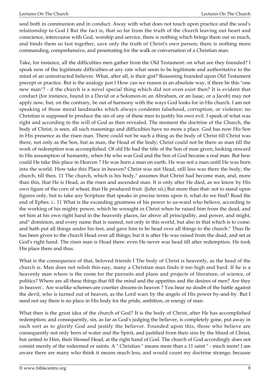soul both in communion and in conduct. Away with what does not touch upon practice and the soul's relationship to God I But the fact is, that so far from the truth of the church leaving out heart and conscience, intercourse with God, worship and service, there is nothing which brings them out so much, and binds them so fast together, save only the truth of Christ's own person; there is nothing more commanding, comprehensive, and penetrating for the walk or conversation of a Christian man.

Take, for instance, all the difficulties men gather from the Old Testament: on what are they founded? I speak now of the legitimate difficulties-at any rate what seem to be legitimate and authoritative to the mind of an uninstructed believer. What, after all, is their gist? Reasoning founded upon Old Testament precept or practice. But is the analogy just I How can we reason in an absolute way, if there be this "one new man"? - if the church is a novel special thing which did not even exist then? It is evident that conduct (for instance, found in a David or a Solomon-in an Abraham, or an Isaac, or a Jacob) may not apply now, but, on the contrary, be out of harmony with the ways God looks for in His church. I am not speaking of those moral landmarks which always condemn falsehood, corruption, or violence: no Christian is supposed to produce the sin of any of these men to justify his own evil. I speak of what was right and according to the will of God as then revealed. The moment the doctrine of the Church, the body of Christ, is seen, all such reasonings and difficulties have no more a place. God has now His Son in His presence as the risen man. There could not be such a thing as the body of Christ till Christ was there, not only as the Son, but as man, the Head of the body; Christ could not be there as man till the work of redemption was accomplished. Of old He bad the title of the Son of man given, looking onward to His assumption of humanity, when He who was God and the Son of God became a real man. But bow could He take this place in Heaven ? He was born a man on earth. He was not a man until He was born into the world. How take this Place in heaven? Christ was not Head, still less was there the body, the church, till then. 11 The church, which is his body," assumes that Christ had become man, and, more than this, that He is Head, as the risen and ascended man. It is only after He died, as we know by His own figure of the corn of wheat, that He produced fruit. (John xii.) But more than that: not to stand upon figures only, but to take any Scripture that speaks in precise terms upon it, what do we find? Read the end of Ephes. i.: 11 What is the exceeding greatness of his power to us-ward who believe, according to the working of his mighty power, which he wrought in Christ when he raised him from the dead, and set him at his own right hand in the heavenly places, far above all principality, and power, and might, and" dominion, and every name that is named, not only in this world, but also in that which is to come: and hath put all things under his feet, and gave him to be head over all things to the church." Thus Ile has been given to the church Head over all things; but it is after He was raised from the dead, and set at God's right hand. The risen man is Head there: even He never was head till after redemption. He took His place there and thus.

What is the consequence of that, beloved friends I The body of Christ is heavenly, as the head of the church is. Man does not relish this-nay, many a Christian man finds it too high and bard. If he is a heavenly man where is the room for the pursuits and plans and projects of literature, of science, of politics? Where are all these things that fill the mind and the appetites and the desires of men? Are they in heaven'.. Are warlike schemes-are courtier dreams-in heaven ? You hear no doubt of the battle against the devil, who is turned out of heaven, as the Lord wars by the angels of His power by-and-by. But I need not say there is no place in His body for the pride, ambition, or energy of man.

What then is the great idea of the church of God? It is the body of Christ, after He has accomplished redemption; and consequently, sin, as far as God's judging the believer, is completely gone, put away in such sort as to glorify God and justify the believer. Founded upon this, those who believe are consequently not only born of water and the Spirit, and justified from their sins by the blood of Christ, but united to Him, their blessed Head, at the right hand of God. The church of God accordingly does not consist merely of the redeemed or saints. A " Christian " means more than a 11 saint " - much more! I am aware there are many who think it means much less, and would count my doctrine strange; because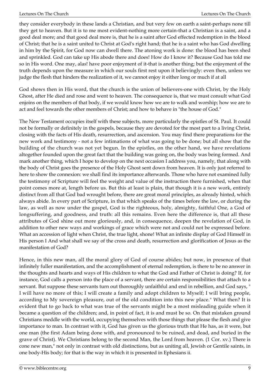they consider everybody in these lands a Christian, and but very few on earth a saint-perhaps none till they get to heaven. But it is to me most evident-nothing more certain-that a Christian is a saint, and a good deal more; and that good deal more is, that he is a saint after God effected redemption in the blood of Christ; that he is a saint united to Christ at God's right hand; that he is a saint who has God dwelling in him by the Spirit, for God now can dwell there. The atoning work is done: the blood has been shed and sprinkled. God can take up His abode there and does! How do I know it? Because God has told me so in His word. One may, alas! have poor enjoyment of it-that is another thing; but the enjoyment of the truth depends upon the measure in which our souls first rest upon it believingly: even then, unless we judge the flesh that hinders the realization of it, we cannot enjoy it either long or much if at all

God shows then in His word, that the church is the union of believers-one with Christ, by the Holy Ghost, after He died and rose and went to heaven. The consequence is, that we must consult what God enjoins on the members of that body, if we would know how we are to walk and worship; how we are to act and feel towards the other members of Christ; and how to behave in "the house of God."

The New Testament occupies itself with these subjects, more particularly the epistles of St. Paul. It could not be formally or definitely in the gospels, because they are devoted for the most part to a living Christ, closing with the facts of His death, resurrection, and ascension. You may find there preparations for the new work and testimony - not a few intimations of what was going to be done; but all show that the building of the church was not yet begun. In the epistles, on the other hand, we have revelations altogether founded upon the great fact that the building was going on, the body was being formed. And mark another thing, which I hope to develop on the next occasion I address you, namely, that along with the body of Christ goes the presence of the Holy Ghost sent down from heaven. It is only just referred to here to show the connexion: we shall find its importance afterwards. Those who have not examined fully the testimony of Scripture will feel the weight and value of the instruction there furnished, when that point comes more at, length before us. But this at least is plain, that though it is a new work, entirely distinct from all that God bad wrought before, there are great moral principles, as already hinted, which always abide. In every part of Scripture, in that which speaks of the times before the law, or during the law, as well as now under the gospel, God is the righteous, holy, almighty, faithful One, a God of longsuffering, and goodness, and truth: all this remains. Even here the difference is, that all these attributes of God shine out more gloriously, and, in consequence, deepen the revelation of God, in addition to other new ways and workings of grace which were not and could not be expressed before. What an accession of light when Christ, the true light, shone! What an infinite display of God Himself in His person I And what shall we say of the cross and death, resurrection and glorification of Jesus as the manifestation of God?

Hence, in this new man, all the moral glory of God of course abides; but now, in presence of that infinitely fuller manifestation, and the accomplishment of eternal redemption, is there to be no answer in the thoughts and hearts and ways of His children to what the God and Father of Christ is doing? If, for instance, God calls a person into the place of a servant, there are certain responsibilities that attach to a servant. But suppose these servants turn out thoroughly unfaithful and end in rebellion, and God says, " I will have no more of this; I will create a family and adopt children to Myself; I will bring people, according to My sovereign pleasure, out of the old condition into this new place." What then? It is evident that to go back to what was true of the servants might be a most misleading guide when it became a question of the children; and, in point of fact, it is and must be so. On that mistaken ground Christians meddle with the world, occupying themselves with those things that please the flesh and give importance to man. In contrast with it, God has given us the glorious truth that He has, as it were, but one man (the first Adam being done with, and pronounced to be ruined, and dead, and buried in the grave of Christ). We Christians belong to the second Man, the Lord from heaven. (1 Cor. xv.) There is cone new man," not only in contrast with old distinctions, but as uniting all, Jewish or Gentile saints, in one body-His body; for that is the way in which it is presented in Ephesians ii.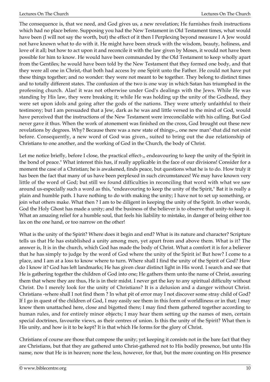The consequence is, that we need, and God gives us, a new revelation; He furnishes fresh instructions which had no place before. Supposing you had the New Testament in Old Testament times, what would have been (I will not say the worth, but) the effect of it then I Perplexing beyond measure I A Jew would not have known what to do with it. He might have been struck with the wisdom, beauty, holiness, and love of it all; but how to act upon it and reconcile it with the law given by Moses, it would not have been possible for him to know. He would have been commanded by the Old Testament to keep wholly apart from the Gentiles; he would have been told by the New Testament that they formed one body, and that they were all one in Christ,-that both had access by one Spirit unto the Father. He could not have put these things together; and no wonder: they were not meant to be together. They belong to distinct times and to totally different states. The confusion of the two is one way in which Satan has triumphed in the professing church. Alas! it was not otherwise under God's dealings with the Jews. While He was standing by His law, they were breaking it; while He was holding up the unity of the Godhead, they were set upon idols and going after the gods of the nations. They were utterly unfaithful to their testimony; but I am persuaded that a Jew, dark as he was and little versed in the mind of God, would have perceived that the instructions of the New Testament were irreconcilable with his calling. But God never gave it thus. When the work of atonement was finished on the cross, God brought out these new revelations by degrees. Why? Because there was a new state of things-,, one new man"-that did not exist before. Consequently, a new word of God was given., suited to bring out the due relationship of Christians to one another, and the working of God in the Church, the body of Christ.

Let me notice briefly, before I close, the practical effect-,, endeavouring to keep the unity of the Spirit in the bond of peace." What interest this has, if really applicable in the face of our divisions! Consider for a moment the case of a Christian; he is awakened, finds peace, but questions what he is to do. How truly it has been the fact that many of us have been perplexed in such circumstances! We may have known very little of the word of God; but still we found difficulties in reconciling that word with what we saw around us-especially such a word as this, "endeavouring to keep the unity of the Spirit," Bat it is really a plain and humble path. I have nothing to do with making the unity; I have not to set up something, or join what others make. What then ? I am to be diligent in keeping the unity of the Spirit. In other words, God the Holy Ghost has made a unity; and the business of the believer is to observe that unity-to keep it. What an amazing relief for a humble soul, that feels his liability to mistake, in danger of being either too lax on the one hand, or too narrow on the other!

What is the unity of the Spirit? Where does it begin and end? What is its nature and character? Scripture tells us that He has established a unity among men, yet apart from and above them. What is it? The answer is, It is in the church, which God has made the body of Christ. What a comfort it is for a believer that he has simply to judge by the word of God where the unity of the Spirit is! But how? I come to a place, and I am at a loss to know where to turn. Where shall I find the unity of the Spirit of God? How do I know it? God has left landmarks; He has given clear distinct light in His word. I search and see that He is gathering together the children of God into one; He gathers them unto the name of Christ, assuring them that where they are thus, He is in their midst. I never get the key to any spiritual difficulty without Christ. Do I merely look for the unity of Christians? It is a delusion and a danger without Christ. Christians -where shall I not find them ? In what pit of error may I not discover some stray child of God? If I go in quest of the children of God, I may easily see them in this form of worldliness or in that; I may know them unattached here, close and bigotted there; I may find them gathered together according to human rules, and for entirely minor objects; I may hear them setting up the names of men, certain special doctrines, favourite views, as their centres of union. Is this the unity of the Spirit? What then is His unity, and how is it to be kept? It is that which He forms for the glory of Christ.

Christians of course are those that compose the unity; yet keeping it consists not in the bare fact that they are Christians, but that they are gathered unto Christ-gathered not to His bodily presence, but unto His name, now that He is in heaven; none the less, however, for that, but the more counting on His presence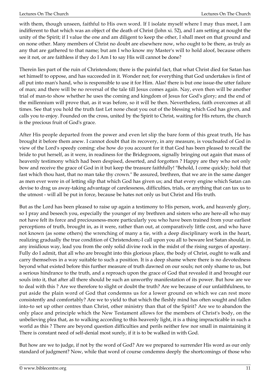with them, though unseen, faithful to His own word. If I isolate myself where I may thus meet, I am indifferent to that which was an object of the death of Christ (John xi. 52), and I am setting at nought the unity of the Spirit; if I value the one and am diligent to keep the other, I shall meet on that ground and on none other. Many members of Christ no doubt are elsewhere now, who ought to be there, as truly as any that are gathered to that name; but am I who know my Master's will to hold aloof, because others see it not, or are faithless if they do I Am I to say His will cannot be done?

Therein lies part of the ruin of Christendom; there is the painful fact, that what Christ died for Satan has set himself to oppose, and has succeeded in it. Wonder not; for everything that God undertakes is first of all put into man's hand, who is responsible to use it for Him. Alas! there is but one issue-the utter failure of man; and there will be no reversal of the tale till Jesus comes again. Nay, even then will be another trial of man-to show whether he uses the coming and kingdom of Jesus for God's glory; and the end of the millennium will prove that, as it was before, so it will be then. Nevertheless, faith overcomes at all times. See that you hold the truth fast Let none cheat you out of the blessing which God has given, and calls you to enjoy. Founded on the cross, united by the Spirit to Christ, waiting for His return, the church is the precious fruit of God's grace.

After His people departed from the power and even let slip the bare form of this great truth, He has brought it before them anew. I cannot doubt that its recovery, in any measure, is vouchsafed of God in view of the Lord's speedy coming: else how do you account for it that God has been pleased to recall the bride to put herself, as it were, in readiness for the Bridegroom, signally bringing out again that mass of heavenly testimony which had been despised, deserted, and forgotten ? Happy are they who not only bow and receive the grace of God in it but keep the treasure faithfully! "Behold, I come quickly; hold that fast which thou hast, that no man take thy crown." Be assured, brethren, that we are in the same danger as men ever were in of letting slip that which God has given us; and that every engine which Satan can devise to drag us away-taking advantage of carelessness, difficulties, trials, or anything that can tax us to the utmost - will all be put in force, because be hates not only us but Christ and His truth.

But as the Lord has been pleased to raise up again a testimony to His person, work, and heavenly glory, so I pray and beseech you, especially the younger of my brethren and sisters who are here-all who may not have felt its force and preciousness-more particularly you who have been trained from your earliest perceptions of truth, brought in, as it were, rather than out, at comparatively little cost, and who have not known (as some others) the wrenching of many a tie, with a deep disciplinary work in the heart, realizing gradually the true condition of Christendom;-I call upon you all to beware lest Satan should, in any insidious way, lead you from the only solid divine rock in the midst of the rising surges of apostasy. Fully do I admit, that all who are brought into this glorious place, the body of Christ, ought to walk and carry themselves in a way suitable to such a position. It is a deep shame where there is no devotedness beyond what existed before this further measure of truth dawned on our souls; not only shame to us, but a serious hindrance to the truth, and a reproach upon the grace of God that revealed it and brought our souls into it, that after all there should be such an unworthy manifestation of its power. But how are we to deal with this ? Are we therefore to slight or doubt the truth? Are we because of our unfaithfulness, to put aside the plain word of God that condemns us for a lower ground on which we can rest more consistently and comfortably? Are we to yield to that which the fleshly mind has often sought and fallen into-to set up other centres than Christ, other ministry than that of the Spirit? Are we to abandon the only place and principle which the New Testament allows for the members of Christ's body, on the unbelieving plea that, as to walking according to this heavenly light, it is a thing impracticable in such a world as this ? There are beyond question difficulties and perils neither few nor small in maintaining it There is constant need of self-denial most surely, if it is to be walked in with God.

But how are we to judge, if not by the word of God? Are we prepared to surrender His word as our only standard of judgment? Now, while that word of course condemns deeply the shortcomings of those who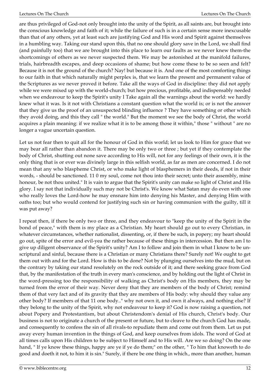are thus privileged of God-not only brought into the unity of the Spirit, as all saints are, but brought into the conscious knowledge and faith of it; while the failure of such is in a certain sense more inexcusable than that of any others, yet at least such are justifying God and His word and Spirit against themselves in a humbling way. Taking our stand upon this, that no one should glory save in the Lord, we shall find (and painfully too) that we are brought into this place to learn our faults as we never knew them-the shortcomings of others as we never suspected them. We may be astonished at the manifold failures, trials, hairbreadth escapes, and deep occasions of shame; but how come these to be so seen and felt? Because it is not the ground of the church? Nay! but because it is. And one of the most comforting things to our faith in that which naturally might perplex is, that we learn the present and permanent value of the Scriptures as we never proved it before. Take all the ways of God in discipline: they did not apply while we were mixed up with the world-church; but how precious, profitable, and indispensably needed when we endeavour to keep the Spirit's unity I Take again all the warnings about the world: we hardly knew what it was. Is it not with Christians a constant question what the world is; or is not the answer that they give us the proof of an unsuspected blinding influence ? They have something or other which they avoid doing, and this they call " the world." But the moment we see the body of Christ, the world acquires a plain meaning: if we realize what it is to be among those it within," those " without " are no longer a vague uncertain question.

Let us not fear then to quit all for the honour of God in this world; let us look to Him for grace that we may bear all rather than abandon it. There may be only two or three ; but yet if they contemplate the body of Christ, shutting out none save according to His will, not for any feelings of their own, it is the only thing that is or ever was divinely large in this selfish world, as far as men are concerned. I do not mean that any who blaspheme Christ, or who make light of blasphemers in their deeds, if not in their words, - should be sanctioned. 11 0 my soul, come not thou into their secret; unto their assembly, mine honour, be not thou united." It is vain to argue that the Spirit's unity can make so light of Christ and His glory. I say not that individually such may not be Christ's. We know what Satan may do even with one who really loves the Lord-how he may ensnare him into denying his Master, and denying Him with oaths too; but who would contend for justifying such sin or having communion with the guilty, till it was put away?

I repeat then, if there be only two or three, and they endeavour to "keep the unity of the Spirit in the bond of peace," with them is my place as a Christian. My heart should go out to every Christian, in whatever circumstances, whether nationalist, dissenting, or, if there be such, in popery; my heart should go out, spite of the error and evil-yea the rather because of these things in intercession. But then am I to give up diligent observance of the Spirit's unity? Am I to follow and join them in what I know to be unscriptural and sinful, because there is a Christian or many Christians there? Surely not! We ought to get them out with and for the Lord. How is this to be done? Not by plunging ourselves into the mud, but on the contrary by taking our stand resolutely on the rock outside of it; and there seeking grace from God that, by the manifestation of the truth in every man's conscience, and by holding out the light of Christ in the word-pressing too the responsibility of walking as Christ's body on His members, they may be turned from the error of their way. Never deny that they are members of the body of Christ; remind them of that very fact and of its gravity that they are members of His body: why should they value any other body? If members of that 11 one body.." why not own it, and own it always, and nothing else? If they belong to the unity of the Spirit, why not endeavour to keep it? God is now raising a question, not about Popery and Protestantism, but about Christendom's denial of His church, Christ's body. Our business is not to originate a church of the present or future, but to cleave to the church God has made, and consequently to confess the sin of all rivals-to repudiate them and come out from them. Let us put away every human invention in the things of God, and keep ourselves from idols. The word of God at all times calls upon His children to be subject to Himself and to His will. Are we so doing? On the one hand, " If ye know these things, happy are ye if ye do them;" on the other, " To him that knoweth to do good and doeth it not, to him it is sin." Surely, if there be one thing in which., more than another, human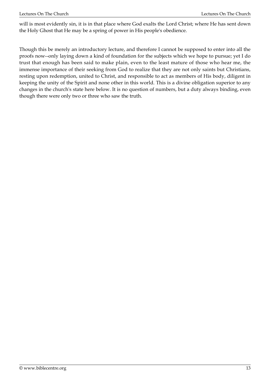will is most evidently sin, it is in that place where God exalts the Lord Christ; where He has sent down the Holy Ghost that He may be a spring of power in His people's obedience.

Though this be merely an introductory lecture, and therefore I cannot be supposed to enter into all the proofs now--only laying down a kind of foundation for the subjects which we hope to pursue; yet I do trust that enough has been said to make plain, even to the least mature of those who hear me, the immense importance of their seeking from God to realize that they are not only saints but Christians, resting upon redemption, united to Christ, and responsible to act as members of His body, diligent in keeping the unity of the Spirit and none other in this world. This is a divine obligation superior to any changes in the church's state here below. It is no question of numbers, but a duty always binding, even though there were only two or three who saw the truth.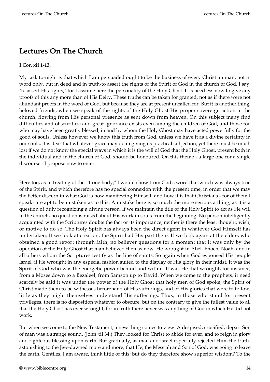## **Lectures On The Church**

#### **I Cor. xii 1-13.**

My task to-night is that which I am persuaded ought to be the business of every Christian man, not in word only, but in deed and in truth-to assert the rights of the Spirit of God in the church of God. I say, "to assert His rights;" for I assume here the personality of the Holy Ghost. It is needless now to give any proofs of this any more than of His Deity. These truths can be taken for granted, not as if there were not abundant proofs in the word of God, but because they are at present uncalled for. But it is another thing, beloved friends, when we speak of the rights of the Holy Ghost-His proper sovereign action in the church, flowing from His personal presence as sent down from heaven. On this subject many find difficulties and obscurities; and great ignorance exists even among the children of God, and those too who may have been greatly blessed; in and by whom the Holy Ghost may have acted powerfully for the good of souls. Unless however we know this truth from God, unless we have it as a divine certainty in our souls, it is dear that whatever grace may do in giving us practical subjection, yet there must be much lost if we do not know the special ways in which it is the will of God that the Holy Ghost, present both in the individual and in the church of God, should be honoured. On this theme - a large one for a single discourse - I propose now to enter.

Here too, as in treating of the 11 one body," I would show from God's word that which was always true of the Spirit, and which therefore has no special connexion with the present time, in order that we may the better discern in what God is now manifesting Himself, and how it is that Christians - for of them I speak- are apt to be mistaken as to this. A mistake here is so much the more serious a thing, as it is a question of duly recognizing a divine person. If we maintain the title of the Holy Spirit to act as He will in the church, no question is raised about His work in souls from the beginning. No person intelligently acquainted with the Scriptures doubts the fact or its importance; neither is there the least thought, wish, or motive to do so. The Holy Spirit has always been the direct agent in whatever God Himself has undertaken, If we look at creation, the Spirit had His part there. If we look again at the elders who obtained a good report through faith, no believer questions for a moment that it was only by the operation of the Holy Ghost that man believed then as now. He wrought in Abel, Enoch, Noah, and in all others whom the Scriptures testify as the line of saints. So again when God espoused His people Israel, if He wrought in any especial fashion suited to the display of His glory in their midst, it was the Spirit of God who was the energetic power behind and within. It was He that wrought, for instance, from a Moses down to a Bezaleel, from Samson up to David. When we come to the prophets, it need scarcely be said it was under the power of the Holy Ghost that holy men of God spoke; the Spirit of Christ made them to be witnesses beforehand of His sufferings, and of His glories that were to follow, little as they might themselves understand His sufferings. Thus, in those who stand for present privileges, there is no disposition whatever to obscure, but on the contrary to give the fullest value to all that the Holy Ghost has ever wrought; for in truth there never was anything of God in which He did not work.

But when we come to the New Testament, a new thing comes to view. A despised, crucified, depart Son of man was a strange sound. (John xii 34.) They looked for Christ to abide for ever, and to reign in glory and righteous blessing upon earth. But gradually, as man and Israel especially rejected Him, the truthastonishing to the Jew-dawned more and more, that He, the Messiah and Son of God, was going to leave the earth. Gentiles, I am aware, think little of this; but do they therefore show superior wisdom? To the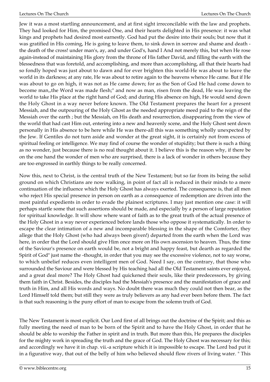Jew it was a most startling announcement, and at first sight irreconcilable with the law and prophets. They had looked for Him, the promised One, and their hearts delighted in His presence: it was what kings and prophets had desired most earnestly. God had put the desire into their souls; but now that it was gratified in His coming, He is going to leave them, to sink down in sorrow and shame and death the death of the cross! under man's, ay, and under God's, hand I And not merely this, but when He rose again-instead of maintaining His glory from the throne of His father David, and filling the earth with the blessedness that was foretold, and accomplishing, and more than accomplishing, all that their hearts had so fondly hoped was just about to dawn and for ever brighten this world-He was about to leave the world in its darkness; at any rate, He was about to retire again to the heavens whence He came. But if He was about to go on high, it was not as He came down; for as the Son of God He had come down to become man,,the Word was made flesh;" and now as man, risen from the dead, He was leaving the world to take His place at the right hand of God; and during His absence on high, He would send down the Holy Ghost in a way never before known. The Old Testament prepares the heart for a present Messiah, and the outpouring of the Holy Ghost as the needed appropriate meed paid to the reign of the Messiah over the earth ; but the Messiah, on His death and resurrection, disappearing from the view of the world that had cast Him out, entering into a new and heavenly scene, and the Holy Ghost sent down personally in His absence to be here while He was there-all this was something wholly unexpected by the Jew. If Gentiles do not turn aside and wonder at the great sight, it is certainly not from excess of spiritual feeling or intelligence. We may find of course the wonder of stupidity; but there is such a thing as no wonder, just because there is no real thought about it. I believe this is the reason why, if there be on the one hand the wonder of men who are surprised, there is a lack of wonder in others because they are too engrossed in earthly things to be really concerned.

Now this, next to Christ, is the central truth of the New Testament; but so far from its being the solid ground on which Christians are now walking, in point of fact all is reduced in their minds to a mere continuation of the influence which the Holy Ghost has always exerted. The consequence is, that all men who reject His special presence in person on earth as a consequence of redemption are driven into the most painful expedients in order to evade the plainest scriptures. I may just mention one case: it will perhaps startle some that such assertions should be made, and especially by a person of large reputation for spiritual knowledge. It will show where want of faith as to the great truth of the actual presence of the Holy Ghost in a way never experienced before lands those who oppose it systematically. In order to escape the clear intimation of a new and incomparable blessing in the shape of the Comforter, they allege that the Holy Ghost (who had always been given!) departed from the earth when the Lord was here, in order that the Lord should give Him once more on His own ascension to heaven. Thus, the time of the Saviour's presence on earth would be, not a bright and happy feast, but dearth as regarded the Spirit of God" just name the -thought, in order that you may see the excessive violence, not to say worse, to which unbelief reduces even intelligent men of God. Need I say, on the contrary, that those who surrounded the Saviour and were blessed by His teaching had all the Old Testament saints ever enjoyed, and a great deal more? The Holy Ghost had quickened their souls, like their predecessors, by giving them faith in Christ. Besides, the disciples had the Messiah's presence and the manifestation of grace and truth in Him, and all His words and ways. No doubt there was much they could not then bear, as the Lord Himself told them; but still they were as truly believers as any had ever been before them. The fact is that such reasoning is the puny effort of man to escape from the solemn truth of God.

The New Testament is most explicit. Our Lord first of all brings out the doctrine of the Spirit; and this as fully meeting the need of man to be born of the Spirit and to have the Holy Ghost, in order that he should be able to worship the Father in spirit and in truth. But more than this, He prepares the disciples for the mighty work in spreading the truth and the grace of God. The Holy Ghost was necessary for this; and accordingly we have it in chap. vii.-a scripture which it is impossible to escape. The Lord bad put it in a figurative way, that out of the belly of him who believed should flow rivers of living water. " This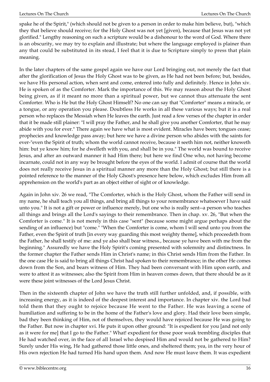spake he of the Spirit," (which should not be given to a person in order to make him believe, but), "which they that believe should receive; for the Holy Ghost was not yet [given), because that Jesus was not yet glorified." Lengthy reasoning on such a scripture would be a dishonour to the word of God. Where there is an obscurity, we may try to explain and illustrate; but where the language employed is plainer than any that could be substituted in its stead, I feel that it is due to Scripture simply to press that plain meaning.

In the later chapters of the same gospel again we have our Lord bringing out, not merely the fact that after the glorification of Jesus the Holy Ghost was to be given, as He had not been before; but, besides, we have His personal action, when sent and come, entered into fully and definitely. Hence in John xiv. He is spoken of as the Comforter. Mark the importance of this. We may reason about the Holy Ghost being given, as if it meant no more than a spiritual power, but we cannot thus attenuate the sent Comforter. Who is He but the Holy Ghost Himself? No one can say that "Comforter" means a miracle, or a tongue, or any operation you please. Doubtless He works in all these various ways; but it is a real person who replaces the Messiah when He leaves the earth. Just read a few verses of the chapter in order that it be made still plainer: "I will pray the Father, and he shall give you another Comforter, that he may abide with you for ever." There again we have what is most evident. Miracles have been; tongues cease; prophecies and knowledge pass away; but here we have a divine person who abides with the saints for ever-"even the Spirit of truth; whom the world cannot receive, because it seeth him not, neither knoweth him: but ye know him; for he dwelleth with you, and shall be in you." The world was bound to receive Jesus, and after an outward manner it had Him there; but here we find One who, not having become incarnate, could not in any way be brought before the eyes of the world. I admit of course that the world does not really receive Jesus in a spiritual manner any more than the Holy Ghost; but still there is a pointed reference to the manner of the Holy Ghost's presence here below, which excludes Him from all apprehension on the world's part as an object either of sight or of knowledge.

Again in John xiv. 26 we read, "The Comforter, which is the Holy Ghost, whom the Father will send in my name, he shall teach you all things, and bring all things to your remembrance whatsoever I have said unto you." It is not a gift or power or influence merely, but one who is really sent--a person who teaches all things and brings all the Lord's sayings to their remembrance. Then in chap. xv. 26, "But when the Comforter is come." It is not merely in this case "sent" (because some might argue perhaps about the sending of an influence) but "come." "When the Comforter is come, whom I will send unto you from the Father, even the Spirit of truth [in every way guarding this most weighty theme], which proceedeth from the Father, he shall testify of me: and ye also shall bear witness., because ye have been with me from the beginning." Assuredly we have the Holy Spirit's coming presented with solemnity and distinctness. In the former chapter the Father sends Him in Christ's name; in this Christ sends Him from the Father. In the one case He is said to bring all things Christ had spoken to their remembrance; in the other He comes down from the Son, and bears witness of Him. They had been conversant with Him upon earth, and were to attest it as witnesses; also the Spirit from Him in heaven comes down, that there should be as it were these joint witnesses of the Lord Jesus Christ.

Then in the sixteenth chapter of John we have the truth still further unfolded, and, if possible, with increasing energy, as it is indeed of the deepest interest and importance. In chapter xiv. the Lord bad told them that they ought to rejoice because He went to the Father. He was leaving a scene of humiliation and suffering to be in the home of the Father's love and glory. Had their love been simple, bad they been thinking of Him, not of themselves, they would have rejoiced because He was going to the Father. But now in chapter xvi. He puts it upon other ground: "It is expedient for you [and not only as it were for me] that I go to the Father." What! expedient for those poor weak trembling disciples that He had watched over, in the face of all Israel who despised Him and would not be gathered to Him? Surely under His wing, He had gathered those little ones, and sheltered them; yea, in the very hour of His own rejection He had turned His hand upon them. And now He must leave them. It was expedient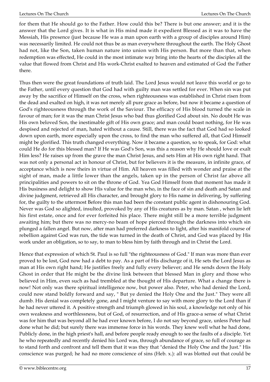for them that He should go to the Father. How could this be? There is but one answer; and it is the answer that the Lord gives. It is what in His mind made it expedient Blessed as it was to have the Messiah, His presence (just because He was a man upon earth with a group of disciples around Him) was necessarily limited. He could not thus be as man everywhere throughout the earth. The Holy Ghost had not, like the Son, taken human nature into union with His person. But more than that, when redemption was effected, He could in the most intimate way bring into the hearts of the disciples all the value that flowed from Christ and His work-Christ exalted to heaven and estimated of God the Father there.

Thus then were the great foundations of truth laid. The Lord Jesus would not leave this world or go to the Father, until every question that God had with guilty man was settled for ever. When sin was put away by the sacrifice of Himself on the cross, when righteousness was established in Christ risen from the dead and exalted on high, it was not merely all pure grace as before, but now it became a question of God's righteousness through the work of the Saviour. The efficacy of His blood turned the scale in favour of man; for it was the man Christ Jesus who bad thus glorified God about sin. No doubt He was His own beloved Son, the inestimable gift of His own grace; and man could boast nothing, for He was despised and rejected of man, hated without a cause. Still, there was the fact that God had so looked down upon earth, more especially upon the cross, to find the man who suffered all, that God Himself might be glorified. This truth changed everything. Now it became a question, so to speak, for God: what could He do for this blessed man? If He was God's Son, was this a reason why He should love or exalt Him less? He raises up from the grave the man Christ Jesus, and sets Him at His own right hand. That was not only a personal act in honour of Christ, but for believers it is the measure, in infinite grace, of acceptance which is now theirs in virtue of Him. All heaven was filled with wonder and praise at the sight of man, made a little lower than the angels, taken up in the person of Christ far above all principalities and powers to sit on the throne of God. Yea God Himself from that moment has made it His business and delight to show His value for the man who, in the face of sin and death and Satan and divine judgment, retrieved all His character, and brought glory to His name in delivering, by suffering for, the guilty to the uttermost Before this man had been the constant public agent in dishonouring God. Never was God so alighted, insulted, provoked by any of His creatures as by man. Satan , when lie left his first estate, once and for ever forfeited his place. There might still be a more terrible judgment awaiting him; but there was no mercy-no beam of hope pierced through the darkness into which sin plunged a fallen angel. But now, after man had preferred darkness to light, after his manifold course of rebellion against God was run, the tide was turned in the death of Christ, and God was placed by His work under an obligation, so to say, to man to bless him by faith through and in Christ the Lord.

Hence that expression of which St. Paul is so full "the righteousness of God." If man was more than ever proved to be lost, God now had a debt to pay. As a part of His discharge of it, He sets the Lord Jesus as man at His own right hand; He justifies freely and fully every believer; and He sends down the Holy Ghost in order that He might be the divine link between that blessed Man in glory and those who believed in Him, even such as had trembled at the thought of His departure. What a change there is now! Not only was there spiritual intelligence now, but power also. Peter, who had denied the Lord, could now stand boldly forward and say, " But ye denied the Holy One and the Just." They were all dumb. His denial was completely gone, and I might venture to say with more glory to the Lord than if he had never uttered it. A positive strength and triumph glowed in his soul, a knowledge not only of his own weakness and worthlessness, but of God, of resurrection, and of His grace-a sense of what Christ was for him that was beyond all he had ever known before, I do not say beyond grace, unless Peter had done what he did; but surely there was immense force in his words. They knew well what he had done, Publicly done, in the high priest's hall, and before people ready enough to see the faults of a disciple. Yet he who repeatedly and recently denied his Lord was, through abundance of grace, so full of courage as to stand forth and confront and tell them that it was they that "denied the Holy One and the Just." His conscience was purged; he had no more conscience of sins (Heb. x.): all was blotted out that could be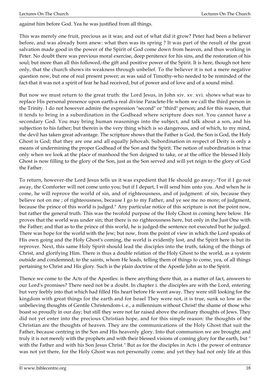against him before God. Yea he was justified from all things.

This was merely one fruit, precious as it was; and out of what did it grow? Peter had been a believer before, and was already born anew: what then was its spring ? It was part of the result of the great salvation made good in the power of the Spirit of God come down from heaven, and thus working in Peter. No doubt there was previous moral exercise, deep penitence for his sins, and the restoration of his soul; but more than all this followed,-the gift and positive power of the Spirit. It is here, though not here only, that the church shows its weakness through unbelief. To the believer it is not a mere negative question now, but one of real present power; as was said of Timothy-who needed to be reminded of the fact-that it was not a spirit of fear he had received, but of power and of love and of a sound mind.

But now we must return to the great truth: the Lord Jesus, in John xiv. xv. xvi. shows what was to replace His personal presence upon earth-a real divine Paraclete-He whom we call the third person in the Trinity. I do not however admire the expression "second" or "third" person; and for this reason, that it tends to bring in a subordination in the Godhead where scripture does not. You cannot have a secondary God. You may bring human reasonings into the subject, and talk about a son, and his subjection to his father; but therein is the very thing which is so dangerous, and of which, to my mind, the devil has taken great advantage. The scripture shows that the Father is God, the Son is God, the Holy Ghost is God; that they are one and all equally Jehovah. Subordination in respect of Deity is only a means of undermining the proper Godhead of the Son and the Spirit. The notion of subordination is true only when we look at the place of manhood the Son deigned to take, or at the office the blessed Holy Ghost is now filling to the glory of the Son, just as the Son served and will yet reign to the glory of God the Father.

To return, however-the Lord Jesus tells us it was expedient that He should go away;-"For if I go not away, the Comforter will not come unto you; but if I depart, I will send him unto you. And when he is come, he will reprove the world of sin, and of righteousness, and of judgment: of sin, because they believe not on me ; of righteousness, because I go to my Father, and ye see me no more; of judgment, because the prince of this world is judged." Any particular notice of this scripture is not the point now, but rather the general truth. This was the twofold purpose of the Holy Ghost in coming here below. He proves that the world was under sin; that there is no righteousness here, but only in the Just One with the Father; and that as to the prince of this world, he is judged-the sentence not executed but he judged. There was hope for the world with the Jew; but now, from the point of view in which the Lord speaks of His own going and the Holy Ghost's coming, the world is evidently lost, and the Spirit here is but its reprover. Next, this same Holy Spirit should lead the disciples into the truth, taking of the things of Christ, and glorifying Him. There is thus a double relation of the Holy Ghost to the world, as a system outside and condemned; to the saints, whom He leads, telling them of things to come, yea, of all things pertaining to Christ and His glory. Such is the plain doctrine of the Apostle John as to the Spirit.

Thence we come to the Acts of the Apostles: is there anything there that, as a matter of fact, answers to our Lord's promises? There need not be a doubt. In chapter i. the disciples are with the Lord, entering but very feebly into that which had filled His heart before He went away. They were still looking for the kingdom with great things for the earth and for Israel They were not, it is true, sunk so low as the unbelieving thoughts of Gentile Christendom-i. e., a millennium without Christ! the shame of those who boast so proudly in our day; but still they were not far raised above the ordinary thoughts of Jews. They did not yet enter into the precious Christian hope, and for this simple reason: the thoughts of the Christian are the thoughts of heaven. They are the communications of the Holy Ghost that suit the Father, because centring in the Son and His heavenly glory. Into that communion we are brought; and truly it is not merely with the prophets and with their blessed visions of coming glory for the earth, but " with the Father and with his Son Jesus Christ." But as for the disciples in Acts i the power of entrance was not yet there, for the Holy Ghost was not personally come; and yet they had not only life at this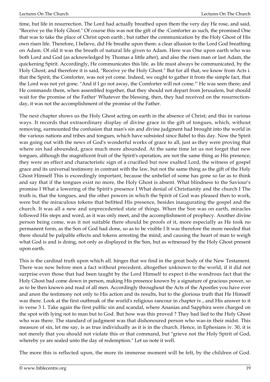time, but life in resurrection. The Lord had actually breathed upon them the very day He rose, and said, "Receive ye the Holy Ghost." Of course this was not the gift of the -Comforter as such, the promised One that was to take the place of Christ upon earth ; but rather the communication by the Holy Ghost of His own risen life. Therefore, I believe, did He breathe upon them: a clear allusion to the Lord God breathing on Adam. Of old it was the breath of natural life given to Adam. Here was One upon earth who was both Lord and God (as acknowledged by Thomas a little after), and also the risen man or last Adam, the quickening Spirit. Accordingly, He communicates this life. as life must always be communicated, by the Holy Ghost; and therefore it is said, "Receive ye the Holy Ghost." But for all that, we know from Acts i. that the Spirit, the Comforter, was not yet come. Indeed, we ought to gather it from the simple fact, that the Lord was not yet gone. "And if I go not away, the Comforter will not come."' He was seen there; and He commands them, when assembled together, that they should not depart from Jerusalem, but should wait for the promise of the Father' Whatever the blessing, then, they had received on the resurrectionday, it was not the accomplishment of the promise of the Father.

The next chapter shows us the Holy Ghost acting on earth in the absence of Christ; and this in various ways. It records that extraordinary display of divine grace in the gift of tongues, which, without removing, surmounted the confusion that man's sin and divine judgment had brought into the world in the various nations and tribes and tongues, which have subsisted since Babel to this day. Now the Spirit was going out with the news of God's wonderful works of grace to all, just as they were proving that where sin had abounded, grace much more abounded. At the same time let us not forget that new tongues, although the magnificent fruit of the Spirit's operation, are not the same thing as His presence; they were an effect and characteristic sign of a crucified but now exalted Lord, the witness of gospel grace and its universal testimony in contrast with the law, but not the same thing as the gift of the Holy Ghost Himself This is exceedingly important, because the unbelief of some has gone so far as to think and say that if the tongues exist no more, the Holy Ghost is absent. What blindness to the Saviour's promise I What a lowering of the Spirit's presence I What denial of Christianity and the church I The truth is, that the tongues, and the other powers in which the Spirit of God was pleased then to work, were but the miraculous tokens that befitted His presence, besides inaugurating the gospel and the church. It was all a new and unprecedented state of things. When the Son was on earth, miracles followed His steps and word, as it was only meet, and the accomplishment of prophecy. Another divine person being come, was it not suitable there should be proofs of it, more especially as He took no permanent form, as the Son of God had done, so as to be visible I It was therefore the more needed that there should be palpable effects and tokens arresting the mind, and causing the heart of man to weigh what God is and is doing, not only as displayed in the Son, but as witnessed by the Holy Ghost present upon earth.

This is the cardinal truth upon which all. hinges that we find in the great body of the New Testament. There was now before men a fact without precedent, altogether unknown to the world, if it did not surprise even those that had been taught by the Lord Himself to expect it-the wondrous fact that the Holy Ghost bad come down in person, making His presence known by a signature of gracious power, so as to be then known and read of all men. Accordingly throughout the Acts of the Apostles you have ever and anon the testimony not only to His action and its results, but to the glorious truth that He Himself was there. Look at the first outbreak of the world's religious rancour in chapter iv., and His answer to it in verse 3 1. Take again the first public sin and scandal, where Ananias and Sapphira were charged on the spot with lying not to man but to God. But how was this proved ? They had lied to the Holy Ghost who was there. The standard of judgment was that dishonoured person who was-in their midst. This measure of sin, let me say, is as true individually as it is in the church. Hence, in Ephesians iv. 30, it is not merely that you should not violate this or that command, but "grieve not the Holy Spirit of God, whereby ye are sealed unto the day of redemption." Let us note it well.

The more this is reflected upon, the more its immense moment will be felt, by the children of God.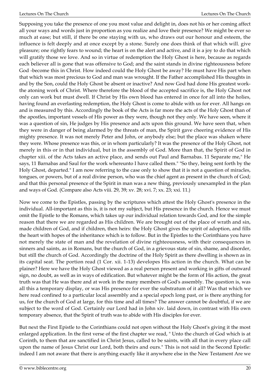Supposing you take the presence of one you most value and delight in, does not his or her coming affect all your ways and words just in proportion as you realize and love their presence? We might be ever so much at ease; but still, if there be one staying with us, who draws out our honour and esteem, the influence is felt deeply and at once except by a stone. Surely one does think of that which will. give pleasure; one rightly fears to wound; the heart is on the alert and active, and it is a joy to do that which will gratify those we love. And so in virtue of redemption the Holy Ghost is here, because as regards each believer all is gone that was offensive to God; and the saint stands in divine righteousness before God -become this in Christ. How indeed could the Holy Ghost be away? He must have His part when that which was most precious to God and man was wrought. If the Father accomplished His thoughts in and by the Son, could the Holy Ghost be absent or inactive? And now God had done His greatest workthe atoning work of Christ. Where therefore the blood of the accepted sacrifice is, the Holy Ghost not only can work but must dwell. If Christ by His own blood has entered in once for all into the holies, having found an everlasting redemption, the Holy Ghost is come to abide with us for ever. All hangs on and is measured by this. Accordingly the book of the Acts is far more the acts of the Holy Ghost than of the apostles, important vessels of His power as they were, though not they only. We have seen, where it was a question of sin, He judges by His presence and acts upon this ground. We have seen that, when they were in danger of being alarmed by the threats of man, the Spirit gave cheering evidence of His mighty presence. It was not merely Peter and John, or anybody else; but the place was shaken where they were. Whose presence was this, or in whom particularly? It was the presence of the Holy Ghost, not merely in this or in that individual, but in the assembly of God. More than that, the Spirit of God in chapter xiii. of the Acts takes an active place, and sends out Paul and Barnabas. 11 Separate me," He says, 11 Barnabas and Saul for the work whereunto I have called them." "So they, being sent forth by the Holy Ghost, departed." I am now referring to the case only to show that it is not a question of miracles, tongues, or powers, but of a real divine person, who was the chief agent as present in the church of God; and that this personal presence of the Spirit in man was a new thing, previously unexampled in the plan and ways of God. (Compare also Acts viii. 29, 39; xv. 28; xvi. 7; xx. 23; xxi. 11.)

Now we come to the Epistles, passing by the scriptures which attest the Holy Ghost's presence in the individual. All-important as this is, it is not my subject, but His presence in the church. Hence we must omit the Epistle to the Romans, which takes up our individual relation towards God, and for the simple reason that there we are regarded as His children. We are brought out of the place of wrath and sin, made children of God, and if children, then heirs: the Holy Ghost gives the spirit of adoption, and fills the heart with hopes of the inheritance which is to follow. But in the Epistles to the Corinthians you have not merely the state of man and the revelation of divine righteousness, with their consequences in sinners and saints, as in Romans, but the church of God, in a grievous state of sin, shame, and disorder, but still the church of God. Accordingly the doctrine of the Holy Spirit as there dwelling is shown as in its capital seat. The portion read (1 Cor. xii. 1-13) developes His action in the church. What can be plainer? Here we have the Holy Ghost viewed as a real person present and working in gifts of outward sign, no doubt, as well as in ways of edification. But whatever might be the form of His action, the great truth was that He was there and at work in the many members of God's assembly. The question is, was all this a temporary display, or was His presence for ever the substratum of it all? Was that which we here read confined to a particular local assembly and a special epoch long past, or is there anything for us, for the church of God at large, for this time and all times? The answer cannot be doubtful, if we are subject to the word of God. Certainly our Lord had in John xiv. laid down, in contrast with His own temporary absence, that the Spirit of truth was to abide with His disciples for ever.

But next the First Epistle to the Corinthians could not open without the Holy Ghost's giving it the most enlarged application. In the first verse of the first chapter we read, " Unto the church of God which is at Corinth, to them that are sanctified in Christ Jesus, called to be saints, with all that in every place call upon the name of Jesus Christ our Lord, both theirs and ours." This is not said in the Second Epistle: indeed I am not aware that there is anything exactly like it anywhere else in the New Testament Are we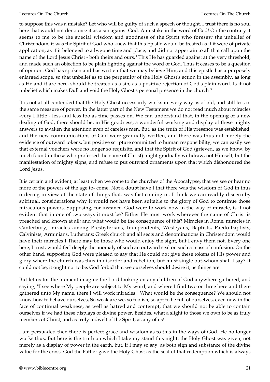to suppose this was a mistake? Let who will be guilty of such a speech or thought, I trust there is no soul here that would not denounce it as a sin against God. A mistake in the word of God! On the contrary it seems to me to be the special wisdom and goodness of the Spirit who foresaw the unbelief of Christendom; it was the Spirit of God who knew that this Epistle would be treated as if it were of private application, as if it belonged to a bygone time and place, and did not appertain to all that call upon the name of the Lord Jesus Christ - both theirs and ours." This He has guarded against at the very threshold, and made such an objection to be plain fighting against the word of God. Thus it ceases to be a question of opinion. God has spoken and has written that we may believe Him; and this epistle has a purposely enlarged scope, so that unbelief as to the perpetuity of the Holy Ghost's action in the assembly, as long as He and it are here, should be treated as a sin, as a positive rejection of God's plain word. Is it not unbelief which makes Dull and void the Holy Ghost's personal presence in the church ?

It is not at all contended that the Holy Ghost necessarily works in every way as of old, and still less in the same measure of power. In the latter part of the New Testament we do not read much about miracles -very I little - less and less too as time passes on. We can understand that, in the opening of a new dealing of God, there should be, in His goodness, a wonderful working and display of these mighty answers to awaken the attention even of careless men. But, as the truth of His presence was established, and the new communications of God were gradually written, and there was thus not merely the evidence of outward tokens, but positive scripture committed to human responsibility, we can easily see that external vouchers were no longer so requisite, and that the Spirit of God (grieved, as we know, by much found in those who professed the name of Christ) might gradually withdraw, not Himself, but the manifestation of mighty signs, and refuse to put outward ornaments upon that which dishonoured the Lord Jesus.

It is certain and evident, at least when we come to the churches of the Apocalypse, that we see or hear no more of the powers of the age to- come. Not a doubt have I that there was the wisdom of God in thus ordering in view of the state of things that. was fast coming in. I think we can readily discern by spiritual. considerations why it would not have been suitable to the glory of God to continue those miraculous powers. Supposing, for instance, God were to work now in the way of miracle, is it not evident that in one of two ways it must be? Either He must work wherever the name of Christ is preached and known at all; and what would be the consequence of this? Miracles in Rome, miracles in Canterbury, miracles among Presbyterians, Independents, Wesleyans, Baptists, Paedo-baptists, Calvinists, Arminians, Lutherans: Greek church and all sects and denominations in Christendom would have their miracles I There may be those who would enjoy the sight, but I envy them not, Every one here, I trust, would feel deeply the anomaly of such an outward seal on such a mass of confusion. On the other band, supposing God were pleased to say that He could not give these tokens of His power and glory where the church was thus in disorder and rebellion, but must single out-whom shall I say? It could not be, it ought not to be: God forbid that we ourselves should desire it, as things are.

But let us for the moment imagine the Lord looking on any children of God anywhere gathered, and saying, "I see where My people are subject to My word; and where I find two or three here and there gathered unto My name, there I will work miracles." What would be the consequence? We should not know how to behave ourselves, So weak are we, so foolish, so apt to be full of ourselves, even now in the face of continual weakness, as well as hatred and contempt, that we should not be able to contain ourselves if we had these displays of divine power. Besides, what a slight to those we own to be as truly members of Christ, and as truly indwelt of the Spirit, as any of us!

I am persuaded then there is perfect grace and wisdom as to this in the ways of God. He no longer works thus. But here is the truth on which I take my stand this night: the Holy Ghost was given, not merely as a display of power in the earth, but, if I may so say, as both sign and substance of the divine value for the cross. God the Father gave the Holy Ghost as the seal of that redemption which is always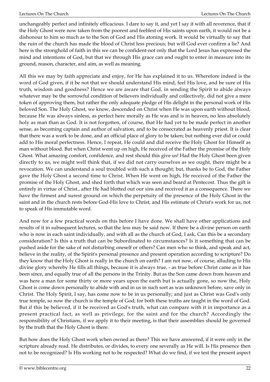unchangeably perfect and infinitely efficacious. I dare to say it, and yet I say it with all reverence, that if the Holy Ghost were now taken from the poorest and feeblest of His saints upon earth, it would not be a dishonour to him so much as to the Son of God and His atoning work. It would be virtually to say that the ruin of the church has made the blood of Christ less precious; but will God ever confirm a lie? And here is the stronghold of faith in this we can be confident-not only that the Lord Jesus has expressed the mind and intentions of God, but that we through His grace can and ought to enter in measure into its ground, reason, character, and aim, as well as meaning.

All this we may by faith appreciate and enjoy, for He has explained it to us. Wherefore indeed is the word of God given, if it be not that we should understand His mind, feel His love, and be sure of His truth, wisdom and goodness? Hence we are aware that God, in sending the Spirit to abide always whatever may be the sorrowful condition of believers individually and collectively, did not give a mere token of approving them, but rather the only adequate pledge of His delight in the personal work of His beloved Son. The Holy Ghost, we know, descended on Christ when He was upon earth without blood, because He was always sinless, as perfect here morally as He was and is in heaven, no less absolutely holy as man than as God. It is not forgotten, of course, that He had yet to be made perfect in another sense, as becoming captain and author of salvation, and to be consecrated as heavenly priest. It is clear that there was a work to be done, and an official place of glory to be taken; but nothing ever did or could add to His moral perfectness. Hence, I repeat, He could and did receive the Holy Ghost for Himself as man without blood. But when Christ went up on high, He received of the Father the promise of the Holy Ghost. What amazing comfort, confidence, and rest should this give us! Had the Holy Ghost been given directly to us, we might well think that, if we did not carry ourselves as we ought, there might be a revocation. We can understand a soul troubled with such a thought; but, thanks be to God, the Father gave the Holy Ghost a second time to Christ. When He went on high, He received of the Father the promise of the Holy Ghost, and shed forth that which was seen and beard at Pentecost. Thus the gift is entirely in virtue of Christ., after He had blotted out our sins and received it as a consequence. There we have the firmest and surest ground on which the perpetuity of the presence of the Holy Ghost in the saint and in the church rests before God-His love to Christ, and His estimate of Christ's work for us, not to speak of His immutable word.

And now for a few practical words on this before I have done. We shall have other applications and results of it in subsequent lectures, so that the less may be said now. If there be a divine person on earth who is now in each saint individually, and with all as the church of God, I ask, Can this be a secondary consideration? Is this a truth that can be Subordinated to circumstances? Is it something that can be pushed aside for the sake of not disturbing oneself or others? Can men who so think, and speak and act, believe in the reality, of the Spirit's personal presence and present operation according to scripture? Do they know that the Holy Ghost is really in the church on earth? I am not now, of course, alluding to His divine glory whereby He fills all things, because it is always true, - as true before Christ came as it has been since, and equally true of all the persons in the Trinity. But as the Son came down from heaven and was here a man for some thirty or more years upon the earth but is actually gone, so now the, Holy Ghost is come down personally to abide with and in us in such sort as was unknown before, save only in Christ. The Holy Spirit, I say, has come now to be in us personally; and just as Christ was God's only true temple, so now the church is the temple of God; for both these truths are taught in the word of God. But if this be believed, if it be received as God's truth, what can compare with it in importance as a present practical fact, as well as privilege, for the saint and for the church? Accordingly the responsibility of Christians, if we apply it to their meeting, is that their assemblies should be governed by the truth that the Holy Ghost is there.

But how does the Holy Ghost work when owned as there? This we have answered, if it were only in the scripture already read. He distributes, or divides, to every one severally as He will. Is His presence then not to be recognized? Is His working not to be respected? What do we find, if we test the present aspect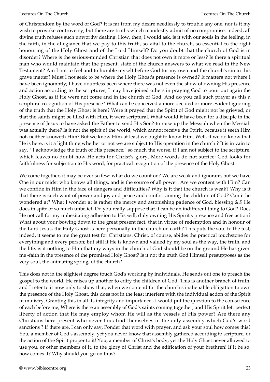of Christendom by the word of God? It is far from my desire needlessly to trouble any one, nor is it my wish to provoke controversy; but there are truths which manifestly admit of no compromise: indeed, all divine truth refuses such unworthy dealing. How, then, I would ask, is it with our souls in the feeling, in the faith, in the allegiance that we pay to this truth, so vital to the church, so essential to the right honouring of the Holy Ghost and of the Lord Himself? Do you doubt that the church of God is in disorder? Where is the serious-minded Christian that does not own it more or less? Is there a spiritual man who would maintain that the present, state of the church answers to what we read in the New Testament? Am I not to feel and to humble myself before God for my own and the church's sin in this grave matter? Must I not seek to be where the Holy Ghost's presence is owned? It matters not where I have been ignomntly; I have doubtless been where there was not even the show of owning His presence and action according to the scriptures; I may have joined others in praying God to pour out again the Holy Ghost, as if He were not come and in the church of God. And do you call such prayer as this a scriptural recognition of His presence? What can be conceived a more decided or more evident ignoring of the truth that the Holy Ghost is here? Were it prayed that the Spirit of God might not be grieved, or that the saints might be filled with Him, it were scriptural. What would it have been for a disciple in the presence of Jesus to have asked the Father to send His Son?-to raise up the Messiah when the Messiah was actually there? Is it not the spirit of the world, which cannot receive the Spirit, because it seeth Him not, neither knoweth Him? But we know Him-at least we ought to know Him. Well, if we do know that He is here, is it a light thing whether or not we are subject to His operation in the church ? It is in vain to say, " I acknowledge the truth of His presence;" so much the worse, if I am not subject to the scripture, which leaves no doubt how He acts for Christ's glory. Mere words do not suffice: God looks for faithfulness for subjection to His word, for practical recognition of the presence of the Holy Ghost.

We come together, it may be ever so few: what do we count on? We are weak and ignorant, but we have One in our midst who knows all things, and is the source of all power. Are we content with Him? Can we confide in Him in the face of dangers and difficulties? Why is it that the church is weak? Why is it that there is such want of power and joy and peace and comfort among the children of God? Can it be wondered at? What I wonder at is rather the mercy and astonishing patience of God, blessing &.9 He does in spite of so much unbelief. Do you really suppose that it can be an indifferent thing to God? Does He not call for my unhesitating adhesion to His will, duly owning His Spirit's presence and free action? What about your bowing down to the great present fact, that in virtue of redemption and in honour of the Lord Jesus, the Holy Ghost is here personally in the church on earth? This puts the soul to the test; indeed, it seems to me the great test for Christians. Christ, of course, abides the practical touchstone for everything and every person; but still if He is known and valued by my soul as the way, the truth, and the life, is it nothing to Him that my ways in the church of God should be on the ground He has given me -faith in the presence of the promised Holy Ghost? Is it not the truth God Himself presupposes as the very soul, the animating spring, of the church?

This does not in the slightest degree touch God's working by individuals. He sends out one to preach the gospel to the world, He raises up another to edify the children of God. This is another branch of truth; and I refer to it now only to show that, when we contend for the church's inalienable obligation to own the presence of the Holy Ghost, this does not in the least interfere with the individual action of the Spirit in ministry. Granting this in all its integrity and importance., I would put the question to the con-science of each before me, Where is there an assembly of God's saints coming together, and His Spirit left perfect liberty of action that He may employ whom He will as the vessels of His power? Are there any Christians here present who never thus find themselves in the only assembly which God's word sanctions ? If there are, I can only say, Ponder that word with prayer, and ask your soul how comes this? You, a member of God's assembly, yet you never know that assembly gathered according to scripture, or the action of the Spirit proper to it! You, a member of Christ's body, yet the Holy Ghost never allowed to use you, or other members of it, to the glory of Christ and the edification of your brethren! If it be so, how comes it? Why should you go on thus?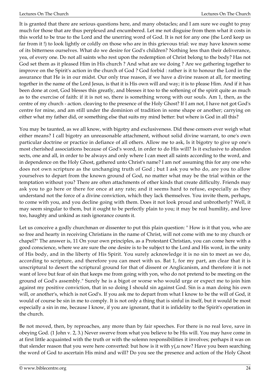It is granted that there are serious questions here, and many obstacles; and I am sure we ought to pray much for those that are thus perplexed and encumbered. Let me not disguise from them what it costs in this world to be true to the Lord and the unerring word of God. It is not for any one (the Lord keep us far from it !) to look lightly or coldly on those who are in this grievous trial: we may have known some of its bitterness ourselves. What do we desire for God's children? Nothing less than their deliverance, yea, of every one. Do not all saints who rest upon the redemption of Christ belong to the body? Has not God set them as it pleased Him in His church ? And what are we doing ? Are we gathering together to improve on the Spirit's action in the church of God ? God forbid : rather is it to honour the Lord in the assurance that He is in our midst. Our only true reason, if we have a divine reason at all, for meeting together in the name of the Lord Jesus, is that it is His own will and way; it is to please Him. And if it has been done at cost, God blesses this greatly, and blesses it too to the softening of the spirit quite as much as to the exercise of faith: if it is not so, there is something wrong with our souls. Am 1, then, as the centre of my church - action. cleaving to the presence of the Holy Ghost? If I am not, I have not got God's centre for mine, and am still under the dominion of tradition in some shape or another; carrying on either what my father did, or something else that suits my mind better: but where is God in all this?

You may be taunted, as we all know, with bigotry and exclusiveness. Did these censors ever weigh what either means? I call bigotry an unreasonable attachment, without solid divine warrant, to one's own particular doctrine or practice in defiance of all others. Allow me to ask, Is it bigotry to give up one's most cherished associations because of God's word, in order to do His will? Is it exclusive to abandon sects, one and all, in order to be always and only where I can meet all saints according to the word, and in dependence on the Holy Ghost, gathered unto Christ's name? I am not' assuming this for any one who does not own scripture as the unchanging truth of God ; but I ask you who do, are you to allow yourselves to depart from the known ground of God, no matter what may be the trial within or the temptation without you? There are often attachments of other kinds that create difficulty. Friends may ask you to go here or there for once at any rate; and it seems hard to refuse, especially as they understand not the force of a divine conviction, which they lack themselves. You invite them, perhaps, to come with you, and you decline going with them. Does it not look proud and unbrotherly? Well, it may seem singular to them, but it ought to be perfectly plain to you; it may be real humility, and love too, haughty and unkind as rash ignorance counts it.

Let us conceive a godly churchman or dissenter to put this plain question: " How is it that you, who are so free and hearty in receiving Christians in the name of Christ, will not come with me to my church or chapel?" The answer is, 11 On your own principles, as a Protestant Christian, you can come here with a good conscience, where we are sure the one desire is to be subject to the Lord and His word, in the unity of His body, and in the liberty of His Spirit. You surely acknowledge it is no sin to meet as we do, according to scripture, and therefore you can meet with us. Bat 1, for my part, am clear that it is unscriptural to desert the scriptural ground for that of dissent or Anglicanism, and therefore it is not want of love but fear of sin that keeps me from going with yon, who do not pretend to be meeting on the ground of God's assembly." Surely he is a bigot or worse who would urge or expect me to join him against my positive conviction, that in so doing I should sin against God. Sin is a man doing his own will, or another's, which is not God's. If you ask me to depart from what I know to be the will of God, it would of course be sin in me to comply. It is not only a thing that is sinful in itself, but it would be most especially a sin in me, because I know, if you are ignorant, that it is infidelity to the Spirit's operation in the church.

Be not moved, then, by reproaches, any more than by fair speeches. For there is no real love, save in obeying God. (1 John v. 2, 3.) Never swerve from what you believe to be His will. You may have come in at first little acquainted with the truth or with the solemn responsibilities it involves; perhaps it was on that slender reason that you were here converted: but how is it with  $y(x)$  now? Have you been searching the word of God to ascertain His mind and will? Do you see the presence and action of the Holy Ghost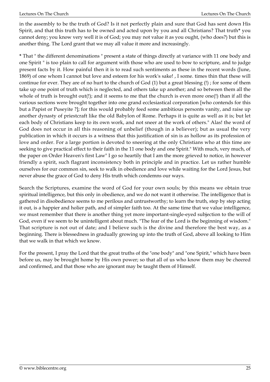in the assembly to be the truth of God? Is it not perfectly plain and sure that God has sent down His Spirit, and that this truth has to be owned and acted upon by you and all Christians? That truth**\*** you cannot deny; you know very well it is of God; you may not value it as you ought, (who does?) but this is another thing. The Lord grant that we may all value it more and increasingly.

**\*** That " the different denominations " present a state of things directly at variance with 11 one body and one Spirit " is too plain to call for argument with those who are used to bow to scripture, and to judge present facts by it. How painful then it is to read such sentiments as these in the recent words (June, 1869) of one whom I cannot but love and esteem for his work's sake! , I some. times thin that these will continue for ever. They are of no hurt to the church of God (1) but a great blessing (!) ; for some of them take up one point of truth which is neglected, and others take up another; and so between them all the whole of truth is brought out(!); and it seems to me that the church is even more one(!) than if all the various sections were brought together into one grand ecclesiastical corporation [who contends for this but a Papist or Puseyite ?]; for this would probably feed some ambitious personts vanity, and raise up another dynasty of priestcraft like the old Babylon of Rome. Perhaps it is quite as well as it is; but let each body of Christians keep to its own work, and not sneer at the work of others." Alas! the word of God does not occur in all this reasoning of unbelief (though in a believer); but as usual the very publication in which it occurs is a witness that this justification of sin is as hollow as its profession of love and order. For a large portion is devoted to sneering at the only Christians who at this time are seeking to give practical effect to their faith in the 11 one body and one Spirit." With much, very much, of the paper on Order Heaven's first Law" I go so heartily that I am the more grieved to notice, in however friendly a spirit, such flagrant inconsistency both in principle and in practice. Let us rather humble ourselves for our common sin, seek to walk in obedience and love while waiting for the Lord Jesus, but never abuse the grace of God to deny His truth which condemns our ways.

Search the Scriptures, examine the word of God for your own souls; by this means we obtain true spiritual intelligence, but this only in obedience, and we do not want it otherwise. The intelligence that is gathered in disobedience seems to me perilous and untrustworthy; to learn the truth, step by step acting it out, is a happier and holier path, and of simpler faith too. At the same time that we value intelligence, we must remember that there is another thing yet more important-single-eyed subjection to the will of God, even if we seem to be unintelligent about much. "The fear of the Lord is the beginning of wisdom." That scripture is not out of date; and I believe such is the divine and therefore the best way, as a beginning. There is blessedness in gradually growing up into the truth of God, above all looking to Him that we walk in that which we know.

For the present, I pray the Lord that the great truths of the "one body" and "one Spirit," which have been before us, may be brought home by His own power; so that all of us who know them may be cheered and confirmed, and that those who are ignorant may be taught them of Himself.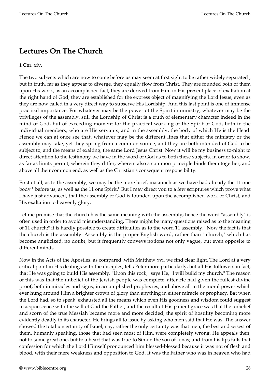## **Lectures On The Church**

#### **1 Cor. xiv.**

The two subjects which are now to come before us may seem at first sight to be rather widely separated ; but in truth, far as they appear to diverge, they equally flow from Christ. They are founded both of them upon His work, as an accomplished fact; they are derived from Him in His present place of exaltation at the right hand of God; they are established for the express object of magnifying the Lord Jesus, even as they are now called in a very direct way to subserve His Lordship. And this last point is one of immense practical importance. For whatever may be the power of the Spirit in ministry, whatever may be the privileges of the assembly, still the Lordship of Christ is a truth of elementary character indeed in the mind of God, but of exceeding moment for the practical working of the Spirit of God, both in the individual members, who are His servants, and in the assembly, the body of which He is the Head. Hence we can at once see that, whatever may be the different lines that either the ministry or the assembly may take, yet they spring from a common source, and they are both intended of God to be subject to, and the means of exalting, the same Lord Jesus Christ. Now it will be my business to-night to direct attention to the testimony we have in the word of God as to both these subjects, in order to show, as far as limits permit, wherein they differ; wherein also a common principle binds them together; and above all their common end, as well as the Christian's consequent responsibility.

First of all, as to the assembly, we may be the more brief, inasmuch as we have had already the 11 one body " before us, as well as the 11 one Spirit." But I may direct you to a few scriptures which prove what I have just advanced, that the assembly of God is founded upon the accomplished work of Christ, and His exaltation to heavenly glory.

Let me premise that the church has the same meaning with the assembly; hence the word "assembly" is often used in order to avoid misunderstanding. There might be many questions raised as to the meaning of 11 church:" it is hardly possible to create difficulties as to the word 11 assembly." Now the fact is that the church is the assembly. Assembly is the proper English word, rather than " church," which has become anglicized, no doubt, but it frequently conveys notions not only vague, but even opposite to different minds.

Now in the Acts of the Apostles, as compared ,with Matthew xvi. we find clear light. The Lord at a very critical point in His dealings with the disciples, tells Peter more particularly, but all His followers in fact, that He was going to build His assembly. "Upon this rock," says He, "I will build my church." The reason of this was that the unbelief of the Jewish people was complete, after He had given the fullest divine proof, both in miracles and signs, in accomplished prophecies, and above all in the moral power which ever hung around Him a brighter crown of glory than anything in either miracle or prophecy. Bat when the Lord had, so to speak, exhausted all the means which even His goodness and wisdom could suggest in acquiescence with the will of God the Father, and the result of His patient grace was that the unbelief and scorn of the true Messiah became more and more decided, the spirit of hostility becoming more evidently deadly in its character, He brings all to issue by asking who men said that He was. The answer showed the total uncertainty of Israel; nay, rather the only certainty was that men, the best and wisest of them, humanly speaking, those that had seen most of Him, were completely wrong. He appeals then, not to some great one, but to a heart that was true-to Simon the son of Jonas; and from his lips falls that confession for which the Lord Himself pronounced him blessed-blessed because it was not of flesh and blood, with their mere weakness and opposition to God. It was the Father who was in heaven who had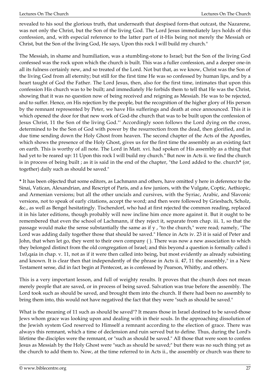revealed to his soul the glorious truth, that underneath that despised form-that outcast, the Nazarene, was not only the Christ, but the Son of the living God. The Lord Jesus immediately lays holds of this confession, and, with especial reference to the latter part of it-His being not merely the Messiah or Christ, but the Son of the living God, He says, Upon this rock I will build my church."

The Messiah, in shame and humiliation, was a stumbling-stone to Israel; but the Son of the living God confessed was the rock upon which the church is built. This was a fuller confession, and a deeper one-in all its fulness certainly new, and so treated of the Lord. Not but that, as we know, Christ was the Son of the living God from all eternity; but still for the first time He was so confessed by human lips, and by a heart taught of God the Father. The Lord Jesus, then, also for the first time, intimates that upon this confession His church was to be built; and immediately He forbids them to tell that He was the Christ, showing that it was no question now of being received and reigning as Messiah. He was to be rejected, and to suffer. Hence, on His rejection by the people, but the recognition of the higher glory of His person by the remnant represented by Peter, we have His sufferings and death at once announced. This it is which opened the door for that new work of God-the church that was to be built upon the confession of Jesus Christ, 11 the Son of the living God."' Accordingly soon follows the Lord dying on the cross, determined to be the Son of God with power by the resurrection from the dead, then glorified, and in due time sending down the Holy Ghost from heaven. The second chapter of the Acts of the Apostles, which shows the presence of the Holy Ghost, gives us for the first time the assembly as an existing fact on earth. This is worthy of all note. The Lord in Matt. xvi. had spoken of His assembly as a thing that had yet to be reared up: 11 Upon this rock I will build my church." But now in Acts ii. we find the church is in process of being built ; as it is said in the end of the chapter, "the Lord added to the. church**\*** (or, together) daily such as should be saved."

**\*** It has been objected that some editors, as Lachmann and others, have omitted y here in deference to the Sinai, Vatican, Alexandrian, and Rescript of Paris, and a few juniors, with the Vulgate, Coptic, Aethiopic, and Armenian versions; but all the other uncials and cursives, with the Syriac, Arabic, and Slavonic versions, not to speak of early citations, accept the word; and then were followed by Griesbach, Scholz, &c., as well as Bengel hesitatingly. Tischendorf, who had at first rejected the common reading, replaced it in his later editions, though probably will now incline him once more against it. But it ought to be remembered that even the school of Lachmann, if they reject it, separate from chap. iii. 1, so that the passage would make the sense substantially the same as if y , "to the church," were read; namely, "The Lord was adding daily together those that should be saved." Hence in Acts iv. 23 it is said of Peter and John, that when let go, they went to their own company ( ). There was now a new association to which they belonged distinct from the old congregation of Israel; and this beyond a question is formally called i 1x0,qaia in chap. v. 11, not as if it were then called into being, but most evidently as already subsisting and known. It is clear then that independently of the phrase in Acts ii. 47, 11 the assembly," in a New Testament sense, did in fact begin at Pentecost, as is confessed by Pearson, Whitby, and others.

This is a very important lesson, and full of weighty results. It proves that the church does not mean merely people that are saved, or in process of being saved. Salvation was true before the assembly. The Lord took such as should be saved, and brought them into the church. If there had been no assembly to bring them into, this would not have negatived the fact that they were "such as should be saved."

What is the meaning of 11 such as should be saved"? It means those in Israel destined to be saved-those Jews whom grace was looking upon and dealing with in their souls. In the approaching dissolution of the Jewish system God reserved to Himself a remnant according to the election of grace. There was always this remnant, which a time of declension and ruin served but to define. Thus, during the Lord's lifetime the disciples were the remnant, or "such as should be saved." All those that were soon to confess Jesus as Messiah by the Holy Ghost were "such as should be saved;" but there was no such thing yet as the church to add them to. Now, at the time referred to in Acts ii., the assembly or church was there to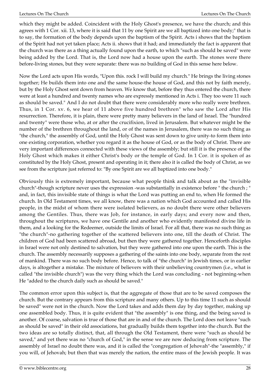which they might be added. Coincident with the Holy Ghost's presence, we have the church; and this agrees with 1 Cor. xii. 13, where it is said that 11 by one Spirit are we all baptized into one body;" that is to say, the formation of the body depends upon the baptism of the Spirit. Acts i shows that the baptism of the Spirit had not yet taken place; Acts ii. shows that it had; and immediately the fact is apparent that the church was there as a thing actually found upon the earth, to which "such as should be saved" were being added by the Lord. That is, the Lord now had a house upon the earth. The stones were there before-living stones, but they were separate: there was no building of God in this sense here below.

Now the Lord acts upon His words, "Upon this. rock I will build my church." He brings the living stones together; He builds them into one and the same house-the house of God, and this not by faith merely, but by the Holy Ghost sent down from heaven. We know that, before they thus entered the church, there were at least a hundred and twenty names who are expressly mentioned in Acts i. They too were 11 such as should be saved." And I do not doubt that there were considerably more who really were brethren. Thus, in 1 Cor. xv. 6, we hear of 11 above five hundred brethren" who saw the Lord after His resurrection. Therefore, it is plain, there were pretty many believers in the land of Israel. The "hundred and twenty" were those who, at or after the crucifixion, lived in Jerusalem. But whatever might be the number of the brethren throughout the land, or of the names in Jerusalem, there was no such thing as "the church," the assembly of God, until the Holy Ghost was sent down to give unity-to form them into one existing corporation, whether you regard it as the house of God, or as the body of Christ. There are very important differences connected with these views of the assembly; but still it is the presence of the Holy Ghost which makes it either Christ's body or the temple of God. In 1 Cor. it is spoken of as constituted by the Holy Ghost, present and operating in it; there also it is called the body of Christ, as we see from the scripture just referred to: "By one Spirit are we all baptized into one body."

Obviously this is extremely important, because what people think and talk about as the "invisible church"-though scripture never uses the expression -was substantially in existence before " the church ; " and, in fact, this invisible state of things is what the Lord was putting an end to, when He formed the church. In Old Testament times, we all know, there was a nation which God accounted and called His people, in the midst of whom there were isolated believers, as no doubt there were other believers among the Gentiles. Thus, there was Job, for instance, in early days; and every now and then, throughout the scriptures, we have one Gentile and another who evidently manifested divine life in them, and a looking for the Redeemer, outside the limits of Israel. For all that, there was no such thing as "the church"-no gathering together of the scattered believers into one, till the death of Christ. The children of God had been scattered abroad, but then they were gathered together. Henceforth disciples in Israel were not only destined to salvation, but they were gathered into one upon the earth. This is the church. The assembly necessarily supposes a gathering of the saints into one body, separate from the rest of mankind. There was no such body before. Hence, to talk of "the church" in Jewish times, or in earlier days, is altogether a mistake. The mixture of believers with their unbelieving countrymen (i.e., what is called "the invisible church") was the very thing which the Lord was concluding - not beginning-when He "added to the church daily such as should be saved."

The common error upon this subject is, that the aggregate of those that are to be saved composes the church. But the contrary appears from this scripture and many others. Up to this time 11 such as should be saved" were not in the church. Now the Lord takes and adds them day by day together, making up one assembled body. Thus, it is quite evident that "the assembly" is one thing, and the being saved is another. Of coarse, salvation is true of those that are in and of the church. The Lord does not leave "such as should be saved" in their old associations, bat gradually builds them together into the church. But the two ideas are so totally distinct, that, all through the Old Testament, there were "such as should be saved," and yet there was no "church of God," in the sense we are now deducing from scripture. The assembly of Israel no doubt there was, and it is called the "congregation of Jehovah"-the "assembly," if you will, of Jehovah; but then that was merely the nation, the entire mass of the Jewish people. It was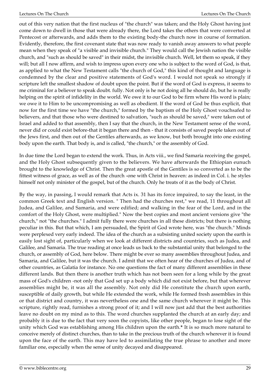out of this very nation that the first nucleus of "the church" was taken; and the Holy Ghost having just come down to dwell in those that were already there, the Lord takes the others that were converted at Pentecost or afterwards, and adds them to the existing body-the church now in course of formation. Evidently, therefore, the first covenant state that was now ready to vanish away answers to what people mean when they speak of "a visible and invisible church." They would call the Jewish nation the visible church, and "such as should be saved" in their midst, the invisible church. Well, let them so speak, if they will; but all I now affirm, and wish to impress upon every one who is subject to the word of God, is that, as applied to what the New Testament calls "the church of God," this kind of thought and language is condemned by the clear and positive statements of God's word. I would not speak so strongly if scripture left the smallest shadow of doubt upon the point. But if the word of God is express, it seems to me criminal for a believer to speak doubt. fully. Not only is he not doing all he should do, but he is really helping on the spirit of infidelity in the world. We owe it to our God to be firm where His word is plain; we owe it to Him to be uncompromising as well as obedient. If the word of God be thus explicit, that now for the first time we have "the church," formed by the baptism of the Holy Ghost vouchsafed to believers, and that those who were destined to salvation, "such as should be saved," were taken out of Israel and added to that assembly, then I say that the church, in the New Testament sense of the word, never did or could exist before-that it began there and then - that it consists of saved people taken out of the Jews first, and then out of the Gentiles afterwards, as we know, but both brought into one existing body upon the earth. That body is, and is called, "the church," or the assembly of God.

In due time the Lord began to extend the work. Thus, in Acts viii., we find Samaria receiving the gospel, and the Holy Ghost subsequently given to the believers. We have afterwards the Ethiopian eunuch brought to the knowledge of Christ. Then the great apostle of the Gentiles is so converted as to be the fittest witness of grace, as well as of the church -one with Christ in heaven: as indeed in Col. i. he styles himself not only minister of the gospel, but of the church. Only he treats of it as the body of Christ.

By the way, in passing, I would remark that Acts ix. 31 has its force impaired, to say the least, in the common Greek text and English version. " Then had the churches rest," we read, 11 throughout all Judea, and Galilee, and Samaria, and were edified; and walking in the fear of the Lord, and in the comfort of the Holy Ghost, were multiplied." Now the best copies and most ancient versions give "the church," not "the churches." I admit fully there were churches in all these districts; but there is nothing peculiar in this. But that which, I am persuaded, the Spirit of God wrote here, was "the church." Minds were perplexed very early indeed. The idea of the church as a subsisting united society upon the earth is easily lost sight of, particularly when we look at different districts and countries, such as Judea, and Galilee, and Samaria. The true reading at once leads us back to the substantial unity that belonged to the church, or assembly of God, here below. There might be ever so many assemblies throughout Judea, and Samaria, and Galilee, but it was the church. I admit that we often hear of the churches of Judea, and of other countries, as Galatia for instance. No one questions the fact of many different assemblies in these different lands. But then there is another truth which has not been seen for a long while by the great mass of God's children -not only that God set up a body which did not exist before, but that wherever assemblies might be, it was all the assembly. Not only did He constitute the church upon earth, susceptible of daily growth, but while He extended the work, while He formed fresh assemblies in this or that district and country, it was nevertheless one and the same church wherever it might be. This scripture, rightly read, furnishes a strong proof of it; and I will now just add that the best authorities leave no doubt on my mind as to this. The word churches supplanted the church at an early day; and probably it is due to the fact that very soon the copyists, like other people, began to lose sight of the unity which God was establishing among His children upon the earth.**\*** It is so much more natural to conceive merely of distinct churches, than to take in the precious truth of the church wherever it is found upon the face of the earth. This may have led to assimilating the true phrase to another and more familiar one, especially when the sense of unity decayed and disappeared.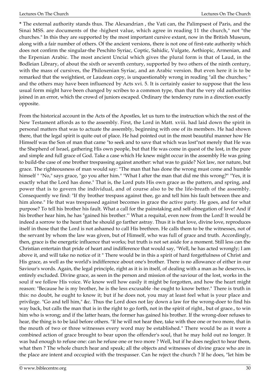**\*** The external authority stands thus. The Alexandrian , the Vati can, the Palimpsest of Paris, and the Sinai MSS. are documents of the -highest value, which agree in reading 11 the church," not "the churches." In this they are supported by the most important cursive extant, now in the British Museum, along with a fair number of others. Of the ancient versions, there is not one of first-rate authority which does not confirm the singular-the Peschito Syriac, Coptic, Sahidic, Vulgate, Aethiopic, Armenian, and the Erpenian Arabic. The most ancient Uncial which gives the plural form is that of Laud, in the Bodleian Library, of about the sixth or seventh century, supported by two others of the ninth century, with the mass of cursives, the Philoxenian Syriac, and an Arabic version. But even here it is to be remarked that the weightiest, or Laudean copy, is unquestionably wrong in reading "all the churches; " and the others may have been influenced by Acts xvi. 5. It is certainly easier to suppose that the less usual form might have been changed by scribes to a common type, than that the very old authorities joined in an error, which the crowd of juniors escaped. Ordinary the tendency runs in a direction exactly opposite.

From the historical account in the Acts of the Apostles, let us turn to the instruction which the rest of the New Testament affords as to the assembly. First, the Lord in Matt. xviii. had laid down the spirit in personal matters that was to actuate the assembly, beginning with one of its members. He had shown there, that the legal spirit is quite out of place. He had pointed out in the most beautiful manner how He Himself was the Son of man that came "to seek and to save that which was lost"not merely that He was the Shepherd of Israel, gathering His own people, but that He was come in quest of the lost, in the pure and simple and full grace of God. Take a case which He knew might occur in the assembly He was going to build-the case of one brother trespassing against another: what was to guide? Not law, nor nature, but grace. The righteousness of man would say: "The man that has done the wrong must come and humble himself " "No," says grace, "go you after him." "What I after the man that did me this wrong?" "Yes, it is exactly what the Lord has done." That is, the Lord puts His own grace as the pattern, and spring, and power that is to govern the individual, and of course also to be the life-breath of the assembly. Consequently we find: "If thy brother trespass against thee, go and tell him his fault between thee and him alone." He that was trespassed against becomes in grace the active party. He goes, and for what purpose? To tell his brother his fault. What a call for the painstaking and self-abnegation of love! And if his brother hear him, he has "gained his brother."' What a requital, even now from the Lord! It would be indeed a sorrow to the heart that he should go farther astray. Thus it is that love, divine love, reproduces itself in those that the Lord is not ashamed to call His brethren. He calls them to be the witnesses, not of the servant by whom the law was given, but of Himself, who was full of grace and truth. Accordingly, then, grace is the energetic influence that works; but truth is not set aside for a moment. Still less can the Christian entertain that pride of heart and indifference that would say, "Well, he has acted wrongly; I am above it, and will take no notice of it " There would be in this a spirit of hard forgetfulness of Christ and His grace, as well as the world's indifference about one's brother. There is no allowance of either in our Saviour's words. Again, the legal principle, right as it is in itself, of dealing with a man as he deserves, is entirely excluded. Divine grace, as seen in the person and mission of the saviour of the lost, works in the soul if we follow His voice. We know well how easily it might be forgotten, and how the heart might reason: "Because he is my brother, he is the less excusable -he ought to know better." There is truth in this: no doubt, he ought to know it; but if he does not, you may at least feel what is your place and privilege. "Go and tell him," &c. Thus the Lord does not lay down a law for the wrong-doer to find his way back, but calls the man that is in the right to go forth, not in the spirit of right., but of grace., to win him who is wrong; and if the latter hears, the former has gained his brother. If the wrong-doer refuses to hear, the thing is to be laid before others. "If he will not hear thee, take with thee one or two more, that in the mouth of two or three witnesses every word may be established." There would be as it were a combined action of grace brought to bear upon the offender's soul, that he may hold out no longer. It was bad enough to refuse one: can he refuse one or two more ? Well, but if he does neglect to hear them, what then ? The whole church hear and speak; all the objects and witnesses of divine grace who are in the place are intent and occupied with the trespasser. Can he reject the church ? If he does, "let him be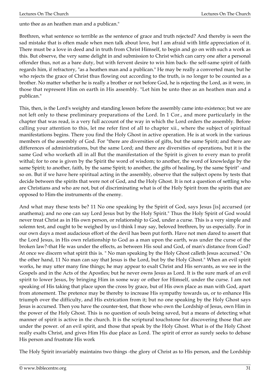unto thee as an heathen man and a publican."

Brethren, what sentence so terrible as the sentence of grace and truth rejected? And thereby is seen the sad mistake that is often made when men talk about love, but I am afraid with little appreciation of it. There must be a love in deed and in truth from Christ Himself, to begin and go on with such a work as this. But observe, the very same delight in and submission to Christ which can carry one after a personal offender thus, not as a bare duty, but with fervent desire to win him back- the self-same spirit of faith regards him, if refractory, "as a heathen man and a publican." He may be really a converted man; but he who rejects the grace of Christ thus flowing out according to the truth, is no longer to be counted as a brother. No matter whether he is really a brother or not before God, he is rejecting the Lord, as it were, in those that represent Him on earth in His assembly. "Let him be unto thee as an heathen man and a publican."

This, then, is the Lord's weighty and standing lesson before the assembly came into existence; but we are not left only to these preliminary preparations of the Lord. In 1 Cor., and more particularly in the chapter that was read, is a very full account of the way in which the Lord orders the assembly. Before calling your attention to this, let me refer first of all to chapter xii., where the subject of spiritual manifestations begins. There you find the Holy Ghost in active operation. He is at work in the various members of the assembly of God. For "there are diversities of gifts, but the same Spirit; and there are differences of administrations, but the same Lord; and there are diversities of operations, but it is the same God who worketh all in all But the manifestation of the Spirit is given to every man to profit withal; for to one is given by the Spirit the word of wisdom; to another, the word of knowledge by the same Spirit; to another, faith, by the same Spirit; to another, the gifts of healing, by the same Spirit" -and so on. But if we have here spiritual acting in the assembly, observe that the subject opens by tests that decide between the spirits that were not of God, and the Holy Ghost. It is not a question of settling who are Christians and who are not, but of discriminating what is of the Holy Spirit from the spirits that are opposed to Him-the instruments of the enemy.

And what may these tests be? 11 No one speaking by the Spirit of God, says Jesus [is] accursed (or anathema); and no one can say Lord Jesus but by the Holy Spirit." Thus the Holy Spirit of God would never treat Christ as in His own person, or relationship to God, under a curse. This is a very simple and solemn test, and ought to be weighed by us-I think I may say, beloved brethren, by us especially. For in our own days a most audacious effort of the devil has been put forth. Have not men dared to assert that the Lord Jesus, in His own relationship to God as a man upon the earth, was under the curse of the broken law?-that He was under the effects, as between His soul and God, of man's distance from God? At once we discern what spirit this is. " No man speaking by the Holy Ghost calleth Jesus accursed." On the other hand, 11 No man can say that Jesus is the Lord, but by the Holy Ghost." When an evil spirit works, he may utter many fine things; he may appear to exalt Christ and His servants, as we see in the Gospels and in the Acts of the Apostles; but he never owns Jesus as Lord. It is the sure mark of an evil spirit to lower Jesus, by bringing Him in some way or other for Himself, under the curse. I am not speaking of His taking that place upon the cross by grace, but of His own place as man with God, apart from atonement. The pretence may be thereby to increase His sympathy towards us, or to enhance His triumph over the difficulty, and His extrication from it; but no one speaking by the Holy Ghost says Jesus is accursed. Then you have the counter-test, that those who own the Lordship of Jesus, own Him in the power of the Holy Ghost. This is no question of souls being saved, but a means of detecting what manner of spirit is active in the church. It is the scriptural touchstone for discovering those that are under the power. of an evil spirit, and those that speak by the Holy Ghost. What is of the Holy Ghost really exalts Christ, and gives Him His due place as Lord. The spirit of error as surely seeks to debase His person and frustrate His work

The Holy Spirit invariably maintains two things -the glory of Christ as to His person, and the Lordship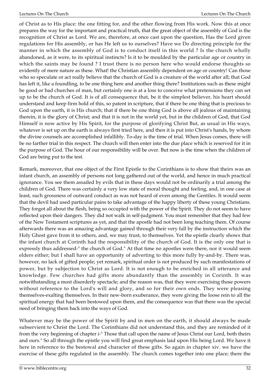of Christ as to His place: the one fitting for, and the other flowing from His work. Now this at once prepares the way for the important and practical truth, that the great object of the assembly of God is the recognition of Christ as Lord. We are, therefore, at once cast upon the question, Has the Lord given regulations for His assembly, or has He left us to ourselves? Have we Do directing principle for the manner in which the assembly of God is to conduct itself in this world ? Is the church wholly abandoned, as it were, to its spiritual instincts? Is it to be moulded by the particular age or country in which the saints may be found ? I trust there is no person here who would endorse thoughts so evidently of mere nature as these. What! the Christian assembly dependent on age or country! Can those who so speculate or act really believe that the church of God is a creature of the world after all; that God has left it, like a foundling, to be one thing here and another thing there? Institutions such as these might be good or bad churches of man, but certainly one is at a loss to conceive what pretensions they can set up to be the church of God. It is of all consequence that, be it the simplest believer, his heart should understand and keep firm hold of this, so patent in scripture, that if there be one thing that is precious to God upon the earth, it is His church; that if there be one thing God is above all jealous of maintaining therein, it is the glory of Christ; and that it is not in the world yet, but in the children of God, that God Himself is now active by His Spirit, for the purpose of glorifying Christ But, as usual in His ways, whatever is set up on the earth is always first tried here, and then it is put into Christ's hands, by whom the divine counsels are accomplished infallibly. To-day is the time of trial. When Jesus comes, there will be no farther trial in this respect. The church will then enter into the due place which is reserved for it in the purpose of God. The hour of our responsibility will be over. But now is the time when the children of God are being put to the test.

Remark, moreover, that one object of the First Epistle to the Corinthians is to show that theirs was an infant church, an assembly of persons not long gathered out of the world, and hence in much practical ignorance. You see them assailed by evils that in these days would not be ordinarily a trial among the children of God. There was certainly a very low state of moral thought and feeling, and, in one case at least, such grossness of outward conduct as was not heard of even among the Gentiles. It would seem that the devil had used particular pains to take advantage of the happy liberty of these young Christians. They forgot all about the flesh, being so occupied with the power of the Spirit. They do not seem to have reflected upon their dangers. They did not walk in self-judgment. You must remember that they had few of the New Testament scriptures as yet, and that the apostle had not been long teaching them. Of course afterwards there was an amazing advantage gained through their very fall by the instruction which the Holy Ghost gave from it to others, and, we may trust, to themselves. Yet the epistle clearly shows that the infant church at Corinth had the responsibility of the church of God. It is the only one that is expressly thus addressed-" the church of God." At that time no apostles were there, nor it would seem elders either; but I shall have an opportunity of adverting to this more fully by-and-by. There was, however, no lack of gifted people; yet remark, spiritual order is not produced by such manifestations of power, but by subjection to Christ as Lord. It is not enough to be enriched in all utterance and knowledge. Few churches had gifts more abundantly than the assembly in Corinth. It was notwithstanding a most disorderly spectacle; and the reason was, that they were exercising those powers without reference to the Lord's will and glory, and so for their own ends. They were pleasing themselves-exalting themselves. In their new-born exuberance, they were giving the loose rein to all the spiritual energy that had been bestowed upon them, and the consequence was that there was the special need of bringing them back into the ways of God.

Whatever may be the power of the Spirit by and in men on the earth, it should always be made subservient to Christ the Lord. The Corinthians did not understand this, and they are reminded of it from the very beginning of chapter i-" Those that call upon the name of Jesus Christ our Lord, both theirs and ours." So all through the epistle you will find great emphasis laid upon His being Lord. We have it here in reference to the bestowal and character of these gifts. So again in chapter xiv. we have the exercise of these gifts regulated in the assembly. The church comes together into one place; there the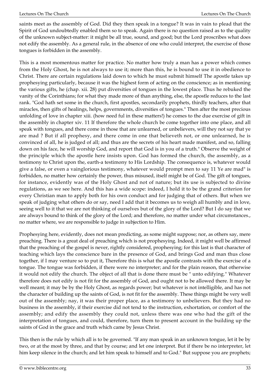saints meet as the assembly of God. Did they then speak in a tongue? It was in vain to plead that the Spirit of God undoubtedly enabled them so to speak. Again there is no question raised as to the quality of the unknown subject-matter: it might be all true, sound, and good; but the Lord proscribes what does not edify the assembly. As a general rule, in the absence of one who could interpret, the exercise of those tongues is forbidden in the assembly.

This is a most momentous matter for practice. No matter how truly a man has a power which comes from the Holy Ghost, he is not always to use it; more than this, he is bound to use it in obedience to Christ. There are certain regulations laid down to which he must submit himself The apostle takes up prophesying particularly, because it was the highest form of acting on the conscience; as in mentioning the various gifts, he (chap. xii. 28) put diversities of tongues in the lowest place. Thus he rebuked the vanity of the Corinthians; for what they made more of than anything, else, the apostle reduces to the last rank. "God hath set some in the church, first apostles, secondarily prophets, thirdly teachers, after that miracles, then gifts of healings, helps, governments, diversities of tongues." Then after the most precious unfolding of love in chapter xiii. (how need ful in these matters!) he comes to the due exercise of gift in the assembly in chapter xiv. 11 If therefore the whole church be come together into one place, and all speak with tongues, and there come in those that are unlearned, or unbelievers, will they not say that ye are mad ? But if all prophesy, and there come in one that believeth not, or one unlearned, he is convinced of all, he is judged of all; and thus are the secrets of his heart made manifest, and so, falling down on his face, he will worship God, and report that God is in you of a truth." Observe the weight of the principle which the apostle here insists upon. God has formed the church, the assembly, as a testimony to Christ upon the, earth-a testimony to His Lordship. The consequence is, whatever would give a false, or even a vainglorious testimony, whatever would prompt men to say 11 Ye are mad" is forbidden, no matter how certainly the power, thus misused, itself might be of God. The gift of tongues, for instance, evidently was of the Holy Ghost and not of nature; but its use is subjected to divine regulations, as we see here. And this has a wide scope: indeed, I hold it to be the grand criterion for every Christian man to apply both for his own conduct and for judging that of others. But when we speak of judging what others do or say, need I add that it becomes us to weigh all humbly and in love, seeing well to it that we are not thinking of ourselves but of the glory of the Lord? But I do say that we are always bound to think of the glory of the Lord; and therefore, no matter under what circumstances., no matter where, we are responsible to judge in subjection to Him.

Prophesying here, evidently, does not mean predicting, as some might suppose; nor, as others say, mere preaching. There is a great deal of preaching which is not prophesying. Indeed, it might well be affirmed that the preaching of the gospel is never, rightly considered, prophesying; for this last is that character of teaching which lays the conscience bare in the presence of God, and brings God and man thus close together, if I may venture so to put it, Therefore this is what the apostle contrasts with the exercise of a tongue. The tongue was forbidden, if there were no interpreter; and for the plain reason, that otherwise it would not edify the church. The object of all that is done there must be " unto edifying." Whatever therefore does not edify is not fit for the assembly of God, and ought not to be allowed there. It may be well meant; it may be by the Holy Ghost, as regards power; but whatever is not intelligible, and has not the character of building up the saints of God, is not fit for the assembly. These things might be very well out of the assembly; nay, it was their proper place, as a testimony to unbelievers. But they had no business in the assembly, if their exercise did not tend to the instruction, exhortation, or comfort of the assembly; and edify the assembly they could not, unless there was one who had the gift of the interpretation of tongues, and could, therefore, turn them to present account in the building up the saints of God in the grace and truth which came by Jesus Christ.

This then is the rule by which all is to be governed. "If any man speak in an unknown tongue, let it be by two, or at the most by three, and that by course; and let one interpret. But if there be no interpreter, let him keep silence in the church; and let him speak to himself and to God." But suppose you are prophets;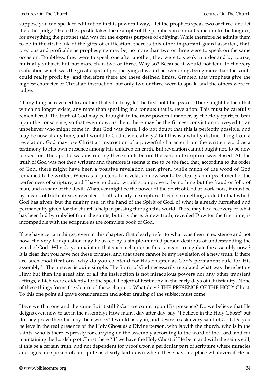suppose you can speak to edification in this powerful way, " let the prophets speak two or three, and let the other judge." Here the apostle takes the example of the prophets in contradistinction to the tongues; for everything the prophet said was for the express purpose of edifying. While therefore he admits them to be in the first rank of the gifts of edification, there is this other important guard asserted, that, precious and profitable as prophesying may be, no more than two or three were to speak on the same occasion. Doubtless, they were to speak one after another; they were to speak in order and by course; mutually subject, but not more than two or three. Why so? Because it would not tend to the very edification which was the great object of prophesying; it would be overdoing, being more than the saints could really profit by; and therefore there are these defined limits. Granted that prophets give the highest character of Christian instruction; but only two or three were to speak, and the others were to judge.

"If anything be revealed to another that sitteth by, let the first hold his peace." There might be then that which no longer exists, any more than speaking in a tongue; that is, revelation. This must be carefully remembered. The truth of God may be brought, in the most powerful manner, by the Holy Spirit, to bear upon the conscience, so that even now, as then, there may be the firmest conviction conveyed to an unbeliever who might come in, that God was there. I do not doubt that this is perfectly possible, and may be now at any time; and I would to God it were always! But this is a wholly distinct thing from a revelation. God may use Christian instruction of a powerful character from the written word as a testimony to His own presence among His children on earth. But revelation cannot ought not, to be now looked for. The apostle was instructing these saints before the canon of scripture was closed. All the truth of God was not then written; and therefore it seems to me to be the fact, that, according to the order of God, there might have been a positive revelation then given, while much of the word of God remained to be written. Whereas to pretend to revelation now would be clearly an impeachment of the perfectness of scripture, and I have no doubt would soon prove to be nothing but the fraud or folly of man, and a snare of the devil. Whatever might be the power of the Spirit of God at work now, it must be by means of truth already revealed - truth already in scripture. It is not something added to that which God has given, but the mighty use, in the hand of the Spirit of God, of what is already furnished and permanently given for the church's help in passing through this world. There may be a recovery of what has been hid by unbelief from the saints; but it is there. A new truth, revealed Dow for the first time, is incompatible with the scripture as the complete book of God.

If we have certain things, even in this chapter, that clearly refer to what was then in existence and not now, the very fair question may be asked by a simple-minded person desirous of understanding the word of God-"Why do you maintain that such a chapter as this is meant to regulate the assembly now ? It is clear that you have not these tongues, and that there cannot be any revelation of a new truth. If there are such modifications, why do you co ntend for this chapter as God's permanent rule for His assembly?" The answer is quite simple. The Spirit of God necessarily regulated what was there before Him; but then the great aim of all the instruction is not miraculous powers nor any other transient actings, which were evidently for the special object of testimony in the early days of Christianity. None of these things forms the Centre of these chapters. What does? THE PRESENCE OF THE HOLY Ghost. To this one point all grave consideration and sober arguing of the subject must come.

Have we that one and the same Spirit still ? Can we count upon His presence? Do we believe that He deigns even now to act in the assembly? How many, day after day, say, "I believe in the Holy Ghost;" but do they prove their faith by their works? I would ask you, and desire to ask every saint of God, Do you believe in the real presence of the Holy Ghost as a Divine person, who is with the church, who is in the saints, who is there expressly for carrying on the assembly according to the word of the Lord, and for maintaining the Lordship of Christ there ? If we have the Holy Ghost; if He be in and with the saints still; if this be a certain truth, and not dependent for proof upon a particular part of scripture where miracles and signs are spoken of, but quite as clearly laid down where these have no place whatever; if He be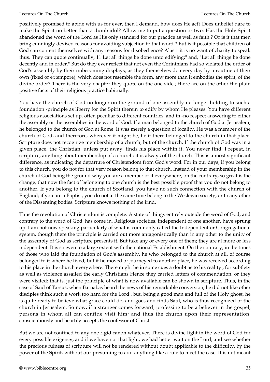positively promised to abide with us for ever, then I demand, how does He act? Does unbelief dare to make the Spirit no better than a dumb idol? Allow me to put a question or two: Has the Holy Spirit abandoned the word of the Lord as His only standard for our practice as well as faith ? Or is it that men bring cunningly devised reasons for avoiding subjection to that word ? But is it possible that children of God can content themselves with any reasons for disobedience? Alas 1 it is no want of charity to speak thus. They can quote continually, 11 Let all things be done unto edifying;" and, "Let all things be done decently and in order." But do they ever reflect that not even the Corinthians had so violated the order of God's assembly by their unbecoming displays, as they themselves do every day by a routine of their own (fixed or extempore), which does not resemble the form, any more than it embodies the spirit, of the divine order? There is the very chapter they quote on the one side ; there are on the other the plain positive facts of their religious practice habitually.

You have the church of God no longer on the ground of one assembly-no longer holding to such a foundation -principle as liberty for the Spirit therein to edify by whom He pleases. You have different religious associations set up, often peculiar to different countries, and in -no respect answering to either the assembly or the assemblies in the word of God. If a man belonged to the church of God at Jerusalem, he belonged to the church of God at Rome. It was merely a question of locality. He was a member of the church of God, and therefore, wherever it might be, he if there belonged to the church in that place. Scripture does not recognize membership of a church, but of the church. If the church of God was in a given place, the Christian, unless put away, finds his place within it. You never find, I repeat, in scripture, anything about membership of a church; it is always of the church. This is a most significant difference, as indicating the departure of Christendom from God's word. For in our days, if you belong to this church, you do not for that very reason belong to that church. Instead of your membership in the church of God being the ground why you are a member of it everywhere, on the contrary, so great is the change, that now the fact of belonging to one church is the best possible proof that you do not belong to another. If you belong to the church of Scotland, you have no such connection with the church of England; if you are a Baptist, you do not at the same time belong to the Wesleyan society, or to any other of the Dissenting bodies. Scripture knows nothing of the kind.

Thus the revolution of Christendom is complete. A state of things entirely outside the word of God, and contrary to the word of God, has come in. Religious societies, independent of one another, have sprung up. I am not now speaking particularly of what is commonly called the Independent or Congregational system, though there the principle is carried out more antagonistically than in any other to the unity of the assembly of God as scripture presents it. But take any or every one of them; they are al more or less independent. It is so even to a large extent with the national Establishment. On the contrary, in the times of those who laid the foundation of God's assembly, he who belonged to the church at all, of course belonged to it where he lived; but if he moved or journeyed to another place, he was received according to his place in the church everywhere. There might be in some cues a doubt as to his reality ; for subtlety as well as violence assailed the early Christians Hence they carried letters of commendation, or they were visited: that is, just the principle of what is now available can be shown in scripture. Thus, in the case of Saul of Tarsus, when Barnabas heard the news of his remarkable conversion, he did not like other disciples think such a work too hard for the Lord . but, being a good man and full of the Holy ghost, he is quite ready to believe what grace could do, and goes and finds Saul, who is thus recognized of the church in Jerusalem. So now, if a stranger comes forward, professing to be a believer in the gospel, persons in whom all can confide visit him; and thus the church upon their representation, conscientiously and heartily accepts the confessor of Christ.

But we are not confined to any one rigid canon whatever. There is divine light in the word of God for every possible exigency, and if we have not that light, we had better wait on the Lord, and see whether the precious fulness of scripture will not be rendered without doubt applicable to the difficulty, by the power of the Spirit, without our presuming to add anything like a rule to meet the case. It is not meant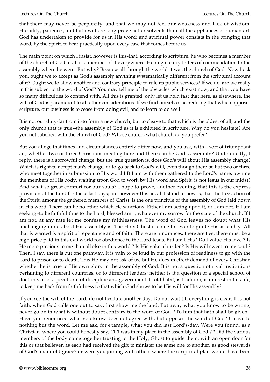that there may never be perplexity, and that we may not feel our weakness and lack of wisdom. Humility, patience., and faith will ere long prove better solvents than all the appliances of human art. God has undertaken to provide for us in His word; and spiritual power consists in the bringing that word, by the Spirit, to bear practically upon every case that comes before us.

The main point on which I insist, however is this-that, according to scripture, he who becomes a member of the church of God at all is a member of it everywhere. He might carry letters of commendation to the assembly where he went. But why? Because all through the world it was the church of God. Now I ask you, ought we to accept as God's assembly anything systematically different from the scriptural account of it? Ought we to allow another and contrary principle to rule its public services? If we do, are we really in this subject to the word of God? You may tell me of the obstacles which exist now, and that you have so many difficulties to contend with. All this is granted: only let us hold fast that here, as elsewhere, the will of God is paramount to all other considerations. If we find ourselves accrediting that which opposes scripture, our business is to cease from doing evil, and to learn to do well.

It is not our duty-far from it-to form a new church, but to cleave to that which is the oldest of all, and the only church that is true--the assembly of God as it is exhibited in scripture. Why do you hesitate? Are you not satisfied with the church of God? Whose church, what church do you prefer?

But you allege that times and circumstances entirely differ now; and you ask, with a sort of triumphant air, whether two or three Christians meeting here and there can be God's assembly? Undoubtedly, I reply, there is a sorrowful change; but the true question is, does God's will about His assembly change? Which is right-to accept man's change, or to go back to God's will, even though there be but two or three who meet together in submission to His word I If I am with them gathered to the Lord's name, owning the members of His body, waiting upon God to work by His word and Spirit, is not Jesus in our midst? And what so great comfort for our souls? I hope to prove, another evening, that this is the express provision of the Lord for these last days; but however this be, all I stand to now is, that the free action of the Spirit, among the gathered members of Christ, is the one principle of the assembly of God laid down in His word. There can be no other which He sanctions. Either I am acting upon it, or I am not. If I am seeking -to be faithful thus to the Lord, blessed am 1, whatever my sorrow for the state of the church. If I am not, at any rate let me confess my faithlessness. The word of God leaves no doubt what His unchanging mind about His assembly is. The Holy Ghost is come for ever to guide His assembly. All that is wanted is a spirit of repentance and of faith. There are hindrances; there are ties; there must be a high price paid in this evil world for obedience to the Lord Jesus. But am I His? Do I value His love ? Is He more precious to me than all else in this world ? Is His yoke a burden? Is His will sweet to my soul ? Then, I say, there is but one pathway. It is vain to be loud in our profession of readiness to go with the Lord to prison or to death. This He may not ask of us; but He does in effect demand of every Christian whether he is true to His own glory in the assembly of God. It is not a question of rival institutions pertaining to different countries, or to different leaders; neither is it a question of a special school of doctrine, or of a peculiar n of discipline and government. Is old habit, is tradition, is interest in this life, to keep me back from faithfulness to that which God shows to be His will for His assembly?

If you see the will of the Lord, do not hesitate another day. Do not wait till everything is clear. It is not faith, when God calls one out to say, first show me the land. Put away what you know to be wrong; never go on in what is without doubt contrary to the word of God. "To him that hath shall be given." Have you renounced what you know does not agree with, but opposes the word of God? Cleave to nothing but the word. Let me ask, for example, what you did last Lord's-day. Were you found, as a Christian, where you could honestly say, 11 1 was in my place in the assembly of God ? " Did the various members of the body come together trusting to the Holy, Ghost to guide them, with an open door for this or that believer, as each had received the gift to minister the same one to another, as good stewards of God's manifold grace? or were you joining with others where the scriptural plan would have been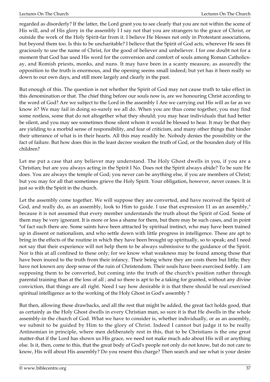regarded as disorderly? If the latter, the Lord grant you to see clearly that you are not within the scene of His will, and of His glory in the assembly I I say not that you are strangers to the grace of Christ, or outside the work of the Holy Spirit-far from it. I believe He blesses not only in Protestant associations, but beyond them too. Is this to be uncharitable? I believe that the Spirit of God acts, wherever He sees fit graciously to use the name of Christ, for the good of believer and unbeliever. I for one doubt not for a moment that God has used His word for the conversion and comfort of souls among Roman Catholicsay, and Romish priests, monks, and nuns. It may have been in a scanty measure, as assuredly the opposition to the truth is enormous, and the opening seems small indeed; but yet has it been really so down to our own days, and still more largely and clearly in the past.

But enough of this. The question is not whether the Spirit of God may not cause truth to take effect in this denomination or that. The chief thing before our souls now is, are we honouring Christ according to the word of God? Are we subject to the Lord in the assembly I Are we carrying out His will as far as we know it? We may fail in doing so-surely we all do. When you are thus come together, you may find some restless, some that do not altogether what they should; you may hear individuals that had better be silent, and you may see sometimes those silent whom it would be blessed to hear. It may be that they are yielding to a morbid sense of responsibility, and fear of criticism, and many other things that hinder their utterance of what is in their hearts. All this may readily be. Nobody denies the possibility or the fact of failure. But how does this in the least decree weaken the truth of God, or the bounden duty of His children?

Let me put a case that any believer may understand. The Holy Ghost dwells in you, if you are a Christian; but are you always acting in the Spirit I No. Does not the Spirit always abide? To be sure He does. You are always the temple of God; you never can be anything else, if you are members of Christ; but you may for all that sometimes grieve the Holy Spirit. Your obligation, however, never ceases. It is just so with the Spirit in the church.

Let the assembly come together. We will suppose they are converted, and have received the Spirit of God, and really do, as an assembly, look to Him to guide. I use that expression 11 as an assembly," because it is not assumed that every member understands the truth about the Spirit of God. Some of them may be very ignorant. It is more or less a shame for them, but there may be such cases, and in point \*of fact such there are. Some saints have been attracted by spiritual instinct, who may have been trained up in dissent or nationalism, and who settle down with little progress in intelligence. These are apt to bring in the effects of the routine in which they have been brought up spiritually, so to speak; and I need not say that their experience will not help them to be always submissive to the guidance of the Spirit. Nor is this at all confined to these only; for we know what weakness may be found among those that have been inured to the truth from their infancy. Their being where they are costs them but little; they have not known any deep sense of the ruin of Christendom. Their souls have been exercised feebly. I am supposing them to be converted, but coming into the truth of the church's position rather through parental training than at the loss of all ; and so there is apt to be a taking for granted, without any divine conviction, that things are all right. Need I say how desirable it is that there should be real exercised spiritual intelligence as to the working of the Holy Ghost in God's assembly ?

But then, allowing these drawbacks, and all the rest that might be added, the great fact holds good, that as certainly as the Holy Ghost dwells in every Christian man, so sure it is that He dwells in the whole assembly-in the church of God. What we have to consider is, whether individually, or as an assembly, we submit to be guided by Him to the glory of Christ. Indeed I cannot but judge it to be really Antinomian in principle, where men deliberately rest in this, that to be Christians is the one great matter-that if the Lord has shown us His grace, we need not make much ado about His will or anything else. Is it, then, come to this, that the great body of God's people not only do not know, bat do not care to know, His will about His assembly? Do you resent this charge? Then search and see what is your desire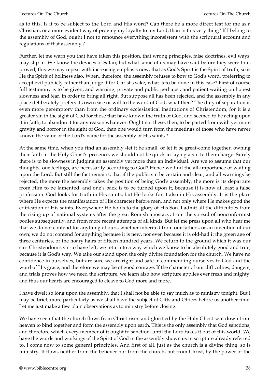as to this. Is it to be subject to the Lord and His word? Can there be a more direct test for me as a Christian, or a more evident way of proving my loyalty to my Lord, than in this very thing? If I belong to the assembly of God, ought I not to renounce everything inconsistent with the scriptural account and regulations of that assembly ?

Further, let me warn you that have taken this position, that wrong principles, false doctrines, evil ways, may slip in. We know the devices of Satan; but what some of us may have said before they were thus proved, this we may repeat with increasing emphasis now, that as God's Spirit is the Spirit of truth, so is He the Spirit of holiness also. When, therefore, the assembly refuses to bow to God's word, preferring to accept evil publicly rather than judge it for Christ's sake, what is to be done in this case? First of course full testimony is to be given, and warning, private and public perhaps , and patient waiting on honest slowness and fear, in order to bring all right. But suppose all has been rejected, and the assembly in any place deliberately prefers its own ease or will to the word of God, what then? The duty of separation is even more peremptory than from the ordinary ecclesiastical institutions of Christendom; for it is a greater sin in the sight of God for those that have known the truth of God, and seemed to be acting upon it in faith, to abandon it for any reason whatever. Ought not these, then, to be parted from with yet more gravity and horror in the sight of God, than one would turn from the meetings of those who have never known the value of the Lord's name for the assembly of His saints ?

At the same time, when you find an assembly -let it be small, or let it be great-come together, owning their faith in the Holy Ghost's presence, we should not be quick in laying a sin to their charge. Surely there is to be slowness in judging an assembly yet more than an individual. Are we to assume that our thoughts, our feelings, are necessarily according to God? Hence we find the all-importance of waiting upon the Lord. But still the fact remains, that if the public sin be certain and clear, and all warnings be rejected, the more the assembly takes the position of being God's assembly, the more is its departure from Him to be lamented, and one's back is to be turned upon it, because it is now at least a false profession. God looks for truth in His saints, but He looks for it also in His assembly. It is the place where He expects the manifestation of His character before men, and not only where He makes good the edification of His saints. Everywhere He holds to the glory of His Son. I admit all the difficulties from the rising up of national systems after the great Romish apostacy, from the spread of nonconformist bodies subsequently, and from more recent attempts of all kinds. But let me press upon all who hear me that we do not contend for anything of ours, whether inherited from our fathers, or an invention of our own; we do not contend for anything because it is new, nor even because it is old-had it the green age of three centuries, or the hoary hairs of fifteen hundred years. We return to the ground which it was our sin- Christendom's sin-to have left; we return to a way which we know to be absolutely good and true, because it is God's way. We take our stand upon the only divine foundation for the church. We have no confidence in ourselves, but are sure we are right and safe in commending ourselves to God and the word of His grace; and therefore we may be of good courage. If the character of our difficulties, dangers, and trials proves how we need the scripture, we learn also how scripture applies ever fresh and mighty; and thus our hearts are encouraged to cleave to God more and more.

I have dwelt so long upon the assembly, that I shall not be able to say much as to ministry tonight. But I may be brief, more particularly as we shall have the subject of Gifts and Offices before us another time. Let me just make a few plain observations as to ministry before closing.

We have seen that the church flows from Christ risen and glorified by the Holy Ghost sent down from heaven to bind together and form the assembly upon earth. This is the only assembly that God sanctions, and therefore which every member of it ought to sanction, until the Lord takes it out of this world. We have the words and workings of the Spirit of God in the assembly shown us in scripture already referred to. I come now to some general principles. And first of all, just as the church is a divine thing, so is ministry. It flows neither from the believer nor from the church, but from Christ, by the power of the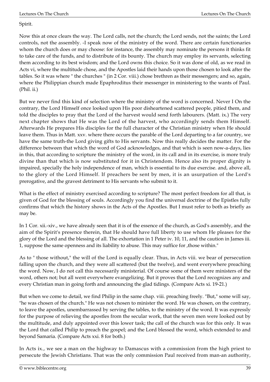Spirit.

Now this at once clears the way. The Lord calls, not the church; the Lord sends, not the saints; the Lord controls, not the assembly. -I speak now of the ministry of the word. There are certain functionaries whom the church does or may choose: for instance, the assembly may nominate the persons it thinks fit to take care of the funds, and to distribute of its bounty. The church may employ its servants, selecting them according to its best wisdom; and the Lord owns this choice. So it was done of old, as we read in Acts vi, where the multitude chose, and the Apostles laid their hands upon those chosen to look after the tables. So it was where " the churches " (in 2 Cor. viii.) chose brethren as their messengers; and so, again, where the Philippian church made Epaphroditus their messenger in ministering to the wants of Paul. (Phil. ii.)

But we never find this kind of selection where the ministry of the word is concerned. Never I On the contrary, the Lord Himself once looked upon His poor disheartened scattered people, pitied them, and told the disciples to pray that the Lord of the harvest would send forth labourers. (Matt. ix.) The very next chapter shows that He was the Lord of the harvest, who accordingly sends them Himself. Afterwards He prepares His disciples for the full character of the Christian ministry when He should leave them. Thus in Matt. xxv. where there occurs the parable of the Lord departing to a far country, we have the same truth-the Lord giving gifts to His servants. Now this really decides the matter. For the difference between that which the word of God acknowledges, and that which is seen now-a-days, lies in this, that according to scripture the ministry of the word, in its call and in its exercise, is more truly divine than that which is now substituted for it in Christendom. Hence also its proper dignity is impaired, specially the holy independence of man, which is essential to its due exercise. and, above all, to the glory of the Lord Himself. If preachers be sent by men, it is an usurpation of the Lord's prerogative, and the gravest detriment to His servants who submit to it.

What is the effect of ministry exercised according to scripture? The most perfect freedom for all that, is given of God for the blessing of souls. Accordingly you find the universal doctrine of the Epistles fully confirms that which the history shows in the Acts of the Apostles. But I must refer to both as briefly as may be.

In 1 Cor. xii.-xiv., we have already seen that it is of the essence of the church, as God's assembly, and the aim of the Spirit's presence therein, that He should have full liberty to use whom He pleases for the glory of the Lord and the blessing of all. The exhortation in 1 Peter iv. 10, 11, and the caution in James iii. 1, suppose the same openness and its liability to abuse. This may suffice for ,those within."

As to " those without," the will of the Lord is equally clear. Thus, in Acts viii. we bear of persecution falling upon the church, and they were all scattered (but the twelve), and went everywhere preaching the word. Now, I do not call this necessarily ministerial. Of course some of them were ministers of the word, others not; but all went everywhere evangelizing. But it proves that the Lord recognizes any and every Christian man in going forth and announcing the glad tidings. (Compare Acts xi. 19-21.)

But when we come to detail, we find Philip in the same chap. viii. preaching freely. "But," some will say, "he was chosen of the church." He was not chosen to minister the word. He was chosen, on the contrary, to leave the apostles, unembarrassed by serving the tables, to the ministry of the word. It was expressly for the purpose of relieving the apostles from the secular work, that the seven men were looked out by the multitude, and duly appointed over this lower task; the call of the church was for this only. It was the Lord that called Philip to preach the gospel; and the Lord blessed the word, which extended to and beyond Samaria. (Compare Acts xxi. 8 for both.)

In Acts ix., we see a man on the highway to Damascus with a commission from the high priest to persecute the Jewish Christians. That was the only commission Paul received from man-an authority,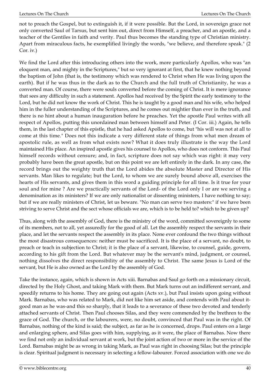not to preach the Gospel, but to extinguish it, if it were possible. But the Lord, in sovereign grace not only converted Saul of Tarsus, but sent him out, direct from Himself, a preacher, and an apostle, and a teacher of the Gentiles in faith and verity. Paul thus becomes the standing type of Christian ministry. Apart from miraculous facts, he exemplified livingly the words, "we believe, and therefore speak." (2 Cor. iv.)

We find the Lord after this introducing others into the work, more particularly Apollos, who was "an eloquent man, and mighty in the Scriptures," but so very ignorant at first, that he knew nothing beyond the baptism of John (that is, the testimony which was rendered to Christ when He was living upon the earth). But if he was thus in the dark as to the Church and the full truth of Christianity, he was a converted man. Of course, there were souls converted before the coming of Christ. It is mere ignorance that sees any difficulty in such a statement. Apollos had received by the Spirit the early testimony to the Lord, but he did not know the work of Christ. This he is taught by a good man and his wife, who helped him in the fuller understanding of the Scriptures, and he comes out mightier than ever in the truth, and there is no hint about a human inauguration before he preaches. Yet the apostle Paul writes with all respect of Apollos, putting this unordained man between himself and Peter. (I Cor. iii.) Again, he tells them, in the last chapter of this epistle, that he had asked Apollos to come, but "his will was not at all to come at this time." Does not this indicate a very different state of things from what men dream of apostolic rule, as well as from what exists now? What it does truly illustrate is the way the Lord maintained His place. An inspired apostle gives his counsel to Apollos, who does not conform. This Paul himself records without censure; and, in fact, scripture does not say which was right: it may very probably have been the great apostle, but on this point we are left entirely in the dark. In any case, the record brings out the weighty truth that the Lord abides the absolute Master and Director of His servants. Man likes to regulate; but the Lord, to whom we are surely bound above all, exercises the hearts of His servants, and gives them in this word a guiding principle for all time. Is it true for your soul and for mine ? Are we practically servants of the Lord- of the Lord only I or are we serving a denomination as its ministers? If we are only nationalist or dissenting ministers, I have nothing to say; but if we are really ministers of Christ, let us beware. "No man can serve two masters:" if we have been striving to serve Christ and the sect whose officials we are, which is to be held to? which to be given up?

Thus, along with the assembly of God, there is the ministry of the word, committed sovereignly to some of its members, not to all, yet assuredly for the good of all. Let the assembly respect the servants in their place, and let the servants respect the assembly in its place. None ever confound the two things without the most disastrous consequences: neither must be sacrificed. It is the place of a servant, no doubt, to preach or teach in subjection to Christ; it is the place of a servant, likewise, to counsel, guide, govern, according to his gift from the Lord. But whatever may be the servant's mind, judgment, or counsel, nothing dissolves the direct responsibility of the assembly to Christ. The same Jesus is Lord of the servant, but He is also owned as the Lord by the assembly of God.

Take the instance, again, which is shown in Acts xiii. Barnabas and Saul go forth on a missionary circuit, directed by the Holy Ghost, and taking Mark with them. But Mark turns out an indifferent servant, and speedily returns to his home. They are going out again (Acts xv.), but Paul insists upon going without Mark. Barnabas, who was related to Mark, did not like him set aside, and contends with Paul about itgood man as he was-and this so sharply, that it leads to a severance of these two devoted and tenderly attached servants of Christ. Then Paul chooses Silas, and they were commended by the brethren to the grace of God. The church, or the labourers, were, no doubt, convinced that Paul was in the right. Of Barnabas, nothing of the kind is said; the subject, as far as he is concerned, drops. Paul enters on a large and enlarging sphere, and Silas goes with him, supplying, as it were, the place of Barnabas. Now there we find not only an individual servant at work, but the joint action of two or more in the service of the Lord. Barnabas might be as wrong in taking Mark, as Paul was right in choosing Silas; but the principle is clear. Spiritual judgment is necessary in selecting a fellow-labourer. Forced association with one we do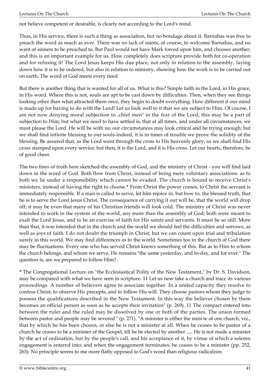not believe competent or desirable, is clearly not according to the Lord's mind.

Thus, in His service, there is such a thing as association, but no bondage about it. Barnabas was free to preach the word as much as ever. There was no lack of saints, of course, to welcome Barnabas, and no want of sinners to be preached to. But Paul would not have Mark forced upon him, and chooses another; and this is an important example for us. How completely does scripture provide both for co-operation and for refusing it! The Lord Jesus keeps His due place, not only in relation to the assembly, laying down how it is to be ordered, but also in relation to ministry, showing how the work is to be carried out on earth. The word of God meets every need.

But there is another thing that is wanted for all of us. What is this? Simple faith in the Lord, in His grace, in His word. Where this is not, souls are apt to be cast down by difficulties. Then, when they see things looking other than what attracted them once, they begin to doubt everything. How different if our mind is made up for having to do with the Lord! Let us look well to it that we are subject to Him. Of course, I am not now denying moral subjection to , chief men" in the fear of the Lord; this may be a part of subjection to Him; but what we need to have settled is, that at all times, and under all circumstances, we must please the Lord. He will be with us; our circumstances may look critical and be trying enough; but we shall find infinite blessing to our souls-indeed, it is in times of trouble we prove the solidity of the blessing. Be assured that, as the Lord went through the cross to His heavenly glory, so we shall find His cross stamped upon every service; but then, it is the Lord, and it is His cross. Let our hearts, therefore, be of good cheer.

The two lines of truth here sketched-the assembly of God, and the ministry of Christ - you will find laid down in the word of God. Both flow from Christ, instead of being mere voluntary associations: as to both we lie under a responsibility which cannot be evaded. The church is bound to receive Christ's ministers, instead of having the right to choose.**\*** From Christ the power comes; to Christ the servant is immediately responsible. If a man is called to serve, let him rejoice in, but bow to, the blessed truth, that he is to serve the Lord Jesus Christ. The consequence of carrying it out will be, that the world will drop off; it may be even that many of his Christian friends will look cold. The ministry of Christ was never intended to work in the system of the world, any more than the assembly of God; both were meant to exalt the Lord Jesus, and to be an exercise of faith for His saints and servants. It must be so still. More than that, it was intended that in the church and the world we should feel the difficulties and sorrows, as well as joys of faith. I do not doubt the triumph in Christ; but we can count upon trial and tribulation surely in this world. We may find differences as to the world. Sometimes too in the church of God there may be fluctuations. Every one who has served Christ knows something of this. But as to Him to whom the church belongs, and whom we serve, He remains "the same yesterday, and to-day, and for ever." The question is, are we prepared to follow Him?

**\*** The Congregational Lecture on "the Ecclesiastical Polity of the New Testament,'' by Dr. S. Davidson, may be compared with what we have seen in scripture. 11 Let us now take a church and trace its various proceedings. A number of believers agree to associate together. In a united capacity they resolve to confess Christ, to observe His precepts, and to follow His will. They choose pastors whom they judge to possess the qualifications described in the New Testament. In this way the believer chosen by them becomes an official person as soon as he accepts their invitation" (p. 269). 11 The compact entered into between the ruler and the ruled may be dissolved by one or both of the parties. The union formed between pastor and people may be severed " (p. 271). "A minister is either the mini te of one church, viz., that by which he has been chosen, or else he is not a minister at all. When he ceases to be pastor of a church he ceases to be a minister of the Gospel, till he be elected by another ..... He is not made a minister by the act of ordination, but by the people's call, and his acceptance of it, by virtue of which a solemn engagement is entered into; and when the engagement terminates, he ceases to be a minister (pp. 252, 263). No principle seems to me more flatly opposed to God's word than religious radicalism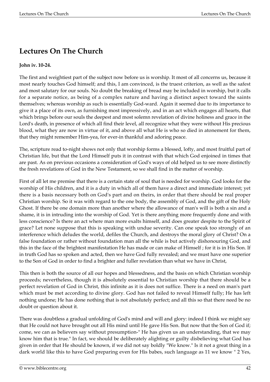## **Lectures On The Church**

## **John iv. 10-24.**

The first and weightiest part of the subject now before us is worship. It most of all concerns us, because it most nearly touches God himself; and this, I am convinced, is the truest criterion, as well as the safest and most salutary for our souls. No doubt the breaking of bread may be included in worship, but it calls for a separate notice, as being of a complex nature and having a distinct aspect toward the saints themselves; whereas worship as such is essentially God-ward. Again it seemed due to its importance to give it a place of its own, as furnishing most impressively, and in an act which engages all hearts, that which brings before our souls the deepest and most solemn revelation of divine holiness and grace in the Lord's death, in presence of which all find their level, all recognize what they were without His precious blood, what they are now in virtue of it, and above all what He is who so died in atonement for them, that they might remember Him-yea, for ever-in thankful and adoring peace.

The, scripture read to-night shows not only that worship forms a blessed, lofty, and most fruitful part of Christian life, but that the Lord Himself puts it in contrast with that which God enjoined in times that are past. As on previous occasions a consideration of God's ways of old helped us to see more distinctly the fresh revelations of God in the New Testament, so we shall find in the matter of worship.

First of all let me premise that there is a certain state of soul that is needed for worship. God looks for the worship of His children, and it is a duty in which all of them have a direct and immediate interest; yet there is a basis necessary both on God's part and on theirs, in order that there should be real proper Christian worship. So it was with regard to the one body, the assembly of God, and the gift of the Holy Ghost. If there be one domain more than another where the allowance of man's will is both a sin and a shame, it is in intruding into the worship of God. Yet is there anything more frequently done and with less conscience? Is there an act where man more exalts himself, and does greater despite to the Spirit of grace? Let none suppose that this is speaking with undue severity. Can one speak too strongly of an interference which deludes the world, defiles the Church, and destroys the moral glory of Christ? On a false foundation or rather without foundation man all the while is but actively dishonouring God, and this in the face of the brightest manifestation He has made or can make of Himself ; for it is in His Son. If in truth God has so spoken and acted, then we have God fully revealed; and we must have one superior to the Son of God in order to find a brighter and fuller revelation than what we have in Christ,

This then is both the source of all our hopes and blessedness, and the basis on which Christian worship proceeds; nevertheless, though it is absolutely essential to Christian worship that there should be a perfect revelation of God in Christ, this infinite as it is does not suffice. There is a need on man's part which must be met according to divine glory. God has not failed to reveal Himself fully; He has left nothing undone; He has done nothing that is not absolutely perfect; and all this so that there need be no doubt or question about it.

There was doubtless a gradual unfolding of God's mind and will and glory: indeed I think we might say that He could not have brought out all His mind until He gave His Son. But now that the Son of God if; come, we can as believers say without presumption-" He has given us an understanding, that we may know him that is true." In fact, we should be deliberately alighting or guilty disbelieving what God has given in order that He should be known, if we did not say boldly "We know." Is it not a great thing in a dark world like this to have God preparing even for His babes, such language as 11 we know " 2 Yes,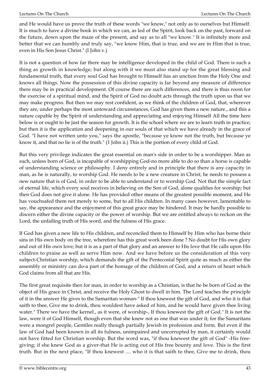and He would have us prove the truth of these words "we know," not only as to ourselves but Himself. It is much to have a divine book in which we can, as led of the Spirit, look back on the past, forward on the future, down upon the maze of the present, and say as to all "we know." It is infinitely more and better that we can humbly and truly say, "we know Him, that is true, and we are in Him that is true, even in His Son Jesus Christ." (I John v.)

It is not a question of how far there may be intelligence developed in the child of God. There is such a thing as growth in knowledge; but along with it we must also stand up for the great blessing and fundamental truth, that every soul God has brought to Himself has an unction from the Holy One and knows all things. Now the possession of this divine capacity is far beyond any measure of difference there may be in practical development. Of course there are such differences, and there is thus room for the exercise of a spiritual mind, and the Spirit of God no doubt acts through the truth upon us that we may make progress. But then we may rest confident, as we think of the children of God, that, wherever they are, under perhaps the most untoward circumstances, God has given them a new nature., and this a nature capable by the Spirit of understanding and appreciating and enjoying Himself All the time here below is or ought to be just the season for growth. It is the school where we are to learn truth in practice; but then it is the application and deepening in our souls of that which we have already in the grace of God. "I have not written unto you," says the apostle, "because ye know not the truth, but because ye know it, and that no lie is of the truth." (1 John ii.) This is the portion of every child of God.

But this very privilege indicates the great essential on man's side in order to be a worshipper. Man as such, unless born of God, is incapable of worshipping God-no more able to do so than a horse is capable of understanding science or philosophy. I deny entirely and in principle that there is any capacity in man, as he is naturally, to worship God. He needs to be a new creature in Christ; he needs to possess a new nature that is of God, in order to be able to understand or to worship God. Not that the simple fact of eternal life, which every soul receives in believing on the Son of God, alone qualifies for worship; but then God does not give it alone. He has provided other means of the greatest possible moment, and He has vouchsafed them not merely to some, but to all His children. In many cases however, lamentable to say, the appearance and the enjoyment of this great grace may be hindered. It may be hardly possible to discern either the divine capacity or the power of worship. But we are entitled always to reckon on the Lord, the unfailing truth of His word, and the fulness of His grace.

If God has given a new life to His children, and reconciled them to Himself by Him who has borne their sins in His own body on the tree, wherefore has this great work been done ? No doubt for His own glory and out of His own love; but it is as a part of that glory and an answer to His love that He calls upon His children to praise as well as serve Him now. And we have before us the consideration of this very subject-Christian worship, which demands the gift of the Pentecostal Spirit quite as much as either the assembly or ministry can do-a part of the homage of the children of God, and a return of heart which God claims from all that are His.

The first great requisite then for man, in order to worship as a Christian, is that he be born of God as the object of His grace in Christ, and receive the Holy Ghost to dwell in him. The Lord teaches the principle of it in the answer He gives to the Samaritan woman-" If thou knewest the gift of God, and who it is that saith to thee, Give me to drink, thou wouldest have asked of him, and he would have given thee living water." There we have the kernel., as it were, of worship-, If thou knewest the gift of God." It is not the law, were it of God Himself, though even that she knew not as one that was under it; for the Samaritans were a mongrel people, Gentiles really though partially Jewish in profession and form. But even if the law of God had been known in all its fulness, unimpaired and uncorrupted by man, it certainly would not have fitted for Christian worship. But the word was, "if thou knewest the gift of God" -His freegiving; if she knew God as a giver-that He is acting out of His free bounty and love. This is the first truth. But in the next place, "If thou knewest .... who it is that saith to thee, Give me to drink, thou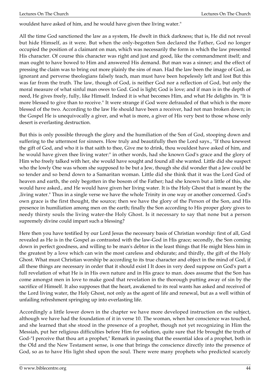wouldest have asked of him, and he would have given thee living water."

All the time God sanctioned the law as a system, He dwelt in thick darkness; that is, He did not reveal but hide Himself, as it were. But when the only-begotten Son declared the Father, God no longer occupied the position of a claimant on man, which was necessarily the form in which the law presented His character. Of course this character was right and just and good, like the commandment itself; and man ought to have bowed to Him and answered His demand. But man was a sinner; and the effect of pressing the claim was to bring out more plainly the sins of man. Had the law been the image of God, as ignorant and perverse theologians falsely teach, man must have been hopelessly left and lost But this was far from the truth. The law, though of God, is neither God nor a reflection of God, but only the moral measure of what sinful man owes to God. God is light; God is love; and if man is in the depth of need, He gives freely, fully, like Himself. Indeed it is what becomes Him, and what He delights in. "It is more blessed to give than to receive." It were strange if God were defrauded of that which is the more blessed of the two. According to the law He should have been a receiver, had not man broken down; in the Gospel He is unequivocally a giver, and what is more, a giver of His very best to those whose only desert is everlasting destruction.

But this is only possible through the glory and the humiliation of the Son of God, stooping down and suffering to the uttermost for sinners. How truly and beautifully then the Lord says., "If thou knewest the gift of God, and who it is that saith to thee, Give me to drink, thou wouldest have asked of him, and he would have given thee living water:" in other words, had she known God's grace and the glory of Him who freely talked with her, she would have sought and found all she wanted. Little did she suspect who the lowly One was whom she supposed to be but a Jew, though she did wonder that a Jew could be so tender and so bend down to a Samaritan woman. Little did she think that it was the Lord God of heaven and earth, the only begotten in the bosom of the Father; had she known but a little of this, she would have asked., and He would have given her living water. It is the Holy Ghost that is meant by the ,living water." Thus in a single verse we have the whole Trinity in one way or another concerned. God's own grace is the first thought, the source; then we have the glory of the Person of the Son, and His presence in humiliation among men on the earth; finally the Son according to His proper glory gives to needy thirsty souls the living water-the Holy Ghost. Is it necessary to say that none but a person supremely divine could impart such a blessing?

Here then you have testified by our Lord Jesus the necessary basis of Christian worship: first of all, God revealed as He is in the Gospel as contrasted with the law-God in His grace; secondly, the Son coming down in perfect goodness, and willing to be man's debtor in the least things that He might bless him in the greatest by a love which can win the most careless and obdurate; and thirdly, the gift of the Holy Ghost. What must Christian worship be according to its true character and object in the mind of God, if all these things are necessary in order that it should exist I It does in very deed suppose on God's part a full revelation of what He is in His own nature and in His grace to man. does assume that the Son has come amongst men in love to make good that revelation in the thorough putting away of sin by the sacrifice of Himself. It also supposes that the heart, awakened to its real wants has asked and received of the Lord living water, the Holy Ghost, not only as the agent of life and renewal, but as a well within of unfailing refreshment springing up into everlasting life.

Accordingly a little lower down in the chapter we have more developed instruction on the subject, although we have had the foundation of it in verse 10. The woman, when her conscience was touched, and she learned that she stood in the presence of a prophet, though not yet recognizing in Him the Messiah, put her religious difficulties before Him for solution, quite sure that He brought the truth of God-"I perceive that thou art a prophet," Remark in passing that the essential idea of a prophet, both in the Old and the New Testament sense, is one that brings the conscience directly into the presence of God, so as to have His light shed upon the soul. There were many prophets who predicted scarcely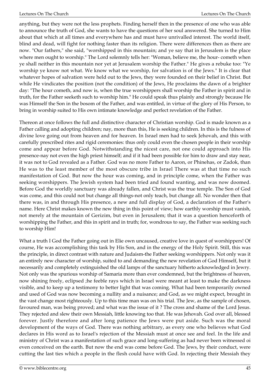anything, but they were not the less prophets. Finding herself then in the presence of one who was able to announce the truth of God, she wants to have the questions of her soul answered. She turned to Him about that which at all times and everywhere has and must have unrivalled interest. The world itself, blind and dead, will fight for nothing faster than its religion. There were differences then as there are now. "Our fathers," she said, "worshipped in this mountain; and ye say that in Jerusalem is the place where men ought to worship." The Lord solemnly tells her: "Woman, believe me, the hour- cometh when ye shall neither in this mountain nor yet at Jerusalem worship the Father." He gives a rebuke too: "Ye worship ye know not what. We know what we worship, for salvation is of the Jews." It is clear that whatever hopes of salvation were held out to the Jews, they were founded on their belief in Christ. But while He vindicates the position (not the condition) of the Jews, He proclaims the dawn of a brighter day: "The hour cometh, and now is, when the true worshippers shall worship the Father in spirit and in truth, for the Father seeketh such to worship him." He could speak thus plainly and strongly because He was Himself the Son in the bosom of the Father, and was entitled, in virtue of the glory of His Person, to bring in worship suited to His own intimate knowledge and perfect revelation of the Father.

Thereon at once follows the full and distinctive character of Christian worship. God is made known as a Father calling and adopting children; nay, more than this, He is seeking children. In this is the fulness of divine love going out from heaven and for heaven. In Israel men had to seek Jehovah, and this with carefully prescribed rites and rigid ceremonies: thus only could even the chosen people in their worship come and appear before God. Notwithstanding the nicest care, not one could approach into His presence-nay not even the high priest himself; and if it had been possible for him to draw and stay near, it was not to God revealed as a Father. God was no more Father to Aaron, or Phinehas, or Zadok, than He was to the least member of the most obscure tribe in Israel There was at that time no such manifestation of God. But now the hour was coming, and in principle come, when the Father was seeking worshippers. The Jewish system had been tried and found wanting, and was now doomed. Before God the worldly sanctuary was already fallen, and Christ was the true temple. The Son of God was come, and this could not but change all things-not only teach, but change all. No wonder then that there was, in and through His presence, a new and full display of God, a declaration of the Father's name. Here Christ makes known the new thing in this point of view; how earthly worship must vanish, not merely at the mountain of Gerizim, but even in Jerusalem; that it was a question henceforth of worshipping the Father, and this in spirit and in truth; for, wondrous to say, the Father was seeking such to worship Him!

What a truth I God the Father going out in Elie own uncaused, creative love in quest of worshippers! Of course, He was accomplishing this task by His Son, and in the energy of the Holy Spirit. Still, this was the principle, in direct contrast with nature and Judaism-the Father seeking worshippers. Not only was it an entirely new character of worship, suited to and demanding the new revelation of God Himself, but it necessarily and completely extinguished the old lamps of the sanctuary hitherto acknowledged in Jewry. Not only was the spurious worship of Samaria more than ever condemned, but the brightness of heaven, now shining freely, eclipsed ;he feeble rays which in Israel were meant at least to make the darkness visible, and to keep up a testimony to better light that was coming. What had been temporarily owned and used of God was now becoming a nullity and a nuisance; and God, as we might expect, brought in the vast change most righteously. Up to this time man was on his trial. The Jew, as the sample of chosen, favoured man, was being proved; and what was the issue of it ? The cross and shame of the Lord Jesus. They rejected and slew their own Messiah, little knowing too that. He was Jehovah. God over all, blessed forever. Justly therefore and after long patience the Jews were put aside. Such was the moral development of the ways of God. There was nothing arbitrary, as every one who believes what God declares in His word as to Israel's rejection of the Messiah must at once see and feel. In the life and ministry of Christ was a manifestation of such grace and long-suffering as had never been witnessed oi even conceived on the earth. But now the end was come before God. The Jews, by their conduct, were cutting the last ties which a people in the flesh could have with God. In rejecting their Messiah they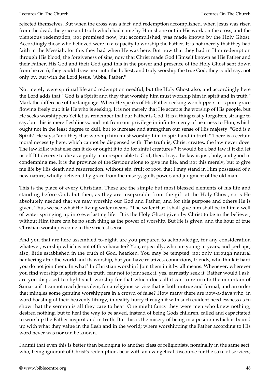rejected themselves. But when the cross was a fact, and redemption accomplished, when Jesus was risen from the dead, the grace and truth which had come by Him shone out in His work on the cross, and the plenteous redemption, not promised now, but accomplished, was made known by the Holy Ghost. Accordingly those who believed were in a capacity to worship the Father. It is not merely that they had faith in the Messiah, for this they had when He was here. But now that they had in Him redemption through His blood, the forgiveness of sins; now that Christ made God Himself known as His Father and their Father, His God and their God (and this in the power and presence of the Holy Ghost sent down from heaven), they could draw near into the holiest, and truly worship the true God; they could say, not only by, but with the Lord Jesus, "Abba, Father."

Not merely were spiritual life and redemption needful, but the Holy Ghost also; and accordingly here the Lord adds that " God is a Spirit: and they that worship him must worship him in spirit and in truth." Mark the difference of the language. When He speaks of His Father seeking worshippers. it is pure grace flowing freely out; it is He who is seeking. It is not merely that He accepts the worship of His people, but He seeks worshippers Yet let us remember that our Father is God. It is a thing easily forgotten, strange to say; but this is mere fleshliness, and not from our privilege in infinite mercy of nearness to Him, which ought not in the least degree to dull, but to increase and strengthen our sense of His majesty. "God is a Spirit," He says; "and they that worship him must worship him in spirit and in truth." There is a certain moral necessity here, which cannot be dispensed with. The truth is, Christ creates, the law never does. The law kills; what else can it do or ought it to do for sinful creatures ? It would be a bad law if it did let us off If I deserve to die as a guilty man responsible to God, then, I say, the law is just, holy, and good in condemning me. It is the province of the Saviour alone to give me life, and not this merely, but to give me life by His death and resurrection, without sin, fruit or root, that I may stand in Him possessed of a new nature, wholly delivered by grace from the misery, guilt, power, and judgment of the old man.

This is the place of every Christian. These are the simple but most blessed elements of his life and standing before God; but then, as they are inseparable from the gift of the Holy Ghost, so is He absolutely needed that we may worship our God and Father; and for this purpose and others He is given. Thus we see what the living water means. "The water that I shall give him shall be in him a well of water springing up into everlasting life." It is the Holy Ghost given by Christ to be in the believer; without Him there can be no such thing as the power of worship. But He is given, and the hour of true Christian worship is come in the strictest sense.

And you that are here assembled to-night, are you prepared to acknowledge, for any consideration whatever, worship which is not of this character? You, especially, who are young in years, and perhaps, also, little established in the truth of God, hearken. You may be tempted, not only through natural hankering after the world and its worship, but you have relatives, connexions, friends, who think it hard you do not join them. In what? In Christian worship? Join them in it by all means. Whenever, wherever you find worship in spirit and in truth, fear not to join; seek it, yes, earnestly seek it, Rather would I ask, are you disposed to slight such worship for that which does all it can to return to the mountain of Samaria if it cannot reach Jerusalem; for a religious service that is both untrue and formal; and an order that mingles some genuine worshippers in a crowd of false? How many there are now-a-days who, in word boasting of their heavenly liturgy, in reality hurry through it with such evident heedlessness as to show that the sermon is all they care to hear! One might fancy they were men who knew nothing, desired nothing, but to heal the way to be saved, instead of being Gods children, called and capacitated to worship the Father inspirit and in truth. But this is the misery of being in a position which is bound up with what they value in the flesh and in the world; where worshipping the Father according to His word never was nor can be known.

I admit that even this is better than belonging to another class of religionists, nominally in the same sect, who, being ignorant of Christ's redemption, bear with an evangelical discourse for the sake of services,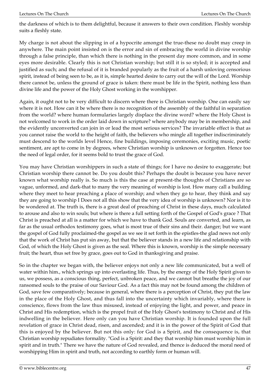the darkness of which is to them delightful, because it answers to their own condition. Fleshly worship suits a fleshly state.

My charge is not about the slipping in of a hypocrite amongst the true-these no doubt may creep in anywhere. The main point insisted on is the error and sin of embracing the world in divine worship through a false principle, than which there is nothing in the present day more common, and in some eyes more desirable. Clearly this is not Christian worship; but still it is so styled; it is accepted and justified as such; and the refusal of it is branded popularly as the fruit of a harsh unloving censorious spirit, instead of being seen to be, as it is, simple hearted desire to carry out the will of the Lord. Worship there cannot be, unless the ground of grace is taken: there must be life in the Spirit, nothing less than divine life and the power of the Holy Ghost working in the worshipper.

Again, it ought not to be very difficult to discern where there is Christian worship. One can easily say where it is not. How can it be where there is no recognition of the assembly of the faithful in separation from the world? where human formularies largely displace the divine word? where the Holy Ghost is not welcomed to work in the order laid down in scripture? where anybody may be in membership, and the evidently unconverted can join in or lead the most serious services? The invariable effect is that as you cannot raise the world to the height of faith, the believers who mingle all together indiscriminately must descend to the worlds level Hence, fine buildings, imposing ceremonies, exciting music, poetic sentiment, are apt to come in by degrees, where Christian worship is unknown or forgotten. Hence too the need of legal order, for it seems bold to trust the grace of God.

You may have Christian worshippers in such a state of things; for I have no desire to exaggerate; but Christian worship there cannot be. Do you doubt this? Perhaps the doubt is because you have never known what worship really is. So much is this the case at present-the thoughts of Christians are so vague, unformed, and dark-that to many the very meaning of worship is lost. How many call a building where they meet to hear preaching a place of worship; and when they go to hear, they think and say they are going to worship I Does not all this show that the very idea of worship is unknown? Nor is it to be wondered at. The truth is, there is a great deal of preaching of Christ in these days, much calculated to arouse and also to win souls; but where is there a full setting forth of the Gospel of God's grace ? That Christ is preached at all is a matter for which we have to thank God. Souls are converted, and learn, as far as the usual orthodox testimony goes, what is most true of their sins and their. danger; but we want the gospel of God fully proclaimed-the gospel as we see it set forth in the epistles-the glad news not only that the work of Christ has put sin away, but that the believer stands in a new life and relationship with God, of which the Holy Ghost is given as the seal. Where this is known, worship is the simple necessary fruit; the heart, thus set free by grace, goes out to God in thanksgiving and praise.

So in the chapter we began with, the believer enjoys not only a new life communicated, but a well of water within him., which springs up into everlasting life. Thus, by the energy of the Holy Spirit given to us, we possess, as a conscious thing, perfect, unbroken peace, and we cannot but breathe the joy of our ransomed souls to the praise of our Saviour God. As a fact this may not be found among the children of God, save few comparatively; because in general, where there is a perception of Christ, they put the law in the place of the Holy Ghost, and thus fall into the uncertainty which invariably, where there is conscience, flows from the law thus misused, instead of enjoying the light, and power, and peace in Christ and His redemption, which is the propel fruit of the Holy Ghost's testimony to Christ and of His indwelling in the believer. Here only can you have Christian worship. It is founded upon the full revelation of grace in Christ dead, risen, and ascended; and it is in the power of the Spirit of God that this is enjoyed by the believer. But not this only: for God is a Spirit, and the consequence is, that Christian worship repudiates formality. "God is a Spirit: and they that worship him must worship him in spirit and in truth." There we have the nature of God revealed, and thence is deduced the moral need of worshipping Him in spirit and truth, not according to earthly form or human will.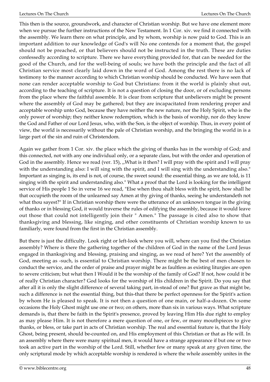This then is the source, groundwork, and character of Christian worship. But we have one element more when we pursue the further instructions of the New Testament. In 1 Cor. xiv. we find it connected with the assembly. We learn there on what principle, and by whom, worship is now paid to God. This is an important addition to our knowledge of God's will No one contends for a moment that, the gospel should not be preached, or that believers should not be instructed in the truth. These are duties confessedly according to scripture. There we have everything provided for, that can be needed for the good of the Church, and for the well-being of souls; we have both the principle and the fact of all Christian service most clearly laid down in the word of God. Among the rest there is no lack of testimony to the manner according to which Christian worship should be conducted. We have seen that none can render acceptable worship to God but Christians: from it the world is plainly shut out, according to the teaching of scripture. It is not a question of closing the door, or of excluding persons from the place where the faithful assemble. It is clear from scripture that unbelievers might be present where the assembly of God may be gathered; but they are incapacitated from rendering proper and acceptable worship unto God, because they have neither the new nature, nor the Holy Spirit, who is the only power of worship; they neither know redemption, which is the basis of worship, nor do they know the God and Father of our Lord Jesus, who, with the Son, is the object of worship. Thus, in every point of view, the world is necessarily without the pale of Christian worship, and the bringing the world in is a large part of the sin and ruin of Christendom.

Again we gather from 1 Cor. xiv. the place which the giving of thanks has in the worship of God; and this connected, not with any one individual only, or a separate class, but with the order and operation of God in the assembly. Hence we read (ver. 15), ,,What is it then? I will pray with the spirit and I will pray with the understanding also: I will sing with the spirit, and I will sing with the understanding also." Important as singing is, its end is not, of course, the sweet sound: the essential thing, as we are told, is 11 singing with the spirit and understanding also." What a proof that the Lord is looking for the intelligent service of His people 1 So in verse 16 we read, "Else when thou shalt bless with the spirit, how shall he that occupieth the room of the unlearned say Amen at thy giving of thanks, seeing he understandeth not what thou sayest?" If in Christian worship there were the utterance of an unknown tongue in the giving of thanks or in blessing God, it would traverse the rules of edifying the assembly, because it would leave out those that could not intelligently join their " Amen." The passage is cited also to show that thanksgiving and blessing, like singing, and other constituents of Christian worship known to us familiarly, were found from the first in the Christian assembly.

But there is just the difficulty. Look right or left-look where you will, where can you find the Christian assembly? Where is there the gathering together of the children of God in the name of the Lord Jesus engaged in thanksgiving and blessing, praising and singing, as we read of here? Yet the assembly of God, meeting as -such, is essential to Christian worship. There might be the best of men chosen to conduct the service, and the order of praise and prayer might be as faultless as existing liturgies are open to severe criticism; but what then I Would it be the worship of the family of God? If not, how could it be of really Christian character? God looks for the worship of His children in the Spirit. Do you say that after all it is only the slight difference of several taking part, in-stead of one? But grave as that might be, such a difference is not the essential thing, but this-that there be perfect openness for the Spirit's action by whom He is pleased to speak. It is not then a question of one main, or half-a-dozen. On some occasions the Holy Ghost might use one or two; on others, more than six in various ways. What scripture demands is, that there be faith in the Spirit's presence, proved by leaving Him His due right to employ as may please Him. It is not therefore a mere question of one, or few, or many mouthpieces to give thanks, or bless, or take part in acts of Christian worship. The real and essential feature is, that the Holy Ghost, being present, should be-counted on, and His employment of this Christian or that as He will. In an assembly where there were many spiritual men, it would have a strange appearance if but one or two took an active part in the worship of the Lord. Still, whether few or many speak at any given time, the only scriptural mode by which acceptable worship is rendered is where the whole assembly unites in the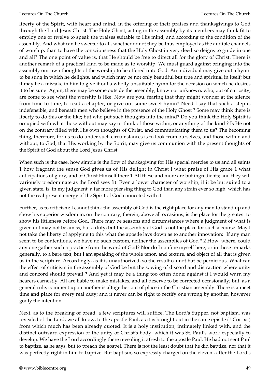liberty of the Spirit, with heart and mind, in the offering of their praises and thanksgivings to God through the Lord Jesus Christ. The Holy Ghost, acting in the assembly by its members may think fit to employ one or twelve to speak the praises suitable to His mind, and according to the condition of the assembly. And what can be sweeter to all, whether or not they be thus employed as the audible channels of worship, than to have the consciousness that the Holy Ghost in very deed so deigns to guide in one and all? The one point of value is, that He should be free to direct all for the glory of Christ. There is another remark of a practical kind to be made as to worship. We must guard against bringing into the assembly our own thoughts of the worship to be offered unto God. An individual may give out a hymn to be sung in which he delights, and which may be not only beautiful but true and spiritual in itself; but it may be a mistake in him to give it out a wholly unsuitable hymn for the occasion on which he desires it to be sung. Again, there may be some outside the assembly, known or unknown, who, out of curiosity, are come to see what the worship is like. Now are you, fearing that they might wonder at the silence from time to time, to read a chapter, or give out some sweet hymn? Need I say that such a step is indefensible, and beneath men who believe in the presence of the Holy Ghost ? Some may think there is liberty to do this or the like; but who put such thoughts into the mind? Do you think the Holy Spirit is occupied with what those without may say or think of those within, or anything of the kind ? Is He not on the contrary filled with His own thoughts of Christ, and communicating them to us? The becoming thing, therefore, for us to do under such circumstances is to look from ourselves, and those within and without, to God, that He, working by the Spirit, may give us communion with the present thoughts of the Spirit of God about the Lord Jesus Christ.

When such is the case, how simple is the flow of thanksgiving for His special mercies to us and all saints 1 how fragrant the sense God gives us of His delight in Christ I what praise of His grace 1 what anticipations of glory, and of Christ Himself there 1 All these and more are but ingredients; and they will variously predominate as the Lord sees fit. Even a lower character of worship, if it be but suited to a given state, is, in my judgment, a far more pleasing thing to God than any strain ever so high, which has not the real present energy of the Spirit of God connected with it.

Further, as to criticism: I cannot think the assembly of God is the right place for any man to stand up and show his superior wisdom in; on the contrary, therein, above all occasions, is the place for the greatest to show his littleness before God. There may be seasons and circumstances where a judgment of what is given out may not be amiss, but a duty; but the assembly of God is not the place for such a course. May I not take the liberty of applying to this what the apostle lays down as to another innovation: "If any man seem to be contentious, we have no such custom, neither the assemblies of God " 2 How, where, could any one gather such a practice from the word of God? Nor do I confine myself here, or in these remarks generally, to a bare text, but I am speaking of the whole tenor, and texture, and object of all that is given us in the scripture. Accordingly, as it is unauthorized, so the result cannot but be pernicious. What can the effect of criticism in the assembly of God be but the sowing of discord and distraction where unity and concord should prevail ? And yet it may be a thing too often done; against it I would warn my hearers earnestly. All are liable to make mistakes, and all deserve to be corrected occasionally; but, as a general rule, comment upon another is altogether out of place in the Christian assembly. There is a meet time and place for every real duty; and it never can be right to rectify one wrong by another, however godly the intention

Next, as to the breaking of bread, a few scriptures will suffice. The Lord's Supper, not baptism, was revealed of the Lord, we all know, to the apostle Paul, as it is brought out in the same epistle (1 Cor. xi.) from which much has been already quoted. It is a holy institution, intimately linked with, and the distinct outward expression of the unity of Christ's body, which it was St. Paul's work especially to develop. We have the Lord accordingly there revealing it afresh to the apostle Paul. He had not sent Paul to baptize, as he says, but to preach the gospel. There is not the least doubt that he did baptize, nor that it was perfectly right in him to baptize. But baptism, so expressly charged on the eleven., after the Lord's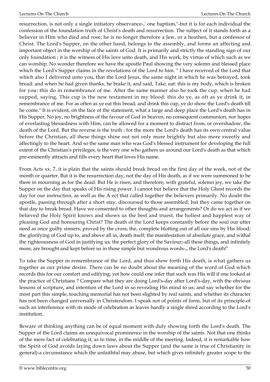resurrection, is not only a single initiatory observance-,' one baptism,"-but it is for each individual the confession of the foundation truth of Christ's death and resurrection. The subject of it stands forth as a believer in Him who died and rose; he is no longer therefore a Jew, or a heathen, but a confessor of Christ. The Lord's Supper, on the other hand, belongs to the assembly, and forms an affecting and important object in the worship of the saints of God. It is primarily and strictly the standing sign of our only foundation ; it is the witness of His love unto death, and His work, by virtue of which such as we can worship. No wonder therefore we have the apostle Paul showing the very solemn and blessed place which the Lord's Supper claims in the revelations of the Lord to him. " I have received of the Lord that which also I delivered unto you, that the Lord Jesus, the same night in which he was betrayed, took bread: and when he had given thanks, he brake it, and said, Take, eat: this is my body, which is broken for you: this do in remembrance of me. After the same manner also he took the cup, when he had supped, saying, This cup is the new testament in my blood: this do ye, as oft as ye drink it, in remembrance of me. For as often as ye eat this bread, and drink this cup, ye do show the Lord's death till he come." It is evident, on the face of the statement, what a large and deep place the Lord's death has in His Supper, No joy, no brightness of the favour of God in heaven, no consequent communion, nor hopes of everlastiug blessedness with Him, can be allowed for a moment to distract from, or overshadow, the death of the Lord. But the reverse is the truth ; for the more the Lord's death has its own central value before the Christian, all these things shine out not only more brightly but also more sweetly and affectingly to the heart. And so the same man who was God's blessed instrument for developing the full extent of the Christian's privileges, is the very one who gathers us around our Lord's death as that which pre-eminently attracts and fills every heart that loves His name.

From Acts xx. 7, it is plain that the saints should break bread on the first day of the week, not of the month or quarter. But it is the resurrection day, not the day of His death, as if we were summoned to be there in mourning as for the dead. But He is risen, and therefore, with grateful, solemn joy, we take the Supper on the day that speaks of His rising power. I cannot but believe that the Holy Ghost records the day for our instruction, as well as the A ect that called together the believers primarily. No doubt the apostle, passing through after a short stay, discoursed to those assembled; but they came together on that day to break bread. Have we consented to other thoughts and arrangements? Or do we act as if we believed the Holy Spirit knows and shows us the best and truest, the holiest and happiest way of pleasing God and honouring Christ? The death of the Lord keeps constantly before the soul our utter need as once guilty sinners, proved by the cross; the, complete blotting out of all our sins by His blood; the glorifying of God up to, and above all in, death itself; the manifestation of absolute grace, and withal the righteousness of God in justifying us; the perfect glory of the Saviour;-all these things, and infinitely more, are brought and kept before us in those simple but wondrous words-,, the Lord's death!"

To take the Supper in remembrance of the Lord, and thus show forth His death, is what gathers us together as our prime desire. There can be no doubt about the meaning of the word of God which records this for our comfort and edifying; yet how could one infer that such was His will if one looked at the practice of Christians ? Compare what they are doing Lord's-day after Lord's-day, with the obvious lessons of scripture, and intention of the Lord in so revealing His mind to us; and say whether for the most part this simple, touching memorial has not been slighted by real saints, and whether its character has not been changed universally in Christendom. I speak not of points of form, but of its principle-of such an interference with its mode of celebration as leaves hardly a single shred according to the Lord's institution.

Beware of thinking anything can be of equal moment with duly showing forth the Lord's death. The Supper of the Lord claims an unequivocal prominence in the worship of the saints. Not that one thinks of the mere fact of celebrating it, as to time, in the middle of the meeting. Indeed, it is remarkable how the Spirit of God avoids laying down laws about the Supper (and the same is true of Christianity in general)-a circumstance which the unfaithful may abuse, but which gives infinitely greater scope to the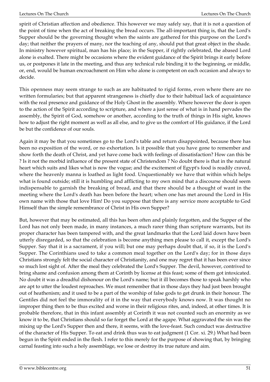spirit of Christian affection and obedience. This however we may safely say, that it is not a question of the point of time when the act of breaking the bread occurs. The all-important thing is, that the Lord's Supper should be the governing thought when the saints are gathered for this purpose on the Lord's day; that neither the prayers of many, nor the teaching of any, should put that great object in the shade. In ministry however spiritual, man has his place; in the Supper, if rightly celebrated, the abased Lord alone is exalted. There might be occasions where the evident guidance of the Spirit brings it early before us, or postpones it late in the meeting, and thus any technical rule binding it to the beginning, or middle, or, end, would be human encroachment on Him who alone is competent on each occasion and always to decide.

This openness may seem strange to such as are habituated to rigid forms, even where there are no written formularies; but that apparent strangeness is chiefly due to their habitual lack of acquaintance with the real presence and guidance of the Holy Ghost in the assembly. Where however the door is open to the action of the Spirit according to scripture, and where a just sense of what is in hand pervades the assembly, the Spirit of God, somehow or another, according to the truth of things in His sight, knows how to adjust the right moment as well as all else, and to give us the comfort of His guidance, if the Lord be but the confidence of our souls.

Again it may be that you sometimes go to the Lord's table and return disappointed, because there has been no exposition of the word, or no exhortation. Is it possible that you have gone to remember and show forth the death of Christ, and yet have come back with feelings of dissatisfaction? How can this be ? Is it not the morbid influence of the present state of Christendom ? No doubt there is that in the natural heart which suits and likes what is now the vogue; and the excitement of Egypt's food is readily craved, where the heavenly manna is loathed as light food. Unquestionably we have that within which helps what is found outside; still it is humbling and afflicting to my own mind that a discourse should seem indispensable to garnish the breaking of bread, and that there should be a thought of want in the meeting where the Lord's death has been before the heart; when one has met around the Lord in His own name with those that love Him! Do you suppose that there is any service more acceptable to God Himself than the simple remembrance of Christ in His own Supper?

But, however that may be estimated, all this has been often and plainly forgotten, and the Supper of the Lord has not only been made, in many instances, a much rarer thing than scripture warrants, but its proper character has been tampered with, and the great landmarks that the Lord laid down have been utterly disregarded, so that the celebration is become anything men please to call it, except the Lord's Supper. Say that it is a sacrament, if you will; but one may perhaps doubt that, if so, it is the Lord's Supper. The Corinthians used to take a common meal together on the Lord's day; for in those days Christians strongly felt the social character of Christianity, and one may regret that it has been ever since so much lost sight of. After the meal they celebrated the Lord's Supper. The devil, however, contrived to bring shame and confusion among them at Corinth by license at this feast; some of them got intoxicated. No doubt it was a dreadful dishonour on the Lord's name; but it ill becomes those to speak harshly who are apt to utter the loudest reproaches. We must remember that in those days they had just been brought out of heathenism; and it used to be a part of the worship of false gods to get drunk in their honour. The Gentiles did not feel the immorality of it in the way that everybody knows now. It was thought no improper thing then to be thus excited and worse in their religious rites, and, indeed, at other times. It is probable therefore, that in this infant assembly at Corinth it was not counted such an enormity as we know it to be, that Christians should so far forget the Lord at the agape. What aggravated the sin was the mixing up the Lord's Supper then and there, it seems, with the love-feast. Such conduct was destructive of the character of His Supper. To eat and drink thus was to eat judgment (1 Cor. xi. 29.) What had been begun in the Spirit ended in the flesh. I refer to this merely for the purpose of showing that, by bringing carnal feasting into such a holy assemblage, we lose or destroy its true nature and aim.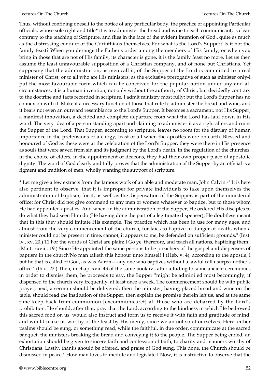Thus, without confining oneself to the notice of any particular body, the practice of appointing Particular officials, whose sole right and title**\*** it is to administer the bread and wine to each communicant, is clean contrary to the teaching of Scripture, and flies in the face of the evident intention of God., quite as much as the distressing conduct of the Corinthians themselves. For what is the Lord's Supper? Is it not the family feast? When you derange the Father's order among the members of His family, or when you bring in those that are not of His family, its character is gone, it is the family feast no more. Let us then assume the least unfavourable supposition of a Christian company, and of none but Christians. Yet supposing that the administration, as men call it, of the Supper of the Lord is committed to a real minister of Christ, or to all who are His ministers, as the exclusive prerogative of such as minister only-I put the most favourable form which can be conceived for the popular notion under any and all circumstances, it is a human invention, not only without the authority of Christ, but decidedly contrary to the doctrine and facts recorded in scripture. I admit ministry most fully; but the Lord's Supper has no connexion with it. Make it a necessary function of those that rule to administer the bread and wine, and it bears not even an outward resemblance to the Lord's Supper. It becomes a sacrament, not His Supper; a manifest innovation, a decided and complete departure from what the Lord has laid down in His word. The very idea of a person standing apart and claiming to administer it as a right alters and ruins the Supper of the Lord. That Supper, according to scripture, leaves no room for the display of human importance in the pretensions of a clergy; least of all when the apostles were on earth. Blessed and honoured of God as these were at the celebration of the Lord's Supper, they were there in His presence as souls that were saved from sin and its judgment by the Lord's death. In the regulation of the churches, in the choice of elders, in the appointment of deacons, they had their own proper place of apostolic dignity. The word of God clearly and fully proves that the administration of the Supper by an official is a figment and tradition of men, wholly wanting the support of scripture.

**\*** Let me give a few extracts from the famous work of an able and moderate man, John Calvin:-" It is here also pertinent to observe, that it is improper for private individuals to take upon themselves the administration of baptism, for it, as well as the dispensation of the Supper, is part of the ministerial office; for Christ did not give command to any men or women whatever to baptize, but to those whom He had appointed apostles. And when, in the administration of the Supper, He ordered His disciples to do what they had seen Him do (He having done the part of a legitimate dispenser), He doubtless meant that in this they should imitate His example. The practice which has been in use for many ages, and almost from the very commencement of the church, for laics to baptize in danger of death, when a minister could not be present in time, cannot, it appears to me, be defended on sufficient grounds." (Inst. iv., xv. 20.) 11 For the words of Christ are plain: I Go ye, therefore, and teach all nations, baptizing them.' (Matt. xxviii. 19.) Since He appointed the same persons to be preachers of the gospel and dispensers of baptism in the church'No man taketh this honour unto himself I (Heb. v. 4), according to the apostle, I but he that is called of God, as was Aaron'---any one who baptizes without a lawful call usurps another's office." (Ibid. 22.) Then, in chap. xvii. 43 of the same book iv., after alluding to some ancient ceremonies in order to dismiss them, he proceeds to say, the Supper "might be admini ed most becomingly, if dispensed to the church very frequently, at least once a week. The commencement should be with public prayer; next, a sermon should be delivered; then the minister, having placed bread and wine on the table, should read the institution of the Supper, then explain the promise therein left us, and at the same time keep back from communion [excommunicaret] all those who are debarred by the Lord's prohibition. He should, after that, pray that the Lord, according to the kindness in which He bed-owed this sacred food on us, would also instruct and form us to receive it with faith and gratitude of mind, and would make us worthy of the feast by His mercy, since we an not so of ourselves. Here. either psalms should be sung, or something read, while the faithful, in due order, communicate at the sacred banquet, the ministers breaking the bread and conveying it to the people. The Supper being ended, an exhortation should be given to sincere faith and confession of faith, to charity and manners worthy of Christians. Lastly, thanks should be offered, and praise of God sung. This done, the Church should be dismissed in peace." How man loves to meddle and legislate I Now, it is instructive to observe that the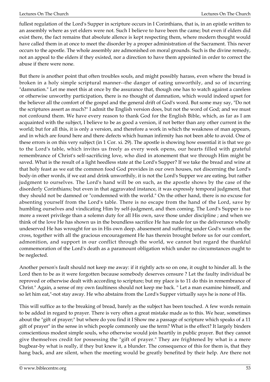fullest regulation of the Lord's Supper in scripture occurs in I Corinthians, that is, in an epistle written to an assembly where as yet elders were not. Such I believe to have been the came; but even if elders did exist there, the fact remains that absolute allence is kept respecting them, where modern thought would have called them in at once to meet the disorder by a proper administration of the Sacrament. This never occurs to the apostle. The whole assembly are admonished on moral grounds. Such is the divine remedy, not an appeal to the elders if they existed, nor a direction to have them appointed in order to correct the abuse if there were none.

But there is another point that often troubles souls, and might possibly harass, even where the bread is broken in a holy simple scriptural manner--the danger of eating unworthily, and so of incurring "damnation." Let me meet this at once by the assurance that, though one has to watch against a careless or otherwise unworthy participation, there is no thought of damnation, which would indeed upset for the believer all the comfort of the gospel and the general drift of God's word. But some may say, "Do not the scriptures assert as much?" I admit the English version does, but not the word of God; and we must not confound them. We have every reason to thank God for the English Bible, which, as far as I am acquainted with the subject, I believe to be as good a version, if not better than any other current in the world; but for all this, it is only a version, and therefore a work in which the weakness of man appears, and in which are found here and there defects which human infirmity has not been able to avoid. One of these errors is on this very subject (in 1 Cor. xi. 29). The apostle is showing how essential it is that we go to the Lord's table, which invites us freely as every week opens, our hearts filled with grateful remembrance of Christ's self-sacrificing love, who died in atonement that we through Him might be saved. What is the result of a light heedless state at the Lord's Supper? If we take the bread and wine at that holy feast as we eat the common food God provides in our own houses, not discerning the Lord's body-in other words, if we eat and drink unworthily, it is not the Lord's Supper we are eating, but rather judgment to ourselves. The Lord's hand will be on such, as the apostle shows by the case of the disorderly Corinthians; but even in that aggravated instance, it was expressly temporal judgment, that they should not be damned or "condemned with the world." On the other hand, there is no excuse for absenting yourself from the Lord's table. There is no escape from the hand of the Lord, save by humbling ourselves and vindicating Him by self-judgment, and then coming. The Lord's Supper is no more a sweet privilege than a solemn duty for all His own, save those under discipline ; and when we think of the love He has shown us in the boundless sacrifice He has made for us the deliverance wholly undeserved He has wrought for us in His own deep. abasement and suffering under God's wrath on the cross, together with all the gracious encouragement He has therein brought before us for our comfort, admonition, and support in our conflict through the world, we cannot but regard the thankful commemoration of the Lord's death as a paramount obligation which under no circumstances ought to be neglected.

Another person's fault should not keep me away: if it rightly acts so on one, it ought to hinder all. Is the Lord then to be as it were forgotten because somebody deserves censure ? Let the faulty individual be reproved or otherwise dealt with according to scripture; but my place is to 11 do this in remembrance of Christ." Again, a sense of my own faultiness should not keep me back. " Let a man examine himself, and so let him eat,"-not stay away. He who abstains from the Lord's Supper virtually says he is none of His.

This will suffice as to the breaking of bread, barely as the subject has been touched. A few words remain to be added in regard to prayer. There is very often a great mistake made as to this. We hear, sometimes about the "gift of prayer;" but where do you find it I Show me a passage of scripture which speaks of a 11 gift of prayer" in the sense in which people commonly use the term? What is the effect? It largely binders conscientious modest simple souls, who otherwise would join heartily in public prayer. But they cannot give themselves credit for possessing the "gift of prayer." They are frightened by what is a mere bugbear-by what is really, if they but knew it, a blunder. The consequence of this for them is, that they hang back, and are silent, when the meeting would be greatly benefited by their help. Are there not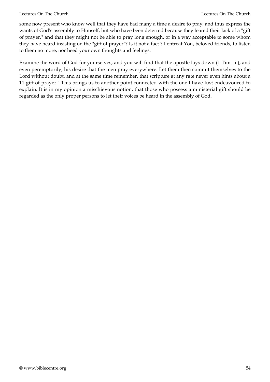some now present who know well that they have bad many a time a desire to pray, and thus express the wants of God's assembly to Himself, but who have been deterred because they feared their lack of a "gift of prayer," and that they might not be able to pray long enough, or in a way acceptable to some whom they have heard insisting on the "gift of prayer"? Is it not a fact ? I entreat You, beloved friends, to listen to them no more, nor heed your own thoughts and feelings.

Examine the word of God for yourselves, and you will find that the apostle lays down (1 Tim. ii.), and even peremptorily, his desire that the men pray everywhere. Let them then commit themselves to the Lord without doubt, and at the same time remember, that scripture at any rate never even hints about a 11 gift of prayer." This brings us to another point connected with the one I have Just endeavoured to explain. It is in my opinion a mischievous notion, that those who possess a ministerial gift should be regarded as the only proper persons to let their voices be heard in the assembly of God.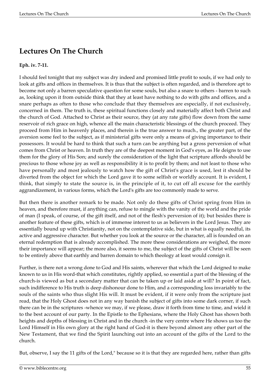## **Lectures On The Church**

## **Eph. iv. 7-11.**

I should feel tonight that my subject was dry indeed and promised little profit to souls, if we had only to look at gifts and offices in themselves. It is thus that the subject is often regarded, and is therefore apt to become not only a barren speculative question for some souls, but also a snare to others - barren to such as, looking upon it from outside think that they at least have nothing to do with gifts and offices, and a snare perhaps as often to those who conclude that they themselves are especially, if not exclusively, concerned in them. The truth is, these spiritual functions closely and materially affect both Christ and the church of God. Attached to Christ as their source, they (at any rate gifts) flow down from the same reservoir of rich grace on high, whence all the main characteristic blessings of the church proceed. They proceed from Him in heavenly places, and therein is the true answer to much., the greater part, of the aversion some feel to the subject, as if ministerial gifts were only a means of giving importance to their possessors. It would be hard to think that such a turn can be anything but a gross perversion of what comes from Christ or heaven. In truth they are of the deepest moment in God's eyes, as He deigns to use them for the glory of His Son; and surely the consideration of the light that scripture affords should be precious to those whose joy as well as responsibility it is to profit by them; and not least to those who have personally and most jealously to watch how the gift of Christ's grace is used, lest it should be diverted from the object for which the Lord gave it to some selfish or worldly account. It is evident, I think, that simply to state the source is, in the principle of it, to cut off all excuse for the earthly aggrandizement, in various forms, which the Lord's gifts are too commonly made to serve.

But then there is another remark to be made. Not only do these gifts of Christ spring from Him in heaven, and therefore must, if anything can, refuse to mingle with the vanity of the world and the pride of man (I speak, of course, of the gift itself, and not of the flesh's perversion of it); but besides there is another feature of these gifts, which is of immense interest to us as believers in the Lord Jesus. They are essentially bound up with Christianity, not on the contemplative side, but in what is equally needful, its active and aggressive character. But whether you look at the source or the character, all is founded on an eternal redemption that is already accomplished. The more these considerations are weighed, the more their importance will appear; the more also, it seems to me, the subject of the gifts of Christ will be seen to be entirely above that earthly and barren domain to which theology at least would consign it.

Further, is there not a wrong done to God and His saints, wherever that which the Lord deigned to make known to us in His word-that which constitutes, rightly applied, so essential a part of the blessing of the church-is viewed as but a secondary matter that can be taken up or laid aside at will? In point of fact, such indifference to His truth is deep dishonour done to Him, and a corresponding loss invariably to the souls of the saints who thus slight His will. It must be evident, if it were only from the scripture just read, that the Holy Ghost does not in any way banish the subject of gifts into some dark corner, if such there can be in the scriptures -whence we may, if we please, draw it forth from time to time, and wield it to the best account of our party. In the Epistle to the Ephesians, where the Holy Ghost has shown both heights and depths of blessing in Christ and in the church -in the very centre where He shows us too the Lord Himself in His own glory at the right hand of God-it is there beyond almost any other part of the New Testament, that we find the Spirit launching out into an account of the gifts of the Lord to the church.

But, observe, I say the 11 gifts of the Lord," because so it is that they are regarded here, rather than gifts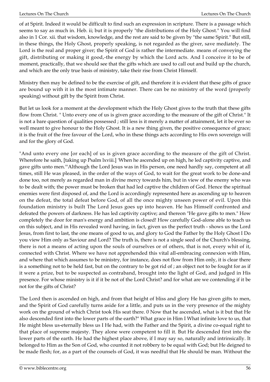of at Spirit. Indeed it would be difficult to find such an expression in scripture. There is a passage which seems to say as much in. Heb. ii; but it is properly "the distributions of the Holy Ghost." You will find also in 1 Cor. xii. that wisdom, knowledge, and the rest are said to be given by "the same Spirit." But still, in these things, the Holy Ghost, properly speaking, is not regarded as the giver, save mediately. The Lord is the real and proper giver; the Spirit of God is rather the intermediate. means of conveying the gift, distributing or making it good,-the energy by which the Lord acts. And I conceive it to be of moment, practically, that we should see that the gifts which are used to call out and build up the church, and which are the only true basis of ministry, take their rise from Christ Himself.

Ministry then may be defined to be the exercise of gift, and therefore it is evident that these gifts of grace are bound up with it in the most intimate manner. There can be no ministry of the word (properly speaking) without gift by the Spirit from Christ.

But let us look for a moment at the development which the Holy Ghost gives to the truth that these gifts flow from Christ. " Unto every one of us is given grace according to the measure of the gift of Christ." It is not a bare question of qualities possessed ; still less is it merely a matter of attainment, let it be ever so well meant to give honour to the Holy Ghost. It is a new thing given, the positive consequence of grace; it is the fruit of the free favour of the Lord, who in these things acts according to His own sovereign will and for the glory of God.

"And unto every one [or each] of us is given grace according to the measure of the gift of Christ. Wherefore he saith, [taking up Psalm lxviii.] 'When he ascended up on high, he led captivity captive, and gave gifts unto men.'"Although the Lord Jesus was in His person, one need hardly say, competent at all times, still He was pleased, in the order of the ways of God, to wait for the great work to be done-and done too, not merely as regarded man in divine mercy towards him, but in view of the enemy who was to be dealt with; the power must be broken that had led captive the children of God. Hence the spiritual enemies were first disposed of, and the Lord is accordingly represented here as ascending up to heaven on the defeat, the total defeat before God, of all the once mighty unseen power of evil. Upon this foundation ministry is built The Lord Jesus goes up into heaven. He has Himself confronted and defeated the powers of darkness. He has led captivity captive; and thereon "He gave gifts to men." How completely the door for man's energy and ambition is closed! How carefully God-alone able to teach us on this subject, and in His revealed word having, in fact, given us the perfect truth - shows us the Lord Jesus, from first to last, the one means of good to us, and glory to God the Father by the Holy Ghost I Do you view Him only as Saviour and Lord? The truth is, there is not a single seed of the Church's blessing, there is not a means of acting upon the souls of ourselves or of others, that is not, every whit of it, connected with Christ. Where we have not apprehended this vital all-embracing connexion with Him, and where that which assumes to be ministry, for instance, does not flow from Him only, it is clear there is a something not to be held fast, but on the contrary to be got rid of ; an object not to be fought for as if it were a prize, but to be suspected as contraband, brought into the light of God, and judged in His presence. For whose ministry is it if it be not of the Lord Christ? and for what are we contending if it be not for the gifts of Christ?

The Lord then is ascended on high, and from that height of bliss and glory He has given gifts to men, and the Spirit of God carefully turns aside for a little, and puts us in the very presence of the mighty work on the ground of which Christ took His seat there. 0 Now that he ascended, what is it but that He also descended first into the lower parts of the earth?" What grace in Him I What infinite love to us, that He might bless us-eternally bless us I He had, with the Father and the Spirit, a divine co-equal right to that place of supreme majesty. They alone were competent to fill it. But He descended first into the lower parts of the earth. He had the highest place above, if I may say so, naturally and intrinsically. It belonged to Him as the Son of God, who counted it not robbery to be equal with God; but He deigned to be made flesh; for, as a part of the counsels of God, it was needful that He should be man. Without the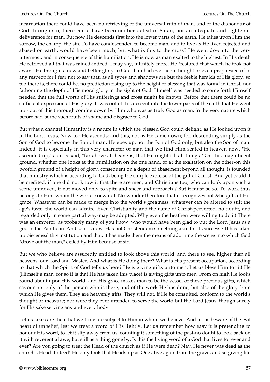incarnation there could have been no retrieving of the universal ruin of man, and of the dishonour of God through sin; there could have been neither defeat of Satan, nor an adequate and righteous deliverance for man. But now He descends first into the lower parts of the earth. He takes upon Him the sorrow, the champ, the sin. To have condescended to become man, and to live as He lived rejected and abased on earth, would have been much; but what is this to the cross? He went down to the very uttermost, and in consequence of this humiliation, He is now as man exalted to the highest. In His death He retrieved all that was rained-indeed, I may say, infinitely more. He "restored that which he took not away." He brought a new and better glory to God than had ever been thought or even prophesied of in any respect; for I fear not to say that, as all types and shadows are but the feeble heralds of His glory, so too there is, there could be, no prediction rising up to the height of blessing that was found in Christ, nor fathoming the depth of His moral glory in the sight of God. Himself was needed to come forth Himself needed that the full worth of His sufferings and cross might be known. Before that there could be no sufficient expression of His glory. It was out of this descent into the lower parts of the earth that He went up - out of this thorough coming down by Him who was as truly God as man, in the very nature which before had borne such fruits of shame and disgrace to God.

But what a change! Humanity is a nature in which the blessed God could delight, as He looked upon it in the Lord Jesus. Now too He ascends; and this, not as He came down; for, descending simply as the Son of God to become the Son of man, He goes up, not the Son of God only, but also the Son of man. Indeed, it is especially in this very character of man that we find Him seated in heaven now. "He ascended up," as it is said, "far above all heavens, that He might fill all things." On this magnificent ground, whether one looks at the humiliation on the one hand, or at the exaltation on the other-on this twofold ground of a height of glory, consequent on a depth of abasement beyond all thought, is founded that ministry which is according to God, being the simple exercise of the gift of Christ. And yet could it be credited, if one did not know it that there are men, and Christians too, who can look upon such a scene unmoved, if not moved only to spite and sneer and reproach ? But it must be so. To work thus belongs to Him whom the world knew not. No wonder therefore that it recognizes not &he gifts of His grace. Whatever can be made to merge into the world's greatness, whatever can be altered to suit the age's taste, the world can admire. Even Christianity and the name of Christ-perverted, no doubt, and regarded only in some partial way-may be adopted. Why even the heathen were willing to do it! There was an emperor, as probably many of you know, who would have been glad to put the Lord Jesus as a god in the Pantheon. And so it is now. Has not Christendom something akin for its success ? It has taken up piecemeal this institution and that; it has made them the means of adorning the scene into which God "drove out the man," exiled by Him because of sin.

But we who believe are assuredly entitled to look above this world, and there to see, higher than all heavens, our Lord and Master. And what is He doing there? What is His present occupation, according to that which the Spirit of God tells us here? He is giving gifts unto men. Let us bless Him for it! He (Himself a man, for so it is that He has taken this place) is giving gifts unto men. From on high He looks round about upon this world, and His grace makes man to be the vessel of these precious gifts, which savour not only of the person who is there, and of the work He has done, but also of the glory from which He gives them. They are heavenly gifts. They will not, if He be consulted, conform to the world's thought or measure; nor were they ever intended to serve the world but the Lord Jesus, though surely for His sake serving any and every body.

Let us take care then that we truly are subject to Him in whom we believe. And let us beware of the evil heart of unbelief, lest we treat a word of His lightly. Let us remember how easy it is pretending to honour His word, to let it slip away from us, counting it something of the past-no doubt to look back on it with reverential awe, but still as a thing gone by. Is this the living word of a God that lives for ever and ever? Are you going to treat the Head of the church as if He were dead? Nay, He never was dead as the church's Head. Indeed! He only took that Headship as One alive again from the grave, and so giving life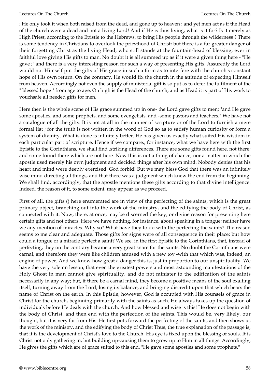; He only took it when both raised from the dead, and gone up to heaven : and yet men act as if the Head of the church were a dead and not a living Lord! And if He is thus living, what is it for? Is it merely as High Priest, according to the Epistle to the Hebrews, to bring His people through the wilderness ? There is some tendency in Christians to overlook the priesthood of Christ; but there is a far greater danger of their forgetting Christ as the living Head, who still stands at the fountain-head of blessing, ever in faithful love giving His gifts to man. No doubt it is all summed up as if it were a given thing here - "He gave ;" and there is a very interesting reason for such a way of presenting His gifts. Assuredly the Lord would not Himself put the gifts of His grace in such a form as to interfere with the church's constant hope of His own return. On the contrary, He would fix the church in the attitude of expecting Himself from heaven. Accordingly not even the supply of ministerial gift is so put as to defer the fulfilment of the " blessed hope " from age to age. On high is the Head of the church, and as Head it is part of His work to vouchsafe all needed gifts for men.

Here then is the whole scene of His grace summed up in one- the Lord gave gifts to men; "and He gave some apostles, and some prophets, and some evengelists, and -some pastors and teachers." We have not a catalogue of all the gifts. It is not at all in the manner of scripture or of the Lord to furnish a mere formal list ; for the truth is not written in the word of God so as to satisfy human curiosity or form a system of divinity. What is done is infinitely better. He has given us exactly what suited His wisdom in each particular part of scripture. Hence if we compare., for instance, what we have here with the first Epistle to the Corinthians, we shall find .striking differences. There are some gifts found here, not there; and some found there which are not here. Now this is not a thing of chance, nor a matter in which the apostle used merely his own judgment and decided things after his own mind. Nobody denies that his heart and mind were deeply exercised. God forbid! But we may bless God that there was an infinitely wise mind directing all things, and that there was a judgment which knew the end from the beginning. We shall find, accordingly, that the apostle mentions these gifts according to that divine intelligence. Indeed, the reason of it, to some extent, may appear as we proceed.

First of all, the gifts () here enumerated are in view of the perfecting of the saints, which is the great primary object, branching out into the work of the ministry, and the edifying the body of Christ, as connected with it. Now, there, at once, may be discerned the key, or divine reason for presenting here certain gifts and not others. Here we have nothing, for instance, about speaking in a tongue; neither have we any mention of miracles. Why so? What have they to do with the perfecting the saints? The reason seems to me clear and adequate. Those gifts for signs were of all consequence in their place; but how could a tongue or a miracle perfect a saint? We see, in the first Epistle to the Corinthians, that, instead of perfecting, they on the contrary became a very great snare for the saints. No doubt the Corinthians were carnal, and therefore they were like children amused with a new toy -with that which was, indeed, an engine of power. And we know how great a danger this is, just in proportion to our unspirituality. We have the very solemn lesson, that even the greatest powers and most astounding manifestations of the Holy Ghost in man cannot give spirituality, and do not minister to the edification of the saints necessarily in any way; but, if there be a carnal mind, they become a positive means of the soul exalting itself, turning away from the Lord, losing its balance, and bringing discredit upon that which bears the name of Christ on the earth. In this Epistle, however, God is occupied with His counsels of grace in Christ for the church, beginning primarily with the saints as such. He always takes up the question of individuals before He deals with the church. And how blessed and wise is this! He does not begin with the body of Christ, and then end with the perfection of the saints. This would be, very likely, our thought, but it is very far from His. He first puts forward the perfecting of the saints, and then shows us the work of the ministry, and the edifying the body of Christ Thus, the true explanation of the passage is, that it is the development of Christ's love to the Church. His eye is fixed upon the blessing of souls. It is Christ not only gathering in, but building up-causing them to grow up to Him in all things. Accordingly, He gives the gifts which are of grace suited to this end. "He gave some apostles and some prophets."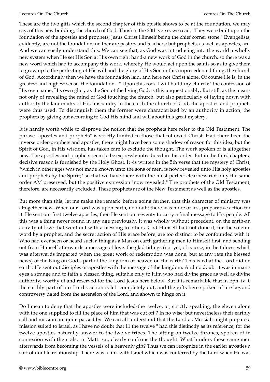These are the two gifts which the second chapter of this epistle shows to be at the foundation, we may say, of this new building, the church of God. Thus) in the 20th verse, we read, "They were built upon the foundation of the apostles and prophets, Jesus Christ Himself being the chief corner stone." Evangelists, evidently, are not the foundation; neither are pastors and teachers; but prophets, as well as apostles, are. And we can easily understand this. We can see that, as God was introducing into the world a wholly new system when He set His Son at His own right hand-a new work of God in the church, so there was a new word which had to accompany this work, whereby He would act upon the saints so as to give them to grow up to the perfecting of His will and the glory of His Son in this unprecedented thing, the church of God. Accordingly then we have the foundation laid, and here not Christ alone. Of course He is, in the greatest and highest sense, the foundation - " Upon this rock I will build my church:" the confession of His own name, His own glory as the Son of the living God, is this unquestionably. But still. as the means not only of revealing the mind of God touching the church, but also particularly of laying down with authority the landmarks of His husbandry in the earth-the church of God, the apostles and prophets were thus used. To distinguish them the former were characterized by an authority in action, the prophets by giving out according to God His mind and will about this great mystery.

It is hardly worth while to disprove the notion that the prophets here refer to the Old Testament. The phrase "apostles and prophets" is strictly limited to those that followed Christ. Had there been the inverse order-prophets and apostles, there might have been some shadow of reason for this idea; but the Spirit of God, in His wisdom, has taken care to exclude the thought. The work spoken of is altogether new. The apostles and prophets seem to be expressly introduced in this order. But in the third chapter a decisive reason is furnished by the Holy Ghost. It -is written in the 5th verse that the mystery of Christ, "which in other ages was not made known unto the sons of men, is now revealed unto His holy apostles and prophets by the Spirit;" so that we have there with the most perfect clearness riot only the same order AM preserved, but the positive expression "now revealed." The prophets of the Old Testament, therefore, are necessarily excluded. These prophets are of the New Testament as well as the apostles.

But more than this, let me make the remark 'before going farther, that this character of ministry was altogether new. When our Lord was upon earth, no doubt there was more or less preparative action for it. He sent out first twelve apostles; then He sent out seventy to carry a final message to His people. All this was a thing never found in any age previously. It was wholly without precedent. on the earth-an activity of love that went out with a blessing to others. God Himself had not done it; for the solemn word by a prophet, and the secret action of His grace before, are too distinct to be confounded with it. Who had ever seen or heard such a thing as a Man on earth gathering men to Himself first, and sending out from Himself afterwards a message of love. the glad tidings (not yet, of course, in the fulness which was afterwards imparted when the great work of redemption was done, but at any rate the blessed news) of the King on God's part of the kingdom of heaven on the earth? This is what the Lord did on earth : He sent out disciples or apostles with the message of the kingdom. And no doubt it was in man's eyes a strange and to faith a blessed thing, suitable only to Him who had divine grace as well as divine authority, worthy of and reserved for the Lord Jesus here below. But it is remarkable that in Eph. iv. 0 the earthly part of our Lord's action is left completely out, and the gifts here spoken of are beyond controversy dated from the ascension of the Lord, and shown to hinge on it.

Do I mean to deny that the apostles were included-the twelve, or, strictly speaking, the eleven along with the one supplied to fill the place of him that was cut off ? In no wise; but nevertheless their earthly call and mission are quite passed by. We can all understand that the Lord as Messiah might prepare a mission suited to Israel, as I have no doubt that 11 the twelve " had this distinctly as its reference; for the twelve apostles naturally answer to the twelve tribes. The sitting on twelve thrones, spoken of in connexion with them also in Matt. xx., clearly confirms the thought. What hinders these same men afterwards from becoming the vessels of a heavenly gift? Thus we can recognize in the earlier apostles a sort of double relationship. There was a link with Israel which was conferred by the Lord when He was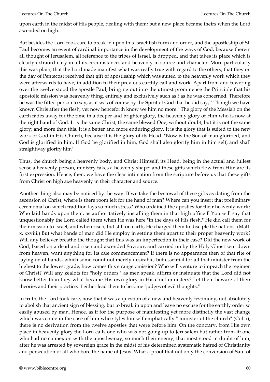upon earth in the midst of His people, dealing with them; but a new place became theirs when the Lord ascended on high.

But besides the Lord took care to break in upon this Israelitish form and order, and the apostleship of St. Paul becomes an event of cardinal importance in the development of the ways of God, because therein all thought of Jerusalem, all reference to the tribes of Israel, is dropped, and that takes its place which is clearly extraordinary in all its circumstances and heavenly in source and character. More particularly this was plain, that the Lord made manifest what was really true with regard to the others, that they on the day of Pentecost received that gift of apostleship which was suited to the heavenly work which they were afterwards to have, in addition to their previous earthly call and work. Apart from and towering over the twelve stood the apostle Paul, bringing out into the utmost prominence the Principle that his apostolic mission was heavenly thing, entirely and exclusively such as f as he was concerned, Therefore he was the fitted person to say, as it was of course by the Spirit of God that he did say, " Though we have known Chris after the flesh, yet now henceforth know we him no more." The glory of the Messiah on the earth fades away for the time in a deeper and brighter glory, the heavenly glory of Him who is now at the right hand of God. It is the same Christ, the same blessed One, without doubt, but it is not the same glory; and more than this, it is a better and more enduring glory. It is the glory that is suited to the new work of God in His Church, because it is the glory of its Head. "Now is the Son of man glorified, and God is glorified in him. If God be glorified in him, God shall also glorify him in him self, and shall straightway glorify him"

Thus, the church being a heavenly body, and Christ Himself, its Head, being in the actual and fullest sense a heavenly person, ministry takes a heavenly shape: and these gifts which flow from Him are its first expression. Hence, then, we have the clear intimation from the scripture before us that these gifts from Christ on high axe heavenly in their character and source.

Another thing also may be noticed by the way. If we take the bestowal of these gifts as dating from the ascension of Christ, where is there room left for the hand of man? Where can you insert that preliminary ceremonial on which tradition lays so much stress? Who ordained the apostles for their heavenly work? Who laid hands upon them, as authoritatively installing them in that high office F You will say that unquestionably the Lord called them when He was here "in the days of His flesh." He did call them for their mission to Israel; and when risen, but still on earth, He charged them to disciple the nations. (Matt. x. xxviii.) But what hands of man did He employ in setting them apart to their proper heavenly work? Will any believer breathe the thought that this was an imperfection in their case? Did the new work of God, based on a dead and risen and ascended Saviour, and carried on by the Holy Ghost sent down from heaven, want anything for its due commencement? If there is no appearance then of that rite of laying on of hands, which some count not merely desirable, but essential for all that minister from the highest to the lowest grade, how comes this strange omission? Who will venture to impeach the regimen of Christ? Will any zealots for "holy orders," as men speak, affirm or insinuate that the Lord did not know better than they what became His own glory in His chief ministers? Let them beware of their theories and their practice, if either lead them to become "judges of evil thoughts."

In truth, the Lord took care, now that it was a question of a new and heavenly testimony, not absolutely to abolish that ancient sign of blessing, but to break in upon and leave no excuse for the earthly order so easily abused by man. Hence, as if for the purpose of manifesting yet more distinctly the vast change which was come in the case of him who styles himself emphatically " minister of the church" (Col. i), there is no derivation from the twelve apostles that were before him. On the contrary, from His own place in heavenly glory the Lord calls one who was not going up to Jerusalem but rather from it; one who had no connexion with the apostles-nay, so much their enemy, that most stood in doubt of him, after he was arrested by sovereign grace in the midst of his determined systematic hatred of Christianity and persecution of all who bore the name of Jesus. What a proof that not only the conversion of Saul of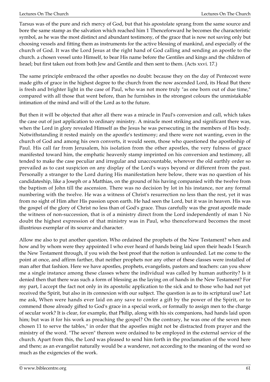Tarsus was of the pure and rich mercy of God, but that his apostolate sprang from the same source and bore the same stamp as the salvation which reached him 1 Thenceforward he becomes the characteristic symbol, as he was the most distinct and abundant testimony, of the grace that is now not saving only but choosing vessels and fitting them as instruments for the active blessing of mankind, and especially of the church of God. It was the Lord Jesus at the right hand of God calling and sending an apostle to the church. a chosen vessel unto Himself, to bear His name before the Gentiles and kings and the children of Israel; but first taken out from both Jew and Gentile and then sent to them. (Acts xxvi. 17.)

The same principle embraced the other apostles no doubt: because they on the day of Pentecost were made gifts of grace in the highest degree to the church from the now ascended Lord, its Head But there is fresh and brighter light in the case of Paul, who was not more truly "as one born out of due time," compared with all those that went before, than he furnishes in the strongest colours the unmistakable intimation of the mind and will of the Lord as to the future.

But then it will be objected that after all there was a miracle in Paul's conversion and call, which takes the case out of just application to ordinary ministry. A miracle most striking and significant there was, when the Lord in glory revealed Himself as the Jesus he was persecuting in the members of His body. Notwithstanding it rested mainly on the apostle's testimony; and there were not wanting, even in the church of God and among his own converts, it would seem, those who questioned the apostleship of Paul. His call far from Jerusalem, his isolation from the other apostles, the very fulness of grace manifested toward him, the emphatic heavenly stamp imprinted on his conversion and testimony, all tended to make the case peculiar and irregular and unaccountable, wherever the old earthly order so prevailed as to cast suspicion on any display of the Lord's ways beyond or different from the past. Personally a stranger to the Lord during His manifestation here below, there was no question of his candidateship, like a Joseph or a Matthias, on the ground of his having companied with the twelve from the baptism of John till the ascension. There was no decision by lot in his instance, nor any formal numbering with the twelve. He was a witness of Christ's resurrection no less than the rest, yet it was from no sight of Him after His passion upon earth. He had seen the Lord, but it was in heaven. His was the gospel of the glory of Christ no less than of God's grace. Thus carefully was the great apostle made the witness of non-succession, that is of a ministry direct from the Lord independently of man 1 No doubt the highest expression of that ministry was in Paul, who thenceforward becomes the most illustrious exemplar of its source and character.

Allow me also to put another question. Who ordained the prophets of the New Testament? when and how and by whom were they appointed I who ever heard of hands being laid upon their heads I Search the New Testament through, if you wish the best proof that the notion is unfounded. Let me come to the point at once, and affirm farther, that neither prophets nor any other of these classes were installed of man after that fashion. Here we have apostles, prophets, evangelists, pastors and teachers: can you show me a single instance among these classes where the individual was called by human authority? Is it denied then that there was such a form of blessing as the laying on of hands in the New Testament? For my part, I accept the fact not only in its apostolic application to the sick and to those who had not yet received the Spirit, but also in its connexion with our subject. The question is as to its scriptural use? Let me ask, When were hands ever laid on any save to confer a gift by the power of the Spirit, or to commend those already gifted to God's grace in a special work, or formally to assign men to the charge of secular work? It is clear, for example, that Philip, along with his six companions, had hands laid upon him; but was it for his work as preaching the gospel? On the contrary, he was one of the seven men chosen 11 to serve the tables," in order that the apostles might not be distracted from prayer and the ministry of the word. "The seven" thereon were ordained to be employed in the external service of the church. Apart from this, the Lord was pleased to send him forth in the proclamation of the word here and there; as an evangelist naturally would be a wanderer, not according to the meaning of the word so much as the exigencies of the work.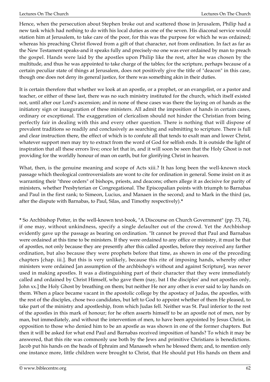Hence, when the persecution about Stephen broke out and scattered those in Jerusalem, Philip had a new task which had nothing to do with his local duties as one of the seven. His diaconal service would station him at Jerusalem, to take care of the poor, for this was the purpose for which he was ordained; whereas his preaching Christ flowed from a gift of that character, not from ordination. In fact as far as the New Testament speaks-and it speaks fully and precisely-no one was ever ordained by man to preach the gospel. Hands were laid by the apostles upon Philip like the rest, after he was chosen by the multitude, and thus he was appointed to take charge of the tables; for the scripture, perhaps because of a certain peculiar state of things at Jerusalem, does not positively give the title of "deacon" in this case, though one does not deny its general justice, for there was something akin in their duties.

It is certain therefore that whether we look at an apostle, or a prophet, or an evangelist, or a pastor and teacher, or either of these last, there was no such ministry instituted for the church, which itself existed not, until after our Lord's ascension; and in none of these cases was there the laying on of hands as the initiatory sign or inauguration of these ministers. All admit the imposition of hands in certain cases, ordinary or exceptional. The exaggeration of clericalism should not hinder the Christian from being perfectly fair in dealing with this and every other question. There is nothing that will dispose of prevalent traditions so readily and conclusively as searching and submitting to scripture. There is full and clear instruction there, the effect of which is to confute all that tends to exalt man and lower Christ, whatever support men may try to extract from the word of God for selfish ends. It is outside the light of inspiration that all these errors live; once let that in, and it will soon be seen that the Holy Ghost is not providing for the worldly honour of man on earth, but for glorifying Christ in heaven.

What, then, is the genuine meaning and scope of Acts xiii.? It has long been the well-known stock passage which theological controversialists are wont to cite for ordination in general. Some insist on it as warranting their "three orders" of bishops, priests, and deacons; others allege it as decisive for parity of ministers, whether Presbyterian or Congregational. The Episcopalian points with triumph to Barnabas and Paul in the first rank; to Simeon, Lucius, and Manaen in the second; and to Mark in the third (as, after the dispute with Barnabas, to Paul, Silas, and Timothy respectively).**\***

**\*** So Archbishop Potter, in the well-known text-book, "A Discourse on Church Government" (pp. 73, 74), if one may, without unkindness, specify a single defaulter out of the crowd. Yet the Archbishop evidently gave up the passage as bearing on ordination. "It cannot be proved that Paul and Barnabas were ordained at this time to be ministers. If they were ordained to any office or ministry, it must be that of apostles, not only because they are presently after this called apostles, before they received any farther ordination, but also because they were prophets before that time, as shown in one of the preceding chapters [chap. iii.]. But this is very unlikely, because this rite of imposing hands, whereby other ministers were ordained [an assumption of the archbishop's without and against Scripture], was never used in making apostles. It was a distinguishing part of their character that they were immediately called and ordained by Christ Himself, who gave them (nay, bat I the disciples' and not apostles only, John xx.] the Holy Ghost by breathing on them; but neither He nor any other is ever said to lay hands on them. When a place became vacant in the apostolic college by the apostacy of Judas, the apostles, with the rest of the disciples, chose two candidates, but left to God to appoint whether of them He pleased, to take part of the ministry and apostleship, from which Judas fell. Neither was St. Paul inferior to the rest of the apostles in this mark of honour; for he often asserts himself to be an apostle not of men, nor by man, but immediately, and without the intervention of men, to have been appointed by Jesus Christ, in opposition to those who denied him to be an apostle as was shown in one of the former chapters. But then it will be asked for what end Paul and Barnabas received imposition of hands? To which it may be answered, that this rite was commonly use both by the Jews and primitive Christians is benedictions. Jacob put his hands on the heads of Ephraim and Manasseh when he blessed them; and, to mention only one instance more, little children were brought to Christ, that He should put His hands on them and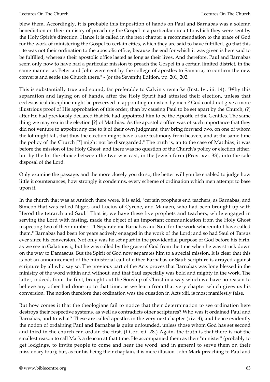blew them. Accordingly, it is probable this imposition of hands on Paul and Barnabas was a solemn benediction on their ministry of preaching the Gospel in a particular circuit to which they were sent by the Holy Spirit's direction. Hance it is called in the next chapter a recommendation to the grace of God for the work of ministering the Gospel to certain cities, which they are said to have fulfilled. go that this rite was not their ordination to the apostolic office, because the end for which it was given is here said to be fulfilled, wherea's their apostolic office lasted as long as their lives. And therefore, Paul and Barnabas seem only now to have had a particular mission to preach the Gospel in a certain limited district, in the same manner as Peter and John were sent by the college of apostles to Samaria, to confirm the new converts and settle the Church there." - (or the Seventh) Edition, pp. 201, 202.

This is substantially true and sound, far preferable to Calvin's remarks (Inst. Iv., iii. 14): "Why this separation and laying on of hands, after the Holy Spirit had attested their election, unless that ecclesiastical discipline might be preserved in appointing ministers by men ? God could not give a more illustrious proof of His approbation of this order, than by causing Paul to be set apart by the Church, (?] after He had previously declared that He had appointed him to be the Apostle of the Gentiles. The same thing we may sea in the election [?] of Matthias. As the apostolic office was of such importance that they did not venture to appoint any one to it of their own judgment, they bring forward two, on one of whom the lot might fall, that thus the election might have a sure testimony from heaven, and at the same time the policy of the Church [?] might not be disregarded." The truth is, an to the case of Matthias, it was before the mission of the Holy Ghost, and there was no question of the Church's policy or election either; but by the lot the choice between the two was cast, in the Jewish form (Prov. xvi. 33), into the sole disposal of the Lord.

Only examine the passage, and the more closely you do so, the better will you be enabled to judge how little it countenances, how strongly it condemns, every scheme of ordination which men attempt to base upon it.

In the church that was at Antioch there were, it is said, "certain prophets end teachers, as Barnabas, and Simeon that was called Niger, and Lucius of Cyrene, and Manaen, who had been brought up with Herod the tetrarch and Saul." That is, we have these five prophets and teachers, while engaged in serving the Lord with fasting, made the object of an important communication from the Holy Ghost inspecting two of their number. 11 Separate me Barnabas and Saul for the work whereunto I have called them." Barnabas had been for years actively engaged in the work of the Lord; and so had Saul of Tarsus ever since his conversion. Not only was he set apart in the providential purpose of God before his birth, as we see in Galatians i,, but he was called by the grace of God from the time when he was struck down on the way to Damascus. But the Spirit of God now separates him to a special mission. It is clear that this is not an announcement of the ministerial call of either Barnabas or Saul: scripture is arrayed against scripture by all who say so. The previous part of the Acts proves that Barnabas was long blessed in the ministry of the word within and without, and that Saul especially was bold and mighty in the work. The latter, indeed, from the first, brought out the Sonship of Christ in a way which we have no reason to believe any other had done up to that time, as we learn from that very chapter which gives us his conversion. The notion therefore that ordination was the question in Acts xiii. is most manifestly false.

But how comes it that the theologians fail to notice that their determination to see ordination here destroys their respective systems, as well as contradicts other scriptures? Who was it ordained Paul and Barnabas, and to what? These are called apostles in the very next chapter (xiv. 4); and hence evidently the notion of ordaining Paul and Barnabas is quite unfounded, unless those whom God has set second and third in the church can ordain the first. (I Cor. xii. 28.) Again, the truth is that there is not the smallest reason to call Mark a deacon at that time. He accompanied them as their "minister" (probably to get lodgings, to invite people to come and hear the word, and in general to serve them on their missionary tour); but, as for his being their chaplain, it is mere illusion. John Mark preaching to Paul and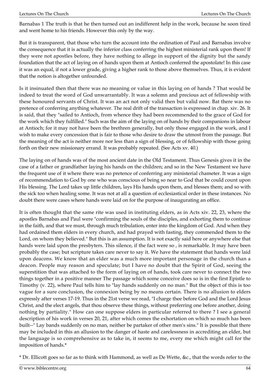Barnabas 1 The truth is that he then turned out an indifferent help in the work, because he soon tired and went home to his friends. However this only by the way.

But it is transparent, that those who turn the account into the ordination of Paul and Barnabas involve the consequence that it is actually the inferior class conferring the highest ministerial rank upon them! If they were not apostles before, they have nothing to allege in support of the dignity but the sandy foundation that the act of laying on of hands upon them at Antioch conferred the apostolate! In this case it was an equal, if not a lower grade, giving a higher rank to those above themselves. Thus, it is evident that the notion is altogether unfounded.

Is it insinuated then that there was no meaning or value in this laying on of hands ? That would be indeed to treat the word of God unwarrantably. It was a solemn and precious act of fellowship with these honoured servants of Christ. It was an act not only valid then but valid now. Bat there was no pretence of conferring anything whatever. The real drift of the transaction is expressed in chap. xiv. 26. It is said, that they "sailed to Antioch, from whence they had been recommended to the grace of God for the work which they fulfilled." Such was the aim of the laying on of hands by their companions in labour at Antioch; for it may not have been the brethren generally, but only those engaged in the work, and I wish to make every concession that is fair to those who desire to draw the utmost from the passage. But the meaning of the act is neither more nor less than a sign of blessing, or of fellowship with those going forth on their new missionary errand. It was probably repeated. (See Acts xv. 40.)

The laying on of hands was of the most ancient date in the Old Testament. Thus Genesis gives it in the case of a father or grandfather laying his hands on the children; and so in the New Testament we have the frequent use of it where there was no pretence of conferring any ministerial chameter. It was a sign of recommendation to God by one who was conscious of being so near to God that be could count upon His blessing. The Lord takes up little children, lays His hands upon them, and blesses them; and so with the sick too when healing some. It was not at all a question of ecclesiastical order in these instances. No doubt there were cases where hands were laid on for the purpose of inaugurating an office.

It is often thought that the same rite was used in instituting elders, as in Acts xiv. 22, 23, where the apostles Barnabas and Paul were "confirming the souls of the disciples, and exhorting them to continue in the faith, and that we must, through much tribulation, enter into the kingdom of God. And when they had ordained them elders in every church, and had prayed with fasting, they commended them to the Lord, on whom they believed." But this is an assumption. It is not exactly said here or anywhere else that hands were laid upon the presbyters. This silence, if the fact were so , is remarkable. It may have been probably the case; but scripture takes care never to say it. We have the statement that hands were laid upon deacons. We know that an elder was a much more important personage in the church than a deacon. People may reason and speculate; but I have no doubt that the Spirit of God, seeing the superstition that was attached to the form of laying on of hands, took care never to connect the two things together in a positive manner The passage which some conceive does so is in the first Epistle to Timothy (v. 22), where Paul tells him to "lay hands suddenly on no man." But the object of this is too vague for a sure conclusion, the connexion being by no means certain. There is no allusion to elders expressly after verses 17-19. Thus in the 21st verse we read, "I charge thee before God and the Lord Jesus Christ, and the elect angels, that thou observe these things, without preferring one before another, doing nothing by partiality." How can one suppose elders in particular referred to there ? I see a general description of his work in verses 20, 21, after which comes the exhortation on which so much has been built--" Lay bands suddenly on no man, neither be partaker of other men's sins." It is possible that there may be included in this an allusion to the danger of haste and carelessness in accrediting an elder, but the language is so comprehensive as to take in, it seems to me, every me which might call for the imposition of hands.\*

\* Dr. Ellicott goes so far as to think with Hammond, as well as De Wette, &c., that the words refer to the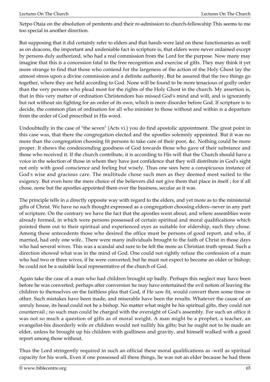Xetpo Otaia on the absolution of penitents and their re-admission to church-fellowahip This seems to me too special in another direction.

But supposing that it did certainly refer to elders and that hands were laid on these functionaries as well as on deacons, the important and undeniable fact in scripture is, that elders were never ordained except by persons duly authorized, who had a real commission from the Lord for the purpose. Now many may imagine that this is a concession fatal to the free recognition and exercise of gifts. They may think it yet more strange to find that those who contend for the largeness of the action of the Holy Ghost lay the utmost stress upon a divine commission and a definite authority. But be assured that the two things go together, where they are held according to God. None will be found to be more tenacious of godly order than the very persons who plead most for the rights of the Holy Ghost in the church. My assertion is, that in this very matter of ordination Christendom has missed God's mind and will, and is ignorantly but not without sin fighting for an order of its own, which is mere disorder before God. If scripture is to decide, the common plan of ordination for all who minister to those without and within is a departure from the order of God prescribed in His word.

Undoubtedly in the case of "the seven" (Acts vi.) you do find apostolic appointment. The great point in this case was, that there the congregation elected and the apostles solemnly appointed. But it was no more than the congregation choosing fit persons to take care of their poor, &c. Nothing could be more proper. It shows the condescending goodness of God towards those who gave of their substance and those who received it. If the church contribute, it is according to His will that the Church should have a voice in the selection of those in whom they have just confidence that they will distribute in God's sight not only with good conscience and feeling but wisely. Thus one sees here a conspicuous instance of God's wise and gracious care. The multitude chose such men as they deemed most suited to the exigency. But even here the mere choice of the believers did not give them that place in itself ; for if all chose, none but the apostles appointed them over the business, secular as it was.

The principle tells in a directly opposite way with regard to the elders, and yet more as to the ministerial gifts of Christ. We have no such thought expressed as a congregation choosing elders--never in any part of scripture. On the contrary we have the fact that the apostles went about; and where assemblies were already formed, in which were persons possessed of certain spiritual and moral qualifications which pointed them out to their spiritual and experienced eyes as suitable for eldership, such they chose. Among these antecedents those who desired the office must be persons of good report, and who, if married, had only one wife.. There were many individuals brought to the faith of Christ in those days who had several wives. This was a scandal and sure to be felt the more as Christian truth spread. Such a direction showed what was in the mind of God. One could not rightly refuse the confession of a man who had two or three wives, if he were converted; but he must not expect to become an older or bishop; be could not be a suitable local representative of the church of God.

Again take the case of a man who had children brought up badly. Perhaps this neglect may have been before he was converted; perhaps after conversion he may have entertained the evil notion of leaving the children to themselves on the faithless plea that God, if He saw fit, would convert them some time or other. Such mistakes have been made, and miserable have been the results. Whatever the cause of an unruly house, its head could not be a bishop. No matter what might be his spiritual gifts, they could not countervail ; no such man could be charged with the oversight of God's assembly. For such an office it was not so much a question of gifts as of moral weight. A man might be a prophet, a teacher, an evangelist-his disorderly wife or children would not nullify his gifts; but he ought not to be made an elder, unless he brought up his children with godliness and gravity, and himself walked with a good report among those without.

Thus the Lord stringently required in such an official these moral qualifications as -well as spiritual capacity for his work. Even if one possessed all these things, lie was not an elder because he had them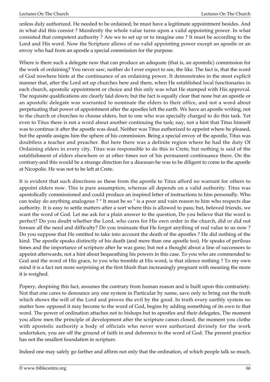unless duly authorized. He needed to be ordained; be must have a legitimate appointment besides. And in what did this consist ? Manifestly the whole value turns upon a valid appointing power. In what consisted that competent authority ? Are we to set up or to imagine one ? It must be according to the Lord and His word. Now the Scripture allows of no valid appointing power except an apostle or an envoy who had from an apostle a special commission for the purpose.

Where is there such a delegate now that can produce an adequate (that is, an apostolic) commission for the work of ordaining? You never saw, neither do I ever expect to see, the like. The fact is, that the word of God nowhere hints at the continuance of an ordaining power. It demonstrates in the most explicit manner that, after the Lord set up churches here and there, when He established local functionaries in each church, apostolic appointment or choice and this only was what He stamped with His approval. The requisite qualifications are clearly laid down; but the fact is equally clear that none but an apostle or an apostolic delegate was warranted to nominate the elders to their office, and not a word about perpetuating that power of appointment after the apostles left the earth. We have an apostle writing, not to the church or churches to choose elders, but to one who was specially charged to do this task. Yet even to Titus there is not a word about another continuing the task; nay, not a hint that Titus himself was to continue it after the apostle was dead. Neither was Titus authorized to appoint where he pleased, but the apostle assigns him the sphere of his commission. Being a special envoy of the apostle, Titus was doubtless a teacher and preacher. But here there was a definite region where he had the duty Of Ordaining elders in every city. Titus was responsible to do this in Crete; but nothing is said of the establishment of elders elsewhere or at other times nor of his permanent continuance there. On the contrary-and this would be a strange direction for a diocesan-he was to be diligent to come to the apostle at Nicopolis. He was not to be left at Crete.

It is evident that such directions as these from the apostle to Titus afford no warrant for others to appoint elders now. This is pure assumption, whereas all depends on a valid authority. Titus was apostolically commissioned and could produce an inspired letter of instructions to him personally. Who can today do anything analogous ? " It must be so " is a poor and vain reason to him who respects due authority. It is easy to settle matters after a sort where this is allowed to pass; but, beloved friends, we want the word of God. Let me ask for a plain answer to the question, Do you believe that the word is perfect? Do you doubt whether the Lord, who cares for His own order in the church, did or did not foresee all the need and difficulty? Do you insinuate that He forgot anything of real value to us now ? Do you suppose that He omitted to take into account the death of the apostles ? He did nothing of the kind. The apostle speaks distinctly of his death (and more than one apostle too). He speaks of perilous times and the importance of scripture after he was gone; but not a thought about a line of successors to appoint afterwards, not a hint about bequeathing his powers in this case. To you who are commended to God and the word of His grace, to you who tremble at His word, is that silence nothing ? To my own mind it is a fact not more surprising at the first blush than increasingly pregnant with meaning the more it is weighed.

Popery, despising this fact, assumes the contrary from human reason and is built upon this contrariety. Not that one cares to denounce any one system in Particular by name, save only to bring out the truth which shows the will of the Lord and proves the evil by the good. In truth every earthly system no matter how opposed it may become to the word of God, begins by adding something of its own to that word. The power of ordination attaches not to bishops but to apostles and their delegates, The moment you allow men the principle of development after the scripture canon closed, the moment you clothe with apostolic authority a body of officials who never were authorized divinely for the work undertaken, you are off the ground of faith in and deference to the word of God. The present practice has not the smallest foundation in scripture.

Indeed one may safely go farther and affirm not only that the ordination, of which people talk so much,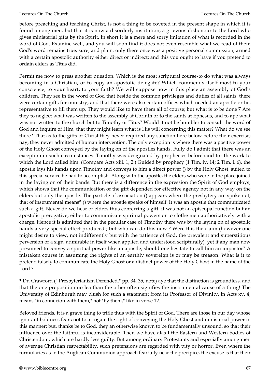before preaching and teaching Christ, is not a thing to be coveted in the present shape in which it is found among men, but that it is now a disorderly institution, a grievous dishonour to the Lord who gives ministerial gifts by the Spirit. In short it is a mere and sorry imitation of what is recorded in the word of God. Examine well, and you will soon find it does not even resemble what we read of them God's word remains true, sure, and plain: only there once was a positive personal commission, armed with a certain apostolic authority either direct or indirect; and this you ought to have if you pretend to ordain elders as Titus did.

Permit me now to press another question. Which is the most scriptural course-to do what was always becoming in a Christian, or to copy an apostolic delegate? Which commends itself most to your conscience, to your heart, to your faith? We will suppose now in this place an assembly of God's children. They see in the word of God that beside the common privileges and duties of all saints, there were certain gifts for ministry, and that there were also certain offices which needed an apostle or his representative to fill them up. They would like to have them all of course; but what is to be done 7 Are they to neglect what was written to the assembly at Corinth or to the saints at Ephesus, and to ape what was not written to the church but to Timothy or Titus? Would it not be humbler to consult the word of God and inquire of Him, that they might learn what is His will concerning this matter? What do we see there? That as to the gifts of Christ they never required any sanction here below before their exercise; nay, they never admitted of human intervention. The only exception is where there was a positive power of the Holy Ghost conveyed by the laying on of the apostles hands. Fully do I admit that there was an exception in such circumstances. Timothy was designated by prophecies beforehand for the work to which the Lord called him. (Compare Acts xiii. 1, 2.) Guided by prophecy (1 Tim. iv. 14; 2 Tim. i. 6), the apostle lays his hands upon Timothy and conveys to him a direct power () by the Holy Ghost, suited to this special service he had to accomplish. Along with the apostle, the elders who were in the place joined in the laying on of their bands. But there is a difference in the expression the Spirit of God employs, which shows that the communication of the gift depended for effective agency not in any way on the elders but only the apostle. The particle of association () appears where the presbytery are spoken of, that of instrumental means**\*** () where the apostle speaks of himself. It was an apostle that communicated such a gift. Never do we hear of elders thus conferring a gift: it was not an episcopal function but an apostolic prerogative, either to communicate spiritual powers or to clothe men authoritatively with a charge. Hence it is admitted that in the peculiar case of Timothy there was by the laying on of apostolic hands a very special effect produced ; but who can do this now ? Were this the claim (however one might desire to view, not indifferently but with the patience of God, the prevalent and superstitious perversion of a sign, admirable in itself when applied and understood scripturally), yet if any man now presumed to convey a spiritual power like an apostle, should one hesitate to call him an impostor? A mistaken course in assuming the rights of an earthly sovereign is or may be treason. What is it to pretend falsely to communicate the Holy Ghost or a distinct power of the Holy Ghost in the name of the Lord ?

**\*** Dr. Crawford (" Presbyterianism Defended," pp. 34, 35, note) aye that the distinction is groundless, and that the one preposition no lea than the other often signifies the instrumental cause of a thing! The University of Edinburgh may blush for such a statement from its Professor of Divinity. in Acts xv. 4, means "in connexion with them," not "by them," like in verse 12.

Beloved friends, it is a grave thing to trifle thus with the Spirit of God. There are those in our day whose ignorant boldness fears not to arrogate the right of conveying the Holy Ghost and ministerial power in this manner; but, thanks be to God, they an otherwise known to be fundamentally unsound, so that their influence over the faithful is inconsiderable. Then we have alas I the Eastern and Western bodies of Christendom, which are hardly less guilty. But among ordinary Protestants and especially among men of average Christian respectability, such pretensions are regarded with pity or horror. Even where the formularies as in the Anglican Communion approach fearfully near the precipice, the excuse is that their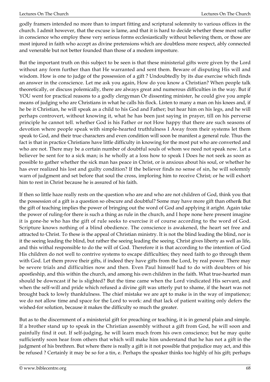godly framers intended no more than to impart fitting and scriptural solemnity to various offices in the church. I admit however, that the excuse is lame, and that it is hard to decide whether these most suffer in conscience who employ these very serious forms ecclesiastically without believing them, or those are most injured in faith who accept as divine pretensions which are doubtless more respect, ably connected and venerable but not better founded than those of a modem imposture.

But the important truth on this subject to be seen is that these ministerial gifts were given by the Lord without any form further than that He warranted and sent them. Beware of disputing His will and wisdom. How is one to judge of the possession of a gift ? Undoubtedly by its due exercise which finds an answer in the conscience. Let me ask you again, How do you know a Christian? When people talk theoretically, or discuss polemically, there are always great and numerous difficulties in the way. But if YOU went for practical reasons to a godly clergyman Or dissenting minister, he could give you ample means of judging who are Christians in what he calls his flock. Listen to many a man on his knees and, if he be it Christian, he will speak as a child to his God and Father; but hear him on his legs, and he will perhaps controvert, without knowing it, what he has been just saying in prayer, till on his perverse principle he cannot tell. whether God is his Father or not How happy that there are such seasons of devotion where people speak with simple-hearted truthfulness I Away from their systems let them speak to God, and their true characters and even condition will soon be manifest a general rule. Thus the fact is that in practice Christians have little difficulty in knowing for the most put who are converted and who are not. There may be a certain number of doubtful souls of whom we need not speak now. Let a believer be sent for to a sick man; is he wholly at a loss how to speak I Does he not seek as soon as possible to gather whether the sick man has peace in Christ, or is anxious about his soul, or whether he has ever realized his lost and guilty condition? If the believer finds no sense of sin, he will solemnly warn of judgment and set before that soul the cross, imploring him to receive Christ; or he will exhort him to rest in Christ because he is assured of his faith.

If then so little haze really rests on the question who are and who are not children of God, think you that the possession of a gift is a question so obscure and doubtful? Some may have more gift than other& But the gift of teaching implies the power of bringing out the word of God and applying it aright. Again take the power of ruling-for there is such a thing as rule in the church, and I hope none here present imagine it is gone-he who has the gift of rule seeks to exercise it of course according to the word of God. Scripture knows nothing of a blind obedience. The conscience is awakened, the heart set free and attracted to Christ. To these is the appeal of Christian ministry. It is not the blind leading the blind, nor is it the seeing leading the blind, but rather the seeing leading the seeing. Christ gives liberty as well as life, and this withal responsible to do the will of God. Therefore it is that according to the intention of God His children do not well to contrive systems to escape difficulties; they need faith to go through them with God. Let them prove their gifts, if indeed they have gifts from the Lord, by real power. There may be severe trials and difficulties now and then. Even Paul himself had to do with doubters of his apostleship, and this within the church, and among his own children in the faith. What true-hearted man should be downcast if he is slighted? But the time came when the Lord vindicated His servant, and when the self-will and pride which refused a divine gift was utterly put to shame, if the heart was not brought back to lowly thankfulness. The chief mistake we are apt to make is in the way of impatience; we do not allow time and space for the Lord to work: and that lack of patient waiting only defers the wished-for solution, because it makes the difficulty so much the greater.

But as to the discernment of a ministerial gift for preaching or teaching, it is in general plain and simple. If a brother stand up to speak in the Christian assembly without a gift from God, he will soon and painfully find it out. If self-judging, he will learn much from his own conscience; but he may quite sufficiently soon hear from others that which will make him understand that he has not a gift in the judgment of his brethren. But where there is really a gift is it not possible that prejudice may act, and this be refused ? Certainly it may be so for a tin, e. Perhaps the speaker thinks too highly of his gift; perhaps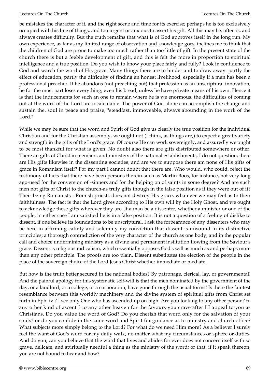be mistakes the character of it, and the right scene and time for its exercise; perhaps he is too exclusively occupied with his line of things, and too urgent or anxious to assert his gift. All this may be, often is, and always creates difficulty. But the truth remains that what is of God approves itself in the long run. My own experience, as far as my limited range of observation and knowledge goes, inclines me to think that the children of God are prone to make too much rather than too little of gift. In the present state of the church there is but a feeble development of gift, and this is felt the more in proportion to spiritual intelligence and a true position. Do you wish to know your place fairly and fully? Look in confidence to God and search the word of His grace. Many things there are to hinder and to draw away: partly the effect of education, partly the difficulty of finding an honest livelihood, especially if a man has been a professional preacher. If he abandons (not preaching but) that profession as an unscriptural innovation, he for the most part loses everything, even his bread, unless he have private means of his own. Hence it is that the inducements for such an one to remain where he is we enormous; the difficulties of coming out at the word of the Lord are incalculable. The power of God alone can accomplish the change and sustain the. soul in peace and praise, "steadfast, immoveable, always abounding in the work of the Lord."

While we may be sure that the word and Spirit of God give us clearly the true position for the individual Christian and for the Christian assembly, we ought not (I think, as things are,) to expect a great variety and strength in the gifts of the Lord's grace. Of course He can work sovereignly, and assuredly we ought to be most thankful for what is given. No doubt also there are gifts distributed somewhere or other. There an gifts of Christ in members and ministers of the national establishments, I do not question; there are His gifts likewise in the dissenting societies; and are we to suppose there am none of His gifts of grace in Romanism itself? For my part I cannot doubt that there are. Who would, who could, reject the testimony of facts that there have been persons therein-such as Martin Boos, for instance, not very long ago-used for the conversion of -sinners and for the helping on of saints in some degree? And are such men not gifts of Christ to the church-as truly gifts though in the false position as if they were out of it? Their being Romanists - Romish priests-does not destroy His grace, whatever we may feel as to their faithfulness. The fact is that the Lord gives according to His own will by the Holy Ghost, and we ought to acknowledge these gifts wherever they are. If a man be a dissenter, whether a minister or one of the people, in either case I am satisfied he is in a false position. It is not a question of a feeling of dislike to dissent, if one believe its foundations to be unscriptural. I ask the forbearance of any dissenters who may be here in affirming calmly and solemnly my conviction that dissent is unsound in its distinctive principles; a thorough contradiction of the very character of the church as one body; and in the popular call and choice undermining ministry as a divine and permanent institution flowing from the Saviour's grace. Dissent is religious radicalism, which essentially opposes God's will as much as and perhaps more than any other principle. The proofs are too plain. Dissent substitutes the election of the people in the place of the sovereign choice of the Lord Jesus Christ whether immediate or mediate.

But how is the truth better secured in the national bodies? By patronage, clerical, lay, or governmental! And the painful apology for this systematic self-will is that the men nominated by the government of the day, or a landlord, or a college, or a corporation, have gone through the usual forms! Is there the faintest resemblance between this worldly machinery and the divine system of spiritual gifts from Christ set forth in Eph. iv.? I see only One who has ascended up on high. Are you looking to any other person? to any other kind of ascent ? to any other heaven for the favours you crave after I I appeal to you as Christians. Do you value the word of God? Do you cherish that word only for the salvation of your souls? or do you confide in the same word and Spirit for guidance as to ministry and church office? What subjects more simply belong to the Lord? For what do we need Him more? As a believer I surely feel the want of God's word for my daily walk, no matter what my circumstances or sphere or duties. And do you, can you believe that the word that lives and abides for ever does not concern itself with so grave, delicate, and spiritually needful a thing as the ministry of the word; or that, if it speak thereon, you are not bound to hear and bow?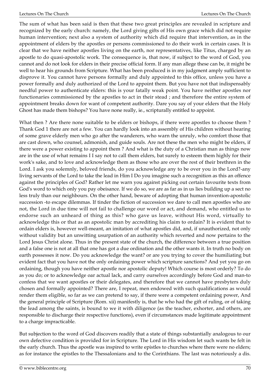The sum of what has been said is then that these two great principles are revealed in scripture and recognized by the early church: namely, the Lord giving gifts of His own grace which did not require human intervention; next also a system of authority which did require that intervention, as in the appointment of elders by the apostles or persons commissioned to do their work in certain cases. It is clear that we have neither apostles living on the earth, nor representatives, like Titus, charged by an apostle to do quasi-apostolic work. The consequence is, that now, if subject to the word of God, you cannot and do not look for elders in their precise official form. If any man allege these can be, it might be well to hear his grounds from Scripture. What has been produced is in my judgment amply sufficient to disprove it. You cannot have persons formally and duly appointed to this office, unless you have a power formally and duly authorized of the Lord to appoint them. But you have not that indispensably needful power to authenticate elders: this is your fatally weak point. You have neither apostles nor functionaries commissioned by the apostles to act in their stead ; and therefore the entire system of appointment breaks down for want of competent authority. Dare you say of your elders that the Holy Ghost has made them bishops? You have none really, ie., scripturally entitled to appoint.

What then ? Are there none suitable to be elders or bishops, if there were apostles to choose them ? Thank God 1 there are not a few. You can hardly look into an assembly of His children without hearing of some grave elderly men who go after the wanderers, who warn the unruly, who comfort those that are cast down, who counsel, admonish, and guide souls. Are not these the men who might be elders, if there were a power existing to appoint them ? And what is the duty of a Christian man as things now are in the use of what remains I I say not to call them elders, bat surely to esteem them highly for their work's sake, and to love and acknowledge them as those who are over the rest of their brethren in the Lord. I ask you solemnly, beloved friends, do you acknowledge any to be over you in the Lord?-any living servants of the Lord to take the lead in Him I Do you imagine such a recognition as this an offence against the principles of God? Rather let me warn you against picking out certain favourite texts from God's word to which only you pay obeisance. If we do so, we are as far as in us lies building up a sect no less truly than our neighbours. On the other hand, beware of adopting that human invention-apostolic succession -to escape dilemmas. If tinder the fiction of succession we dare to call men apostles who are not, the Lord in due time will not fail to challenge our word or act, and demand, who entitled us to endorse such an unheard of thing as this? who gave us leave, without His word, virtually to acknowledge this or that as an apostolic man by accrediting his claim to ordain? It is evident that to ordain elders is, however well-meant, an imitation of what apostles did, and, if unauthorized, not only without validity but an unwitting usurpation of an authority which reverted and now pertains to the Lord Jesus Christ alone. Thus in the present state of the church, the difference between a true position and a false one is not at all that one has got a due ordination and the other wants it. In truth no body on earth possesses it now. Do you acknowledge the want? or are you trying to cover the humiliating but evident fact that you have not the only ordaining power which scripture sanctions? And yet you go on ordaining, though you have neither apostle nor apostolic deputy! Which course is most orderly? To do as you do; or to acknowledge oar actual lack, and carry ourselves accordingly before God and man-to confess that we want apostles or their delegates, and therefore that we cannot have presbyters duly chosen and formally appointed? There are, I repeat, men endowed with such qualifications as would render them eligible, so far as we can pretend to say, if there were a competent ordaining power, And the general principle of Scripture (Rom. xii) manifestly is, that he who had the gift of ruling, or of taking the lead among the saints, is bound to we it with diligence (as the teacher, exhorter, and others, are responsible to discharge their respective functions), even if circumstances made legitimate appointment to a charge impracticable.

But subjection to the word of God discovers readily that a state of things substantially analogous to our own defective condition is provided for in Scripture. The Lord in His wisdom let such wants be felt in the early church. Thus the apostle was inspired to write epistles to churches where there were no elders; as for instance the epistles to the Thessalonians and to the Corinthians. The last was notoriously a dis.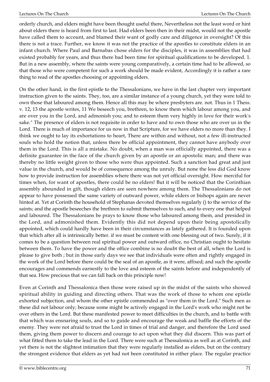orderly church, and elders might have been thought useful there, Nevertheless not the least word or hint about elders there is heard from first to last. Had elders been then in their midst, would not the apostle have called them to account, and blamed their want of godly care and diligence in oversight? Of this there is not a trace. Further, we know it was not the practice of the apostles to constitute elders in an infant church. Where Paul and Barnabas chose elders for the disciples, it was in assemblies that had existed probably for years, and thus there bad been time for spiritual qualifications to be developed. 1. But in a new assembly, where the saints were young comparatively, a certain time had to be allowed, so that those who were competent for such a work should be made evident, Accordingly it is rather a rare thing to read of the apostles choosing or appointing elders.

On the other hand, in the first epistle to the Thessalonians, we have in the last chapter very important instruction given to the saints. They, too, are a similar instance of a young church, yet they were told to own those that laboured among them. Hence all this may be where presbyters are. not. Thus in 1 Thess. v. 12, 13 the apostle writes, 11 We beseech you, brethren, to know them which labour among you, and are over you in the Lord, and admonish you; and to esteem them very highly in love for their work's sake." The presence of elders is not requisite in order to have and to own those who are over us in the Lord. There is much of importance for us now in that Scripture, for we have elders no more than they. I think we ought to lay its exhortations to heart, There are within and without, not a few ill-instructed souls who hold the notion that, unless there be official appointment, they cannot have anybody over them in the Lord. This is all a mistake. No doubt, when a man was officially appointed, there was a definite guarantee in the face of the church given by an apostle or an apostolic man; and there was thereby no little weight given to those who were thus appointed. Such a sanction had great and just value in the church, and would be of consequence among the unruly. But none the less did God know how to provide instruction for assemblies where there was not yet official oversight. How merciful for times when, for want of apostles, there could be no elders! But it will be noticed that the Corinthian assembly abounded in gift, though elders are seen nowhere among them. The Thessalonians do not appear to have possessed the same variety of outward power, while elders or bishops again are never hinted at. Yet at Corinth the household of Stephanas devoted themselves regularly () to the service of the saints; and the apostle beseeches the brethren to submit themselves to such, and to every one that helped and laboured. The Thessalonians be prays to know those who laboured among them, and presided in the Lord, and admonished them. Evidently this did not depend upon their being apostolically appointed, which could hardly have been in their circumstances as lately gathered. It is founded upon that which after all is intrinsically better. if we must be content with one blessing out of two. Surely, if it comes to be a question between real spiritual power and outward office, no Christian ought to hesitate between them. To have the power and the office combine is no doubt the best of all, when the Lord is please to give both ; but in those early days we see that individuals were often and rightly engaged in the work of the Lord before there could be the seal of an apostle, as it were, affixed; and such the apostle encourages and commends earnestly to the love and esteem of the saints before and independently of that sea. How precious that we can fall back on this principle now!

Even at Corinth and Thessalonica then those were raised up in the midst of the saints who showed spiritual ability in guiding and directing others. That was the work of those to whom one epistle exhorted subjection, and whom the other epistle commended as "over them in the Lord." Such men as these did not labour only; because some might be actively engaged in the Lord's work who might not be over others in the Lord. But these manifested power to meet difficulties in the church, and to battle with that which was ensnaring souls, and so to guide and encourage the weak and baffle the efforts of the enemy. They were not afraid to trust the Lord in times of trial and danger, and therefore the Lord used them, giving them power to discern and courage to act upon what they did discern. This was part of what fitted them to take the lead in the Lord. There were such at Thessalonica as well as at Corinth, and yet there is not the slightest intimation that they were regularly installed as elders, but on the contrary the strongest evidence that elders as yet had not been constituted in either place. The regular practice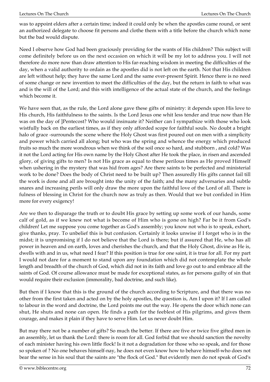was to appoint elders after a certain time; indeed it could only be when the apostles came round, or sent an authorized delegate to choose fit persons and clothe them with a title before the church which none but the bad would dispute.

Need I observe how God had been graciously providing for the wants of His children? This subject will come definitely before us on the next occasion on which it will be my lot to address you. I will not therefore do more now than draw attention to His far-reaching wisdom in meeting the difficulties of the day, when a valid authority to ordain as the apostles did is not left on the earth. Not that His children are left without help; they have the same Lord and the same ever-present Spirit. Hence there is no need of some change or new invention to meet the difficulties of the day, but the return in faith to what was and is the will of the Lord; and this with intelligence of the actual state of the church, and the feelings which become it.

We have seen that, as the rule, the Lord alone gave these gifts of ministry: it depends upon His love to His church, His faithfulness to the saints. Is the Lord Jesus one whit less tender and true now than He was on the day of ]Pentecost? Who would insinuate it? Neither can I sympathize with those who look wistfully back on the earliest times, as if they only afforded scope for faithful souls. No doubt a bright halo of grace -surrounds the scene where the Holy Ghost was first poured out on men with a simplicity and power which carried all along; but who was the spring and whence the energy which produced fruits so much the more wondrous when we think of the soil once so hard, and stubborn , and cold? Was it not the Lord acting for His own name by the Holy Ghost after He took the place, in risen and ascended glory, of giving gifts to men? Is not His grace as equal to these perilous times as He proved Himself when ushering in the mystery that was hid from ages? Are there saints to be perfected and ministerial work to be done? Does the body of Christ need to be built up? Then assuredly His gifts cannot fail till the work is done and all are brought into the unity of the faith; and the many adversaries and subtle snares and increasing perils will only draw the more upon the faithful love of the Lord of all. There is fulness of blessing in Christ for the church now as truly as then. Would that we but confided in Him more for every exigency!

Are we then to disparage the truth or to doubt His grace by setting up some work of our hands, some calf of gold, as if we knew not what is become of Him who is gone on high? Far be it from God's children! Let me suppose you come together as God's assembly; you know not who is to speak, exhort, give thanks, pray. To unbelief this is but confusion. Certainly it looks unwise if I forget who is in the midst; it is unpromising if I do not believe that the Lord is there; but if assured that He, who has all power in heaven and on earth, loves and cherishes the church, and that the Holy Ghost, divine as He is, dwells with and in us, what need I fear? If this position is true for one saint, it is true for all. For my part I would not dare for a moment to stand upon any foundation which did not contemplate the whole length and breadth of the church of God, which did not in its faith and love go out to and embrace all the saints of God. Of course allowance must be made for exceptional states, as for persons guilty of sin that would require their exclusion (immorality, bad doctrine, and such like).

But then if I know that this is the ground of the church according to Scripture, and that there was no other from the first taken and acted on by the holy apostles, the question is, Am I upon it? If I am called to labour in the word and doctrine, the Lord points me out the way. He opens the door which none can shut, He shuts and none can open. He finds a path for the feeblest of His pilgrims, and gives them courage, and makes it plain if they have to serve Him. Let us never doubt Him.

But may there not be a number of gifts? So much the better. If there are five or twice five gifted men in an assembly, let us thank the Lord: there is room for all. God forbid that we should sanction the novelty of each minister having his own little flock! Is it not a degradation for those who so speak, and for those so spoken of ? No one behaves himself-nay, he does not even know how to behave himself-who does not bear the sense in his soul that the saints are "the flock of God." But evidently men do not speak of God's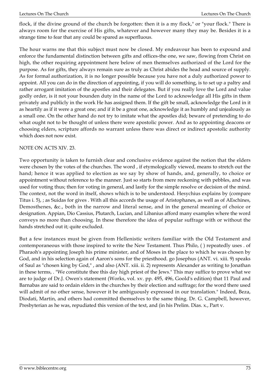flock, if the divine ground of the church be forgotten: then it is a my flock," or "your flock." There is always room for the exercise of His gifts, whatever and however many they may be. Besides it is a strange time to fear that any could be spared as superfluous.

The hour warns me that this subject must now be closed. My endeavour has been to expound and enforce the fundamental distinction between gifts and offices-the one, we saw, flowing from Christ on high, the other requiring appointment here below of men themselves authorized of the Lord for the purpose. As for gifts, they always remain sure as truly as Christ abides the head and source of supply. As for formal authorization, it is no longer possible because you have not a duly authorized power to appoint. All you can do in the direction of appointing, if you will do something, is to set up a paltry and rather arrogant imitation of the apostles and their delegates. But if you really love the Lord and value godly order, is it not your bounden duty in the name of the Lord to acknowledge all His gifts in them privately and publicly in the work He has assigned them. If the gift be small, acknowledge the Lord in it as heartily as if it were a great one; and if it be a great one, acknowledge it as humbly and unjealously as a small one. On the other hand do not try to imitate what the apostles did; beware of pretending to do what ought not to be thought of unless there were apostolic power. And as to appointing deacons or choosing elders, scripture affords no warrant unless there was direct or indirect apostolic authority which does not now exist.

## NOTE ON ACTS XIV. 23.

Two opportunity is taken to furnish clear and conclusive evidence against the notion that the elders were chosen by the votes of the churches. The word , if etymologically viewed, means to stretch out the hand; hence it was applied to election as we say by show of hands, and, generally, to choice or appointment without reference to the manner. Just so starts from mere reckoning with pebbles, and was used for voting thus; then for voting in general, and lastly for the simple resolve or decision of the mind. The context, not the word in itself, shows which is to be understood. Hesychius explains by (compare Titus i. 5), ; as Suidas for gives . With all this accords the usage of Aristophanes, as well as of AEschines, Demosthenes, &c., both in the narrow and literal sense, and in the general meaning of choice or designation. Appian, Dio Cassius, Plutarch, Lucian, and Libanius afford many examples where the word conveys no more than choosing. In these therefore the idea of popular suffrage with or without the hands stretched out it; quite excluded.

But a few instances must be given from Hellenistic writers familiar with the Old Testament and contemporaneous with those inspired to write the New Testament. Thus Philo, ( ) repeatedly uses . of Pharaoh's appointing Joseph his prime minister, and of Moses in the place to which he was chosen by God, and in his selection again of Aaron's sons for the priesthood. go Josephus (ANT. vi. xiii. 9) speaks of Saul as "chosen king by God," , and also (ANT. xiii. ii. 2) represents Alexander as writing to Jonathan in these terms, . "We constitute thee this day high priest of the Jews." This may suffice to prove what we are to judge of Dr.J. Owen's statement (Works, vol. xv. pp. 495, 496, Goold's edition) that 11 Paul and Barnabas are said to ordain elders in the churches by their election and suffrage; for the word there used will admit of no other sense, however it be ambiguously expressed in our translation." Indeed, Beza, Diodati, Martin, and others had committed themselves to the same thing. Dr. G. Campbell, however, Presbyterian as he was, repudiated this version of the text, and (in his Prelim. Dias. x., Part v.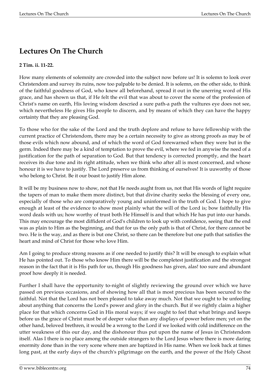## **Lectures On The Church**

## **2 Tim. ii. 11-22.**

How many elements of solemnity are crowded into the subject now before us! It is solemn to look over Christendom and survey its ruins, now too palpable to be denied. It is solemn, on the other side, to think of the faithful goodness of God, who knew all beforehand, spread it out in the unerring word of His grace, and has shown us that, if He felt the evil that was about to cover the scene of the profession of Christ's name on earth, His loving wisdom descried a sure path-a path the vultures eye does not see, which nevertheless He gives His people to discern, and by means of which they can have the happy certainty that they are pleasing God.

To those who for the sake of the Lord and the truth deplore and refuse to have fellowship with the current practice of Christendom, there may be a certain necessity to give as strong proofs as may be of those evils which now abound, and of which the word of God forewarned when they were but in the germ. Indeed there may be a kind of temptation to prove the evil, where we fed in anywise the need of a justification for the path of separation to God. But that tendency is corrected promptly, and the heart receives its due tone and its right attitude, when we think who after all is most concerned, and whose honour it is we have to justify. The Lord preserve us from thinking of ourselves! It is uuworthy of those who belong to Christ. Be it our boast to justify Him alone.

It will be my business now to show, not that He needs aught from us, not that His words of light require the tapers of man to make them more distinct, but that divine charity seeks the blessing of every one, especially of those who are comparatively young and uninformed in the truth of God. I hope to give enough at least of the evidence to show most plainly what the will of the Lord is; bow faithfully His word deals with us; how worthy of trust both He Himself is and that which He has put into our hands. This may encourage the most diffident of God's children to look up with confidence, seeing that the end was as plain to Him as the beginning, and that for us the only path is that of Christ, for there cannot be two. He is the way, and as there is but one Christ, so there can be therefore but one path that satisfies the heart and mind of Christ for those who love Him.

Am I going to produce strong reasons as if one needed to justify this? It will be enough to explain what He has pointed out. To those who know Him there will be the completest justification and the strongest reason in the fact that it is His path for us, though His goodness has given, alas! too sure and abundant proof how deeply it is needed.

Further I shall have the opportunity to-night of slightly reviewing the ground over which we have passed on previous occasions, and of showing how all that is most precious has been secured to the faithful. Not that the Lord has not been pleased to take away much. Not that we ought to be unfeeling about anything that concerns the Lord's power and glory in the church. But if we rightly claim a higher place for that which concerns God in His moral ways; if we ought to feel that what brings and keeps before us the grace of Christ must be of deeper value than any displays of power before men; yet on the other hand, beloved brethren, it would be a wrong to the Lord if we looked with cold indifference on the utter weakness of this our day, and the dishonour thus put upon the name of Jesus in Christendom itself. Alas I there is no place among the outside strangers to the Lord Jesus where there is more daring enormity done than in the very scene where men are baptized in His name. When we look back at times long past, at the early days of the church's pilgrimage on the earth, and the power of the Holy Ghost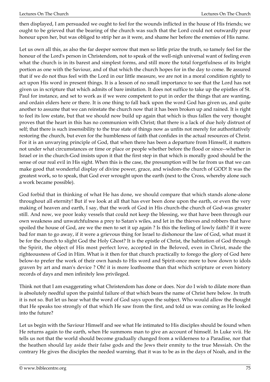then displayed, I am persuaded we ought to feel for the wounds inflicted in the house of His friends; we ought to be grieved that the bearing of the church was such that the Lord could not outwardly pour honour upon her, but was obliged to strip her as it were, and shame her before the enemies of His name.

Let us own all this, as also the far deeper sorrow that men so little prize the truth, so tamely feel for the honour of the Lord's person in Christendom, not to speak of the well-nigh universal want of feeling even what the church is in its barest and simplest forms, and still more the total forgetfulness of its bright portion as one with the Saviour, and of that which the church hopes for in the day to come. Be assured that if we do not thus feel with the Lord in our little measure, we are not in a moral condition rightly to act upon His word in present things. It is a lesson of no small importance to see that the Lord has not given us in scripture that which admits of bare imitation. It does not suffice to take up the epistles of St. Paul for instance, and set to work as if we were competent to put in order the things that are wanting, and ordain elders here or there. It is one thing to fall back upon the word God has given us, and quite another to assume that we can reinstate the church now that it has been broken up and rained. It is right to feel its low estate, but that we should now build up again that which is thus fallen the very thought proves that the heart in this has no communion with Christ; that there is a lack of due holy distrust of self; that there is such insensibility to the true state of things now as unfits not merely for authoritatively restoring the church, but even for the humbleness of faith that confides in the actual resources of Christ. For it is an unvarying principle of God, that when there has been a departure from Himself, it matters not under what circumstances or time or place or people whether before the flood or since--whether in Israel or in the church-God insists upon it that the first step in that which is morally good should be the sense of our real evil in His sight. When this is the case, the presumption will be far from us that we can make good that wonderful display of divine power, grace, and wisdom-the church of GOD! It was the greatest work, so to speak, that God ever wrought upon the earth (next to the Cross, whereby alone such a work became possible).

God forbid that in thinking of what He has done, we should compare that which stands alone-alone throughout all eternity! But if we look at all that has ever been done upon the earth, or even the very making of heaven and earth, I say, that the work of God in His church-the church of God-was greater still. And now, we poor leaky vessels that could not keep the blessing, we that have been through our own weakness and unwatchfulness a prey to Satan's wiles, and let in the thieves and robbers that have spoiled the house of God, are we the men to set it up again ? Is this the feeling of lowly faith? If it were bad for man to go away, if it were a grievous thing for Israel to dishonour the law of God, what must it be for the church to slight God the Holy Ghost? It is the epistle of Christ, the habitation of God through the Spirit, the object of His most perfect love, accepted in the Beloved, even in Christ, made the righteousness of God in Him. What is it then for that church practically to forego the glory of God here below-to prefer the work of their own hands to His word and Spirit-once more to bow down to idols graven by art and man's device ? Oh! it is more loathsome than that which scripture or even history records of days and men infinitely less privileged.

Think not that I am exaggerating what Christendom has done or does. Nor do I wish to dilate more than is absolutely needful upon the painful failure of that which bears the name of Christ here below. In truth it is not so. But let us hear what the word of God says upon the subject. Who would allow the thought that He speaks too strongly of that which He saw from the first, and told us was coming as He looked into the future?

Let us begin with the Saviour Himself and see what He intimated to His disciples should be found when He returns again to the earth, when He summons man to give an account of himself. In Luke xvii. He tells us not that the world should become gradually changed from a wilderness to a Paradise, nor that the heathen should lay aside their false gods and the Jews their enmity to the true Messiah. On the contrary He gives the disciples the needed warning, that it was to be as in the days of Noah, and in the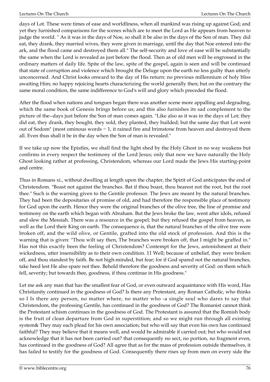days of Lot. These were times of ease and worldliness, when all mankind was rising up against God; and yet they furnished comparisons for the scenes which are to meet the Lord as He appears from heaven to judge the world. " As it was in the days of Noe, so shall it be also in the days of the Son of man. They did eat, they drank, they married wives, they were given in marriage, until the day that Noe entered into the ark, and the flood came and destroyed them all." The self-security and love of ease will be substantially the same when the Lord is revealed as just before the flood. Then as of old men will be engrossed in the ordinary matters of daily life. Spite of the law, spite of the gospel, again is seen and will be continued that state of corruption and violence which brought the Deluge upon the earth no less guilty than utterly unconcerned. And Christ looks onward to the day of His return: no previous millennium of holy bliss awaiting Him; no happy rejoicing hearts characterizing the world generally then; but on the contrary the same moral condition, the same indifference to God's will and glory which preceded the flood.

After the flood when nations and tongues began there was another scene more appalling and degrading, which the same book of Genesis brings before us; and this also furnishes its sad complement to the picture of the--days just before the Son of man comes again. "Like also as it was in the days of Lot; they did eat, they drank, they bought, they sold, they planted, they builded; but the same day that Lot went out of Sodom" (most ominous words ~ 1, it rained fire and brimstone from heaven and destroyed them all. Even thus shall it be in the day when the Son of man is revealed."

If we take up now the Epistles, we shall find the light shed by the Holy Ghost in no way weakens but confirms in every respect the testimony of the Lord Jesus; only that now we have naturally the Holy Ghost looking rather at professing, Christendom, whereas our Lord made the Jews His starting-point and centre.

Thus in Romans xi., without dwelling at length upon the chapter, the Spirit of God anticipates the end of Christendom. "Boast not against the branches. Bat if thou boast, thou bearest not the root, but the root thee." Such is the warning given to the Gentile professor. The Jews are meant by the natural branches. They had been the depositaries of promise of old, and had therefore the responsible place of testimony for God upon the earth. Hence they were the original branches of the olive tree, the line of promise and testimony on the earth which began with Abraham. But the Jews broke the law, went after idols, refused and slew the Messiah. There was a resource in the gospel; but they refused the gospel from heaven, as well as the Lord their King on earth. The consequence is, that the natural branches of the olive tree were broken off, and the wild olive, or Gentile, grafted into the old stock of profession. And this is the warning that is given: "Thou wilt say then, The branches were broken off, that I might be graffed in." Has not this exactly been the feeling of Christendom? Contempt for the Jews, astonishment at their wickedness, utter insensibility as to their own condition. 11 Well; because of unbelief, they were broken off, and thou standest by faith. Be not high-minded, but fear; for if God spared not the natural branches, take heed lest He also spare not thee. Behold therefore the goodness and severity of God: on them which fell, severity; but towards thee, goodness, if thou continue in His goodness."

Let me ask any man that has the smallest fear of God, or even outward acquaintance with His word, Has Christianity continued in the goodness of God? Is there any Protestant, any Roman Catholic, who thinks so I Is there any person, no matter where, no matter who -a single soul who dares to say that Christendom, the professing Gentile, has continued in the goodness of God? The Romanist cannot think the Protestant schism continues in the goodness of God. The Protestant is assured that the Romish body is the fruit of clean departure from God in superstition; and so we might run through all existing system& They may each plead for his own association; but who will say that even his own has continued faithful? They may believe that it means well, and would be admirable if carried out; but who would not acknowledge that it has not been carried out? that consequently no sect, no portion, no fragment even, has continued in the goodness of God? All agree that as for the mass of profession outside themselves, it has failed to testify for the goodness of God. Consequently there rises up from men on every side the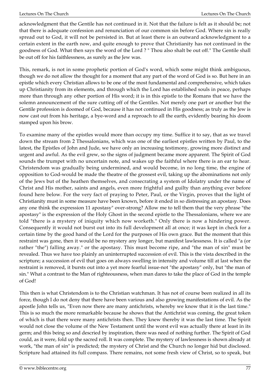acknowledgment that the Gentile has not continued in it. Not that the failure is felt as it should be; not that there is adequate confession and renunciation of our common sin before God. Where sin is really spread out to God, it will not be persisted in. But at least there is an outward acknowledgment to a certain extent in the earth now, and quite enough to prove that Christianity has not continued in the goodness of God. What then says the word of the Lord ? " Thou also shalt be out off." The Gentile shall be out off for his faithlessness, as surely as the Jew was.

This, remark, is not in some prophetic portion of God's word, which some might think ambiguous, though we do not allow the thought for a moment that any part of the word of God is so. But here in an epistle which every Christian allows to be one of the most fundamental and comprehensive, which takes up Christianity from its elements, and through which the Lord has established souls in peace, perhaps more than through any other portion of His word; it is in this epistle to the Romans that we have the solemn announcement of the sure cutting off of the Gentiles. Not merely one part or another but the Gentile profession is doomed of God, because it has not continued in His goodness; as truly as the Jew is now cast out from his heritage, a bye-word and a reproach to all the earth, evidently bearing his doom stamped upon his brow.

To examine many of the epistles would more than occupy my time. Suffice it to say, that as we travel down the stream from 2 Thessalonians, which was one of the earliest epistles written by Paul, to the latest, the Epistles of John and Jude, we have only an increasing testimony, growing more distinct and urgent and awful. As the evil grew, so the signs of judgment became more apparent. The Spirit of God sounds the trumpet with no uncertain note, and wakes up the faithful where there is an ear to hear. Christendom was gradually being undermined, and would become, in no long time, the engine of opposition to God-would be made the theatre of the grossest evil, taking up the abominations not only of the Jews but of the heathen themselves, and consecrating a system of Idolatry under the name of Christ and His mother, saints and angels, even more frightful and guilty than anything ever before found here below. For the very fact of praying to Peter, Paul, or the Virgin, proves that the light of Christianity must in some measure have been known, before it ended in so distressing an apostasy. Does any one think the expression 11 apostasy" over-strong? Allow me to tell them that the very phrase "the apostasy" is the expression of the Holy Ghost in the second epistle to the Thessalonians, where we are told "there is a mystery of iniquity which now worketh." Only there is now a hindering power. Consequently it would not burst out into its full development all at once; it was kept in check for a certain time by the good hand of the Lord for the purposes of His own grace. But the moment that this restraint was gone, then it would be no mystery any longer, but manifest lawlessness. It is called "a (or rather "the") falling away." or the apostasy. This must become ripe, and "the man of sin" must be revealed. Thus we have too plainly an uninterrupted succession of evil. This is the vista described in the scripture; a succession of evil that goes on always swelling in intensity and volume till at last when the restraint is removed, it bursts out into a yet more fearful issue-not "the apostasy" only, but "the man of sin." What a contrast to the Man of righteousness, when man dares to take the place of God in the temple of God!

This then is what Christendom is to the Christian watchman. It has not of course been realized in all its force, though I do not deny that there have been various and also growing manifestations of evil. As the apostle John tells us, "Even now there are many antichrists, whereby we know that it is the last time." This is so much the more remarkable because he shows that the Antichrist was coming, the great token of which is that there were many antichrists then. They knew thereby it was the last time. The Spirit would not close the volume of the New Testament until the worst evil was actually there at least in its germ; and this being so and descried by inspiration, there was need of nothing further. The Spirit of God could, as it were, fold up the sacred roll. It was complete. The mystery of lawlessness is shown already at work, "the man of sin" is predicted; the mystery of Christ and the Church no longer hid but disclosed. Scripture had attained its full compass. There remains, not some fresh view of Christ, so to speak, but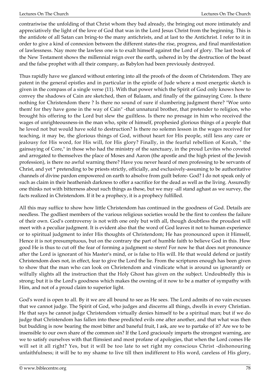contrariwise the unfolding of that Christ whom they bad already, the bringing out more intimately and appreciatively the light of the love of God that was in the Lord Jesus Christ from the beginning. This is the antidote of all Satan can bring-to the many antichrists, and at last to the Antichrist. I refer to it in order to give a kind of connexion between the different states-the rise, progress, and final manifestation of lawlessness. Nay more the lawless one is to exalt himself against the Lord of glory. The last book of the New Testament shows the millennial reign over the earth, ushered in by the destruction of the beast and the false prophet with all their company, as Babylon had been previously destroyed.

Thus rapidly have we glanced without entering into all the proofs of the doom of Christendom. They are patent in the general epistles and in particular in the epistle of Jude where a most energetic sketch is given in the compass of a single verse (11). With that power which the Spirit of God only knows how to convey the shadows of Cain are sketched, then of Balaam, and finally of the gainsaying Core. Is there nothing for Christendom there ? Is there no sound of sure if slumbering judgment there? "Woe unto them! for they have gone in the way of Cain" -that unnatural brother, that pretender to religion, who brought his offering to the Lord but slew the guiltless. Is there no presage in him who received the wages of unrighteousness-in the man who, spite of himself, prophesied glorious things of a people that he loved not but would have sold to destruction? Is there no solemn lesson in the wages received for teaching, it may be, the glorious things of God, without heart for His people, still less any care or jealousy for His word, for His will, for His glory? Finally, in the fearful rebellion of Korah, " the gainsaying of Core," in those who had the ministry of the sanctuary, in the proud Levites who coveted and arrogated to themselves the place of Moses and Aaron (the apostle and the high priest of the Jewish profession), is there no awful warning there? Have you never heard of men professing to be servants of Christ, and yet \* pretending to be priests strictly, officially, and exclusively-assuming to be authoritative channels of divine pardon empowered on earth to absolve from guilt before- God? I do not speak only of such as claim in their heathenish darkness to offer a sacrifice for the dead as well as the living. Assuredly one thinks not with bitterness about such things as these, but we may -all stand aghast as we survey, the facts realized in Christendom. If it be a prophecy, it is a prophecy fulfilled.

All this may suffice to show how little Christendom has continued in the goodness of God. Details are needless. The godliest members of the various religious societies would be the first to confess the failure of their own. God's controversy is not with one only but with all, though doubtless the proudest will meet with a peculiar judgment. It is evident also that the word of God leaves it not to human experience or to spiritual judgment to infer His thoughts of Christendom; He has pronounced upon it Himself, Hence it is not presumptuous, but on the contrary the part of humble faith to believe God in this. How good He is thus to cut off the fear of forming a judgment so stern! For now he that does not pronounce after the Lord is ignorant of his Master's mind, or is false to His will. He that would defend or justify Christendom does not, in effect, fear to give the Lord the lie. From the scriptures enough has been given to show that the man who can look on Christendom and vindicate what is around us ignorantly or wilfully slights all the instruction that the Holy Ghost has given on the subject. Undoubtedly this is strong; but it is the Lord's goodness which makes the owning of it now to be a matter of sympathy with Him, and not of a proud claim to superior light.

God's word is open to all. By it we are all bound to see as He sees. The Lord admits of no vain excuses that we cannot judge. The Spirit of God, who judges and discerns all things, dwells in every Christian. He that says he cannot judge Christendom virtually denies himself to be a spiritual man; but if we do judge that Christendom has fallen into these predicted evils one after another, and that what was then but budding is now bearing the most bitter and baneful fruit, I ask, are we to partake of it? Are we to be insensible to our own share of the common sin? If the Lord graciously imparts the strongest warning, are we to satisfy ourselves with that flimsiest and most profane of apologies, that when the Lord comes He will set it all right? Yes, but it will be too late to set right my conscious Christ -dishonouring unfaithfulness; it will be to my shame to live till then indifferent to His word, careless of His glory,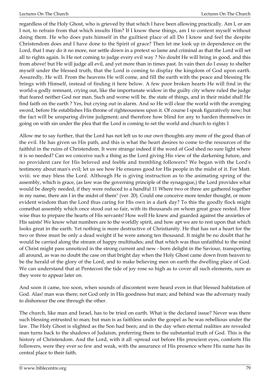regardless of the Holy Ghost, who is grieved by that which I have been allowing practically. Am I, or am I not, to refrain from that which insults Him? If I know these things, am I to content myself without doing them. He who does puts himself in the guiltiest place of all Do I know and feel the despite Christendom does and I have done to the Spirit of grace? Then let me look up in dependence on the Lord, that I may do it no more, nor settle down in a pretext so lame and criminal as that the Lord will set all to rights again. Is He not coming to judge every evil way ? No doubt He will bring in good, and this from above! but He will judge all evil, and yet more than in times past. In vain then do I essay to shelter myself under the blessed truth, that the Lord is coming to display the kingdom of God upon earth. Assuredly, He will. From the heavens He will come, and fill the earth with the peace and blessing He brings with Himself, instead of finding it here below. A few poor broken hearts He will find in the world-a godly remnant, crying out, like the importunate widow in the guilty city where ruled the judge that feared neither God nor man. Such and worse will be. the state of things, and in their midst shall He find faith on the earth ? Yes, but crying out in alarm. And so He will clear the world with the avenging sword, before He establishes His throne of righteousness upon it. Of course I speak figuratively now; but the fact will be unsparing divine judgment; and therefore how blind for any to harden themselves in going on with sin under the plea that the Lord is coming to set the world and church to rights 1

Allow me to say further, that the Lord has not left us to our own thoughts any more of the good than of the evil. He has given us His path, and this is what the heart desires to come to-the resources of the faithful in the ruins of Christendom. It were strange indeed if the word of God shed no sure light where it is so needed? Can we conceive such a thing as the Lord giving His view of the darkening future, and no provident care for His beloved and feeble and trembling followers? We began with the Lord's testimony about man's evil; let us see how He ensures good for His people in the midst of it. For Matt. xviii. we may bless the Lord. Although He is giving instruction as to the animating spring of the assembly, which is grace, (as law was the governing principle of the synagogue,) the Lord provides what would be deeply needed, if they were reduced to a handful 11 Where two or three are gathered together in my name, there am I in the midst of them" (ver. 20). Could one conceive more tender thought, or more evident wisdom than the Lord thus caring for His own in a dark day? To this the goodly flock might comethat assembly which once stood out so fair, with its thousands on whom great grace rested. How wise thus to prepare the hearts of His servants! How well He knew and guarded against the anxieties of His saints! We know what numbers are to the worldly spirit, and how apt we are to rest upon that which looks great in the earth. Yet nothing is more destructive of Christianity. He that has not a heart for the two or three must be only a dead weight if he were among ten thousand. It might be no doubt that he would be carried along the stream of happy multitudes; and that which was thus unfaithful to the mind of Christ might pass unnoticed in the strong current and new - born delight in the Saviour, transporting all around, as was no doubt the case on that bright day when the Holy Ghost came down from heaven to be the herald of the glory of the Lord, and to make believing men on earth the dwelling place of God. We can understand that at Pentecost the tide of joy rose so high as to cover all such elements, sure as they were to appear later on.

And soon it came, too soon, when sounds of discontent were heard even in that blessed habitation of God. Alas! man was there; not God only in His goodness but man; and behind was the adversary ready to dishonour the one through the other.

The church, like man and Israel, has to be tried on earth. What is the declared issue? Never was there such blessing entrusted to man; but man is as faithless under the gospel as he was rebellious under the law. The Holy Ghost is slighted as the Son had been; and in the day when eternal realities are revealed man turns back to the shadows of Judaism, preferring them to the substantial truth of God. This is the history of Christendom. And the Lord, with it all -spread out before His prescient eyes, comforts His followers, were they ever so few and weak, with the assurance of His presence where His name has its central place to their faith.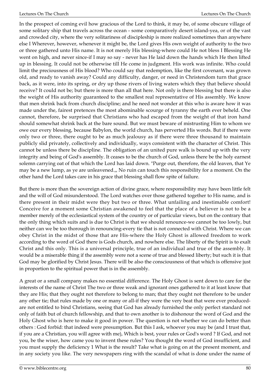In the prospect of coming evil how gracious of the Lord to think, it may be, of some obscure village of some solitary ship that travels across the ocean - some comparatively desert island-yea, or of the vast and crowded city, where the very solitariness of discipleship is more realized sometimes than anywhere else I Wherever, however, whenever it might be, the Lord gives His own weight of authority to the two or three gathered unto His name. It is not merely His blessing-where could He not bless I Blessing He went on high, and never since-if I may so say - never has He laid down the hands which He then lifted up in blessing. It could not be otherwise till He come in judgment. His work was infinite. Who could limit the preciousness of His blood? Who could say that redemption, like the first covenant, was grown old, and ready to vanish away? Could any difficulty, danger, or need in Christendom turn that grace back, as it were, into its spring, or dry up those rivers of living waters which they that believe should receive? It could not be; but there is more than all that here. Not only is there blessing but there is also the weight of His authority guaranteed to the smallest real representative of His assembly. We know that men shrink back from church discipline; and he need not wonder at this who is aware how it was made under the, fairest pretences the most abominable scourge of tyranny the earth ever beheld. One cannot, therefore, be surprised that Christians who had escaped from the weight of that iron hand should somewhat shrink back at the bare sound. But we must beware of mistrusting Him to whom we owe our every blessing, because Babylon, the world church, has perverted His words. But if there were only two or three, there ought to be as much jealousy as if there were three thousand to maintain publicly slid privately, collectively and individually, ways consistent with the character of Christ. This cannot be unless there be discipline. The obligation of an united pure walk is bound up with the very integrity and being of God's assembly. It ceases to be the church of God, unless there be the holy earnest solemn carrying oat of that which the Lord has laid down. "Purge out, therefore, the old leaven, that Ye may be a new lump, as ye are unleavened.,, No ruin can touch this responsibility for a moment. On the other hand the Lord takes care in his grace that blessing shall flow spite of failure.

But there is more than the sovereign action of divine grace, where responsibility may have been little felt and the will of God misunderstood. The Lord watches over those gathered together to His name, and is there present in their midst were they but two or three. What unfailing and inestimable comfort! Conceive for a moment some Christian awakened to feel that the place of a believer is not to be a member merely of the ecclesiastical system of the country or of particular views, but on the contrary that the only thing which suits and is due to Christ is that we should renounce-we cannot be too lowly, but neither can we be too thorough in renouncing-every tie that is not connected with Christ. Where we can obey Christ in the midst of those that are His-where the Holy Ghost is allowed freedom to work according to the word of God there is Gods church, and nowhere else. The liberty of the Spirit is to exalt Christ and this only. This is a universal principle, true of an individual and true of the assembly. It would be a miserable thing if the assembly were not a scene of true and blessed liberty; but such it is that God may be glorified by Christ Jesus. There will be also the consciousness of that which is offensive just in proportion to the spiritual power that is in the assembly.

A great or a small company makes no essential difference. The Holy Ghost is sent down to care for the interests of the name of Christ The two or three weak and ignorant ones gathered to it at least know that they are His; that they ought not therefore to belong to man; that they ought not therefore to be under any other tie; that rules made by one or many or all-if they were the very beat that were ever producedare not entitled to bind Christians, seeing that God has already furnished the only perfect standard not only of faith but of church fellowship, and that to own another is to dishonour the word of God and the Holy Ghost who is here to make it good in power. The question is not whether we can do better than others : God forbid: that indeed were presumption. But this I ask, whoever you may be (and I trust that, if you are a Christian, you will agree with me), Which is best, your rules or God's word ? If God, and not you, be the wiser, how came you to invent these rules? You thought the word of God insufficient, and you must supply the deficiency 1 What is the result? Take what is going on at the present moment, and in any society you like. The very newspapers ring with the scandal of what is done under the name of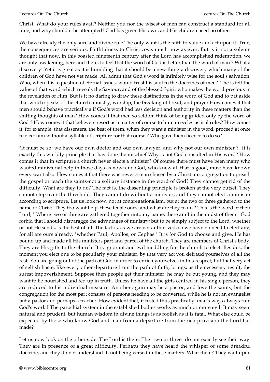Christ. What do your rules avail? Neither you nor the wisest of men can construct a standard for all time; and why should it be attempted? God has given His own, and His children need no other.

We have already the only sure and divine rule The only want is the faith to value and act upon it. True, the consequences are serious. Faithfulness to Christ costs much now as ever. But is it not a solemn thought that now, in this boasted nineteenth century after the Lord has accomplished redemption, we are only awakening, here and there, to feel that the word of God is better than the word of man ? What a discovery! Yet it is great as it is humbling that it should be a new thing-a discovery which many of the children of God have not yet made. All admit that God's word is infinitely wise for the soul's salvation. Who, when it is a question of eternal issues, would trust his soul to the doctrines of men? 'The is felt the value of that word which reveals the Saviour, and of the blessed Spirit who makes the word precious in the revelation of Him. But is it no daring to draw these distinctions in the word of God and to pat aside that which speaks of the church ministry, worship, the breaking of bread, and prayer How comes it that men should behave practically a if God's word had less decision and authority in these matters than the shifting thoughts of man? How comes it that men so seldom think of being guided only by the word of God ? How comes it that believers resort as a matter of course to human ecclesiastical rules? How comes it, for example, that dissenters, the best of them, when they want a minister in the word, proceed at once to elect him without a syllable of scripture for that course ? Who gave them licence to do so?

"It must be so; we have our own doctor and our own lawyer, and why not our own minister ?" it is exactly this worldly principle that has done the mischief Why is not God consulted in His word? How comes it that in scripture a church never elects a minister? Of course there must have been many who wanted ministerial help in those days as now; and God, who knew all that is good, must have known every want also. How comes it that there was never a man chosen by a Christian congregation to preach the gospel or teach the saints-not a solitary instance in the word of God? They cannot get rid of the difficulty. What are they to do? The fact is, the dissenting principle is broken at the very outset. They cannot step over the threshold. They cannot do without a minister, and they cannot elect a minister according to scripture. Let us look now, not at congregationalism, but at the two or three gathered to the name of Christ. They too want help, these feeble ones; and what are they to do ? This is the word of their Lord, " Where two or three are gathered together unto my name, there am I in the midst of them." God forbid that I should disparagge the advantages of ministry; but to be simply subject to the Lord, whether or not He sends, is the best of all. The fact is, as we are not authorized, so we have no need to elect any; for all are ours already, "whether Paul, Apollos, or Cephas." It is for God to choose and give. He has bound up and made all His ministers part and parcel of the church. They are members of Christ's body. They are His gifts to the church. It is ignorant and evil meddling for the church to elect. Besides, the moment you elect one to be peculiarly your minister, by that very act you defraud yourselves of all the rest. You are going out of the path of God in order to enrich yourselves in this respect; but that very act of selfish haste, like every other departure from the path of faith, brings, as the necessary result, the surest impoverishment. Suppose then people get their minister; he may be but young, and they may want to be nourished and fed up in truth. Unless he have all the gifts centred in his single person, they are reduced to his individual measure. Another again may be a pastor, and love the saints; but the congregation for the most part consists of persons needing to be converted, while he is not an evangelist but a pastor and perhaps a teacher. How evident that, if tested thus practically, man's ways always ruin God's work I The parochial system in the established bodies works as much or more evil. It may seem natural and prudent, but human wisdom in divine things is as foolish as it is fatal. What else could be expected by those who know God and man from a departure from the rich provision the Lord has made?

Let us now look on the other side. The Lord is there. The "two or three" do not exactly see their way. They are in presence of a great difficulty. Perhaps they have heard the whisper of some dreadful doctrine, and they do not understand it, not being versed in these matters. What then ? They wait upon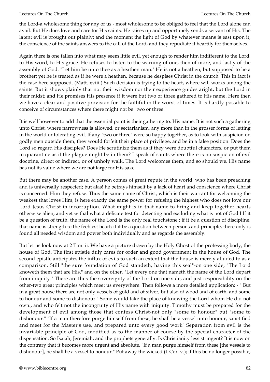the Lord-a wholesome thing for any of us - most wholesome to be obliged to feel that the Lord alone can avail. But He does love and care for His saints. He raises up and opportunely sends a servant of His. The latent evil is brought out plainly; and the moment the light of God by whatever means is east upon it, the conscience of the saints answers to the call of the Lord, and they repudiate it heartily for themselves.

Again there is one fallen into what may seem little evil, yet enough to render him indifferent to the Lord, to His word, to His grace. He refuses to listen to the warning of one, then of more, and lastly of the assembly of God. "Let him be unto thee as a heathen man." He is not a heathen, but supposed to be a brother; yet he is treated as if he were a heathen, because he despises Christ in the church. This in fact is the case here supposed. (Matt. xviii.) Such decision is trying to the heart, where will works among the saints. But it shows plainly that not their wisdom nor their experience guides aright, but the Lord in their midst; and He promises His presence if it were but two or three gathered to His name. Here then we have a clear and positive provision for the faithful in the worst of times. It is hardly possible to conceive of circumstances where there might not be "two or three."

It is well however to add that the essential point is their gathering to. His name. It is not such a gathering unto Christ, where narrowness is allowed, or sectarianism, any more than in the grosser forms of letting in the world or tolerating evil. If any "two or three" were so happy together, as to look with suspicion on godly men outside them, they would forfeit their place of privilege, and be in a false position. Does the Lord so regard His disciples? Does He scrutinize them as if they were doubtful characters, or put them in quarantine as if the plague might be in them? I speak of saints where there is no suspicion of evil doctrine, direct or indirect, or of unholy walk. The Lord welcomes them, and so should we. His name has not its value where we are not large for His sake.

But there may be another case. A person comes of great repute in the world, who has been preaching and is universally respected; but alas! he betrays himself by a lack of heart and conscience where Christ is concerned. Him they refuse. Thus the same name of Christ, which is their warrant for welcoming the weakest that loves Him, is here exactly the same power for refusing the highest who does not love our Lord Jesus Christ in incorruption. What might is in that name to bring and keep together hearts otherwise alien, and yet withal what a delicate test for detecting and excluding what is not of God I If it be a question of truth, the name of the Lord is the only real touchstone ; if it be a question of discipline, that name is strength to the feeblest heart; if it be a question between persons and principle, there only is found all needed wisdom and power both individually and as regards the assembly.

But let us look now at 2 Tim. ii. We have a picture drawn by the Holy Ghost of the professing body, the house of God. The first epistle duly cares for order and good government in the house of God. The second epistle anticipates the influx of evils to such an extent that the house is merely alluded to as a comparison. Still "the sure foundation of God standeth, having this seal"-on one side, "The Lord knoweth them that are His," and on the other, "Let every one that nameth the name of the Lord depart from iniquity." There are thus the sovereignty of the Lord on one side, and just responsibility on the other-two great principles which meet us everywhere. Then follows a more detailed application: - " But in a great house there are not only vessels of gold and of silver, but also of wood and of earth, and some to honour and some to dishonour." Some would take the place of knowing the Lord whom He did not own., and who felt not the incongruity of His name with iniquity. Timothy must be prepared for the development of evil among those that confess Christ-not only "some to honour" but "some to dishonour." "If a man therefore purge himself from these, he shall be a vessel unto honour, sanctified and meet for the Master's use, and prepared unto every good work" Separation from evil is the invariable principle of God, modified as to the manner of course by the special character of the dispensation. So Isaiah, Jeremiah, and the prophets generally. Is Christianity less stringent? It is now on the contrary that it becomes more urgent and absolute. "If a man purge himself from these [the vessels to dishonour], he shall be a vessel to honour." Put away the wicked (1 Cor. v.); if this be no longer possible,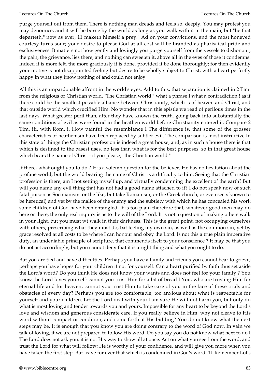purge yourself out from them. There is nothing man dreads and feels so. deeply. You may protest you may denounce, and it will be borne by the world as long as you walk with it in the main; but "he that departeth," now as ever, 11 maketh himself a prey." Ad on your convictions, and the most honeyed courtesy turns sour; your desire to please God at all cost will be branded as pharisaical pride and exclusiveness. It matters not how gently and lovingly you purge yourself from the vessels to dishonour; the pain, the grievance, lies there, and nothing can sweeten it, above all in the eyes of those it condemns. Indeed it is more felt, the more graciously it is done, provided it be done thoroughly; for then evidently your motive is not disappointed feeling but desire to be wholly subject to Christ, with a heart perfectly happy in what they know nothing of and could not enjoy.

All this is an unpardonable affront in the world's eyes. Add to this, that separation is claimed in 2 Tim. from the religious or Christian world. "The Christian world!" what a phrase I what a contradiction ! as if there could be the smallest possible alliance between Christianity, which is of heaven and Christ, and that outside world which crucified Him. No wonder that in this epistle we read of perilous times in the last days. What greater peril than, after they have known the truth, going back into substantially the same conditions of evil as were found in the heathen world before Christianity entered it. Compare 2 Tim. iii. with Rom. i. How painful the resemblance I The difference is, that some of the grosser characteristics of heathenism have been replaced by subtler evil. The comparison is most instructive In this state of things the Christian profession is indeed a great house; and, as in such a house there is that which is destined to the basest uses, no less than what is for the best purposes, so in that great house which bears the name of Christ - if you please, "the Christian world."

If there, what ought you to do ? It is a solemn question for the believer. He has no hesitation about the profane world; but the world bearing the name of Christ is a difficulty to him. Seeing that the Christian profession is there, am I not setting myself up, and virtually condemning the excellent of the earth? But will you name any evil thing that has not had a good name attached to it? I do not speak now of such fatal poison as Socinianism. or the like; but take Romanism, or the Greek church, or even sects known to be heretical) and yet by the malice of the enemy and the subtlety with which he has concealed his work some children of God have been entangled. It is too plain therefore that, whatever good men may do here or there, the only real inquiry is as to the will of the Lord. It is not a question of making others walk in your light, but you must wt walk in their darkness. This is the great point, not occupying ourselves with others, prescribing what they must do, bat feeling my own sin, as well as the common sin, yet by grace resolved at all costs to be where I can honour and obey the Lord. Is not this a true plain imperative duty, an undeniable principle of scripture, that commends itself to your conscience ? It may be that you do not act accordingly; but you cannot deny that it is a right thing and what you ought to do.

But you are tied and have difficulties. Perhaps you have a family and friends you cannot bear to grieve; perhaps you have hopes for your children if not for yourself. Can a heart purified by faith thus set aside the Lord's word? Do you think He does not know your wants and does not feel for your family ? You know the Lord loves yourself: cannot you trust Him for a bit of bread I You, who are trusting Him for eternal life and for heaven, cannot you trust Him to take care of you in the face of these trials and obstacles of every day? Perhaps you are too comfortable, too anxious about what is respectable for yourself and your children. Let the Lord deal with you; I am sure He will not harm you, but only do what is most loving and tender towards you and yours. Impossible for any heart to be beyond the Lord's love and wisdom and generous considerate care. If you really believe in Him, why not cleave to His word without compact or condition, and come forth at His bidding? You do not know what the next steps may be. It is enough that you know you are doing contrary to the word of God now. In vain we talk of loving, if we are not prepared to follow His word. Do you say you do not know what next to do I The Lord does not ask you: it is not His way to show all at once. Act on what you see from the word, and trust the Lord for what will follow; He is worthy of your confidence, and will give you more when you have taken the first step. But leave for ever that which is condemned in God's word. 11 Remember Lot's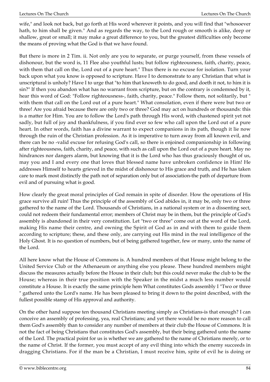wife," and look not back, but go forth at His word wherever it points, and you will find that "whosoever hath, to him shall be given." And as regards the way, to the Lord rough or smooth is alike, deep or shallow, great or small; it may make a great difference to you, but the greatest difficulties only become the means of proving what the God is that we have found.

But there is more in 2 Tim. ii. Not only are you to separate, or purge yourself, from these vessels of dishonour, but the word is, 11 Flee also youthful lusts; but follow righteousness, faith, charity, peace, with them that call on the, Lord out of a pure heart." Thus there is no excuse for isolation. Turn your back upon what you know is opposed to scripture. Have I to demonstrate to any Christian that what is unscriptural is unholy? Have I to urge that "to him that knoweth to do good, and doeth it not, to him it is sin?" If then you abandon what has no warrant from scripture, but on the contrary is condemned by it, hear this word of God: "Follow righteousness-, faith, charity, peace." Follow them, not solitarily, but " with them that call on the Lord out of a pure heart." What consolation, even if there were but two or three! Are you afraid because there are only two or three? God may act on hundreds or thousands: this is a matter for Him. You are to follow the Lord's path through His word, with chastened spirit yet not sadly, but full of joy and thankfulness, if you find ever so few who call upon the Lord out of a pure heart. In other words, faith has a divine warrant to expect companions in its path, though it lie now through the ruin of the Christian profession. As it is imperative to turn away from all known evil, and there can be no -valid excuse for refusing God's call, so there is enjoined companionship in following after righteousness, faith, charity, and peace, with such as call upon the Lord out of a pure heart. May no hindrances nor dangers alarm, but knowing that it is the Lord who has thus graciously thought of us, may you and I and every one that loves that blessed name have unbroken confidence in Him! He addresses Himself to hearts grieved in the midst of dishonour to His grace and truth, and He has taken care to mark most distinctly the path not of separation only but of association-the path of departure from evil and of pursuing what is good.

How clearly the great moral principles of God remain in spite of disorder. How the operations of His grace survive all ruin! Thus the principle of the assembly of God abides in, it may be, only two or three gathered to the name of the Lord. Thousands of Christians, in a national system or in a dissenting sect, could not redeem their fundamental error; members of Christ may be in them, but the principle of God's assembly is abandoned in their very constitution. Let "two or three" come out at the word of the Lord, making His name their centre, and owning the Spirit of God as in and with them to guide them according to scripture; these, and these only, are carrying out His mind in the real intelligence of the Holy Ghost. It is no question of numbers, but of being gathered together, few or many, unto the name of the Lord.

All here know what the House of Commons is. A hundred members of that House might belong to the United Service Club or the Athenaeum or anything else you please. These hundred members might discuss the measures actually before the House in their club; but this could never make the club to be the House; whereas in their true position with the Speaker in the midst a much less number would constitute a House. It is exactly the same principle hem What constitutes Gods assembly I "Two or three " gathered unto the Lord's name. He has been pleased to bring it down to the point described, with the fullest possible stamp of His approval and authority.

On the other hand suppose ten thousand Christians meeting simply as Christians-is that enough? I can conceive an assembly of professing, yea, real Christians; and yet there would be no more reason to call them God's assembly than to consider any number of members at their club the House of Commons. It is not the fact of being Christians that constitutes God's assembly, but their being gathered unto the name of the Lord. The practical point for us is whether we are gathered to the name of Christians merely, or to the name of Christ. If the former, you must accept of any evil thing into which the enemy succeeds in dragging Christians. For if the man be a Christian, I must receive him, spite of evil he is doing or